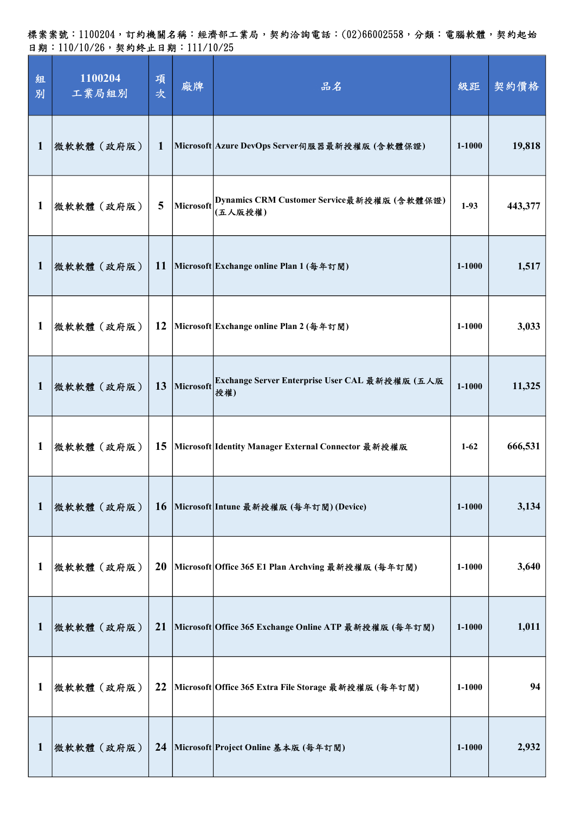標案案號:1100204,訂約機關名稱:經濟部工業局,契約洽詢電話:(02)66002558,分類:電腦軟體,契約起始 日期:110/10/26,契約終止日期:111/10/25

| 組<br>別       | 1100204<br>工業局組別 | 項<br>次      | 廠牌        | 品名                                                              | 級距         | 契約價格    |
|--------------|------------------|-------------|-----------|-----------------------------------------------------------------|------------|---------|
| 1            | 微軟軟體(政府版)        | $\mathbf 1$ |           | Microsoft Azure DevOps Server伺服器最新授權版(含軟體保證)                    | $1 - 1000$ | 19,818  |
| 1            | 微軟軟體(政府版)        | 5           |           | Microsoft Dynamics CRM Customer Service最新授權版 (含軟體保證)<br>(五人版授權) | $1-93$     | 443,377 |
| $\mathbf 1$  | 微軟軟體(政府版)        | <b>11</b>   |           | Microsoft Exchange online Plan 1 (每年訂閱)                         | $1 - 1000$ | 1,517   |
| 1            | 微軟軟體(政府版)        | 12          |           | Microsoft Exchange online Plan 2 (每年訂閱)                         | 1-1000     | 3,033   |
| $\mathbf{1}$ | 微軟軟體 (政府版)       | 13          | Microsoft | Exchange Server Enterprise User CAL 最新授權版 (五人版<br>授權)           | $1 - 1000$ | 11,325  |
| 1            | 微軟軟體(政府版)        | 15          |           | Microsoft Identity Manager External Connector 最新授權版             | $1-62$     | 666,531 |
| $\mathbf{1}$ | 微軟軟體(政府版)        | <b>16</b>   |           | Microsoft Intune 最新授權版 (每年訂閱)(Device)                           | $1 - 1000$ | 3,134   |
| $\mathbf{1}$ | 微軟軟體(政府版)        | <b>20</b>   |           | Microsoft Office 365 E1 Plan Archving 最新授權版 (每年訂閱)              | 1-1000     | 3,640   |
| $\mathbf 1$  | 微軟軟體(政府版)        | 21          |           | Microsoft Office 365 Exchange Online ATP 最新授權版 (每年訂閱)           | $1 - 1000$ | 1,011   |
| $\mathbf{1}$ | 微軟軟體(政府版)        | 22          |           | Microsoft Office 365 Extra File Storage 最新授權版 (每年訂閱)            | $1 - 1000$ | 94      |
| $\mathbf{1}$ | 微軟軟體(政府版)        | 24          |           | Microsoft Project Online 基本版 (每年訂閱)                             | 1-1000     | 2,932   |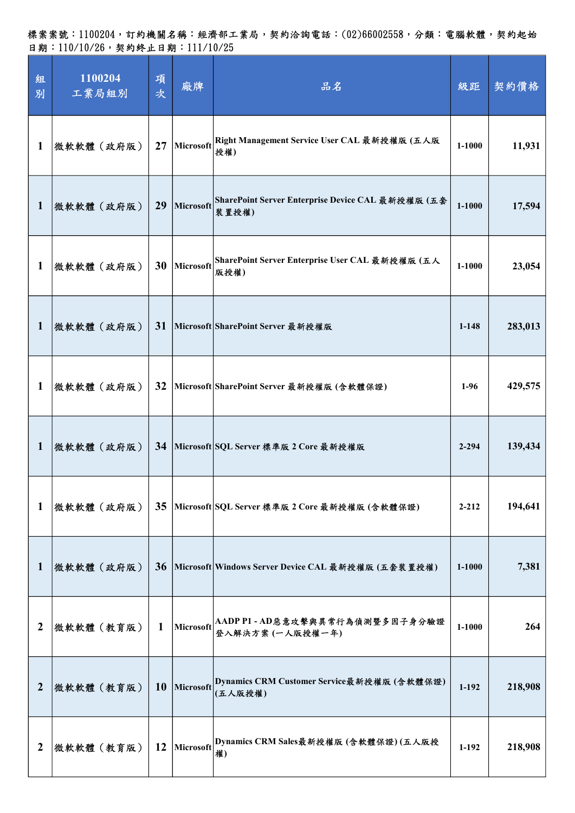| 組<br>別           | 1100204<br>工業局組別 | 項<br>次    | 廠牌        | 品名                                                          | 級距        | 契約價格    |
|------------------|------------------|-----------|-----------|-------------------------------------------------------------|-----------|---------|
| 1                | 微軟軟體(政府版)        | 27        | Microsoft | Right Management Service User CAL 最新授權版 (五人版<br>授權)         | 1-1000    | 11,931  |
| $\mathbf 1$      | 微軟軟體(政府版)        | 29        | Microsoft | SharePoint Server Enterprise Device CAL 最新授權版 (五套<br>装置授權)  | 1-1000    | 17,594  |
| 1                | 微軟軟體(政府版)        | 30        | Microsoft | SharePoint Server Enterprise User CAL 最新授權版 (五人<br>版授權)     | 1-1000    | 23,054  |
| 1                | 微軟軟體(政府版)        | 31        |           | Microsoft SharePoint Server 最新授權版                           | $1 - 148$ | 283,013 |
| 1                | 微軟軟體(政府版)        | 32        |           | Microsoft SharePoint Server 最新授權版 (含軟體保證)                   | $1-96$    | 429,575 |
| 1                | 微軟軟體(政府版)        | 34        |           | Microsoft SQL Server 標準版 2 Core 最新授權版                       | $2 - 294$ | 139,434 |
| $\mathbf{1}$     | 微軟軟體(政府版)        | 35        |           | Microsoft SQL Server 標準版 2 Core 最新授權版 (含軟體保證)               | $2 - 212$ | 194,641 |
| $\mathbf 1$      | 微軟軟體(政府版)        | 36        |           | Microsoft Windows Server Device CAL 最新授權版 (五套裝置授權)          | 1-1000    | 7,381   |
| 2                | 微軟軟體(教育版)        | 1         |           | Microsoft  AADPP1-AD惡意攻擊與異常行為偵測暨多因子身分驗證<br>登入解決方案 (一人版授權一年) | 1-1000    | 264     |
| 2                | 微軟軟體(教育版)        | <b>10</b> | Microsoft | Dynamics CRM Customer Service最新授權版 (含軟體保證)<br>(五人版授權)       | $1 - 192$ | 218,908 |
| $\boldsymbol{2}$ | 微軟軟體(教育版)        | 12        | Microsoft | Dynamics CRM Sales最新授權版 (含軟體保證)(五人版授<br>權)                  | $1-192$   | 218,908 |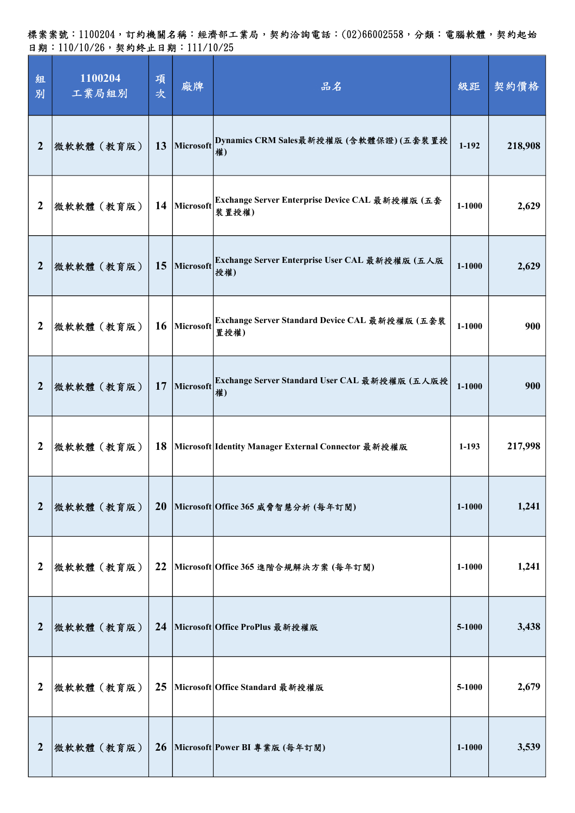| 組<br>別           | 1100204<br>工業局組別 | 項<br>次    | 廠牌           | 品名                                                       | 級距         | 契約價格    |
|------------------|------------------|-----------|--------------|----------------------------------------------------------|------------|---------|
| $\boldsymbol{2}$ | 微軟軟體(教育版)        | 13        |              | Microsoft Dynamics CRM Sales最新授權版 (含軟體保證)(五套裝置授<br>權)    | $1 - 192$  | 218,908 |
| $\boldsymbol{2}$ | 微軟軟體(教育版)        |           | 14 Microsoft | Exchange Server Enterprise Device CAL 最新授權版 (五套<br>装置授權) | $1 - 1000$ | 2,629   |
| $\boldsymbol{2}$ | 微軟軟體(教育版)        | 15        | Microsoft    | Exchange Server Enterprise User CAL 最新授權版 (五人版<br>授權)    | 1-1000     | 2,629   |
| 2                | 微軟軟體(教育版)        | 16        | Microsoft    | Exchange Server Standard Device CAL 最新授權版 (五套裝<br>置授權)   | $1 - 1000$ | 900     |
| $\overline{2}$   | 微軟軟體(教育版)        | 17        | Microsoft    | Exchange Server Standard User CAL 最新授權版 (五人版授<br>權)      | $1 - 1000$ | 900     |
| $\boldsymbol{2}$ | 微軟軟體(教育版)        | 18        |              | Microsoft Identity Manager External Connector 最新授權版      | $1-193$    | 217,998 |
| $\overline{2}$   | 微軟軟體(教育版)        | <b>20</b> |              | Microsoft Office 365 威脅智慧分析 (每年訂閱)                       | 1-1000     | 1,241   |
| $\boldsymbol{2}$ | 微軟軟體(教育版)        | 22        |              | Microsoft Office 365 進階合規解決方案 (每年訂閱)                     | 1-1000     | 1,241   |
| $\boldsymbol{2}$ | 微軟軟體(教育版)        | 24        |              | Microsoft Office ProPlus 最新授權版                           | 5-1000     | 3,438   |
| $\boldsymbol{2}$ | 微軟軟體(教育版)        | 25        |              | Microsoft Office Standard 最新授權版                          | 5-1000     | 2,679   |
| $\boldsymbol{2}$ | 微軟軟體(教育版)        |           |              | 26 Microsoft Power BI 專業版 (每年訂閱)                         | $1 - 1000$ | 3,539   |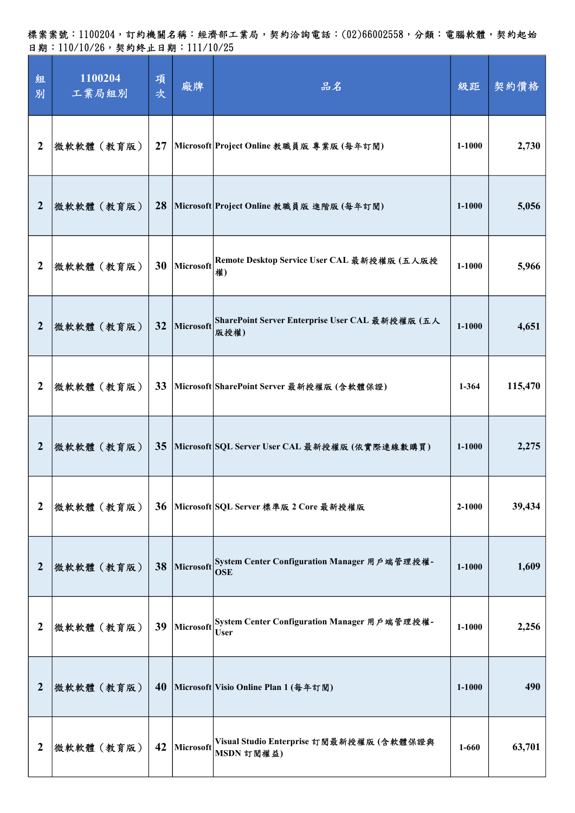| 組<br>別           | 1100204<br>工業局組別 | 項<br>次 | 廠牌        | 品名                                                                   | 級距         | 契約價格    |
|------------------|------------------|--------|-----------|----------------------------------------------------------------------|------------|---------|
| $\boldsymbol{2}$ | 微軟軟體(教育版)        | 27     |           | Microsoft Project Online 教職員版 專業版 (每年訂閱)                             | 1-1000     | 2,730   |
| 2                | 微軟軟體(教育版)        | 28     |           | Microsoft Project Online 教職員版 進階版 (每年訂閱)                             | 1-1000     | 5,056   |
| $\boldsymbol{2}$ | 微軟軟體(教育版)        | 30     | Microsoft | Remote Desktop Service User CAL 最新授權版 (五人版授<br>權)                    | 1-1000     | 5,966   |
| $\overline{2}$   | 微軟軟體(教育版)        | 32     | Microsoft | SharePoint Server Enterprise User CAL 最新授權版 (五人<br>版授權)              | $1 - 1000$ | 4,651   |
| $\boldsymbol{2}$ | 微軟軟體(教育版)        | 33     |           | Microsoft SharePoint Server 最新授權版 (含軟體保證)                            | $1 - 364$  | 115,470 |
| $\boldsymbol{2}$ | 微軟軟體(教育版)        | 35     |           | Microsoft SQL Server User CAL 最新授權版 (依實際連線數購買)                       | 1-1000     | 2,275   |
| $\boldsymbol{2}$ | 微軟軟體(教育版)        | 36     |           | Microsoft SQL Server 標準版 2 Core 最新授權版                                | 2-1000     | 39,434  |
| $\boldsymbol{2}$ | 微軟軟體(教育版)        | 38     |           | Microsoft System Center Configuration Manager 用戶端管理授權-<br><b>OSE</b> | $1 - 1000$ | 1,609   |
| 2                | 微軟軟體 (教育版)       | 39     | Microsoft | System Center Configuration Manager 用戶端管理授權-<br><b>User</b>          | 1-1000     | 2,256   |
| $\boldsymbol{2}$ | 微軟軟體(教育版)        | 40     |           | Microsoft Visio Online Plan 1 (每年訂閱)                                 | $1 - 1000$ | 490     |
| $\boldsymbol{2}$ | 微軟軟體(教育版)        | 42     | Microsoft | Visual Studio Enterprise 訂閱最新授權版 (含軟體保證與<br>MSDN 訂閱權益)               | 1-660      | 63,701  |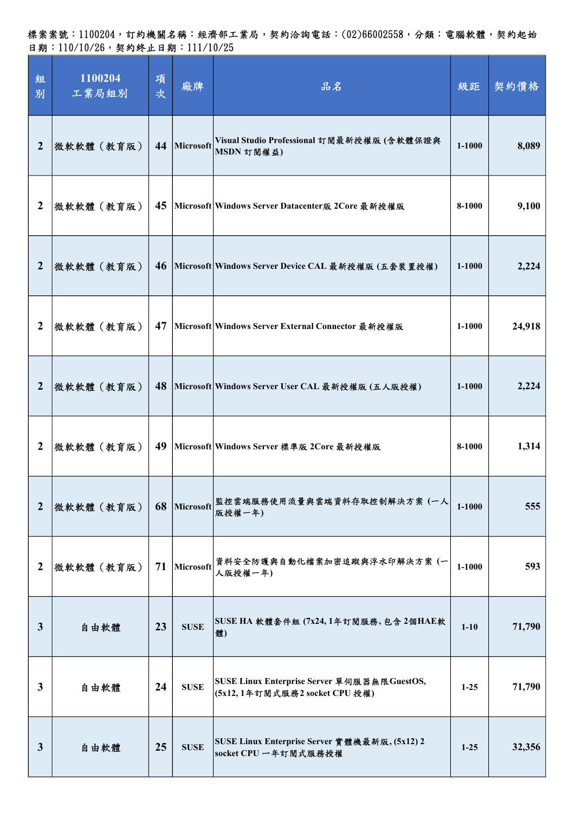| 組<br>別           | 1100204<br>工業局組別 | 項<br>次 | 廠牌          | 品名                                                                           | 級距         | 契約價格   |
|------------------|------------------|--------|-------------|------------------------------------------------------------------------------|------------|--------|
| $\boldsymbol{2}$ | 微軟軟體(教育版)        | 44     | Microsoft   | Visual Studio Professional 訂閱最新授權版(含軟體保證與<br>MSDN 訂閱權益)                      | $1 - 1000$ | 8,089  |
| $\boldsymbol{2}$ | 微軟軟體(教育版)        | 45     |             | Microsoft Windows Server Datacenter版 2Core 最新授權版                             | 8-1000     | 9,100  |
| $\overline{2}$   | 微軟軟體 (教育版)       | 46     |             | Microsoft Windows Server Device CAL 最新授權版 (五套裝置授權)                           | $1 - 1000$ | 2,224  |
| 2                | 微軟軟體(教育版)        | 47     |             | Microsoft Windows Server External Connector 最新授權版                            | 1-1000     | 24,918 |
| $\boldsymbol{2}$ | 微軟軟體(教育版)        | 48     |             | Microsoft Windows Server User CAL 最新授權版 (五人版授權)                              | 1-1000     | 2,224  |
| $\boldsymbol{2}$ | 微軟軟體(教育版)        | 49     |             | Microsoft Windows Server 標準版 2Core 最新授權版                                     | 8-1000     | 1,314  |
| $\overline{2}$   | 微軟軟體(教育版)        | 68     | Microsoft   | 監控雲端服務使用流量與雲端資料存取控制解決方案 (一人<br>版授權一年)                                        | $1 - 1000$ | 555    |
| $\overline{2}$   | 微軟軟體(教育版)        | 71     | Microsoft   | 資料安全防護與自動化檔案加密追蹤與浮水印解決方案(一<br>人版授權一年)                                        | $1 - 1000$ | 593    |
| $\mathbf{3}$     | 自由軟體             | 23     | <b>SUSE</b> | SUSE HA 軟體套件組 (7x24,1年訂閱服務,包含2個HAE軟<br>體)                                    | $1 - 10$   | 71,790 |
| $\mathbf{3}$     | 自由軟體             | 24     | <b>SUSE</b> | SUSE Linux Enterprise Server 單伺服器無限GuestOS,<br>(5x12,1年訂閱式服務2 socket CPU 授權) | $1 - 25$   | 71,790 |
| $\mathbf{3}$     | 自由軟體             | 25     | <b>SUSE</b> | SUSE Linux Enterprise Server 實體機最新版, (5x12) 2<br>socket CPU 一年訂閱式服務授權        | $1 - 25$   | 32,356 |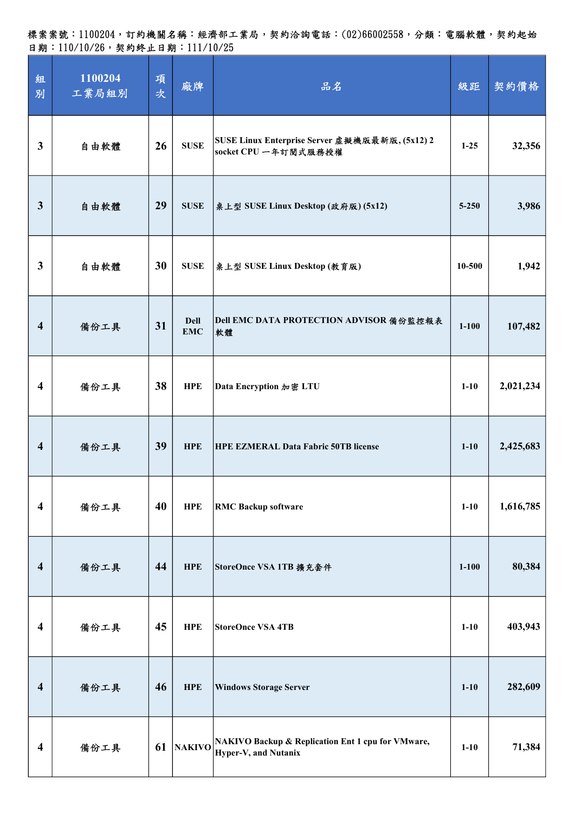| 組<br>別                  | 1100204<br>工業局組別 | 項<br>次 | 廠牌                        | 品名                                                                        | 級距        | 契約價格      |
|-------------------------|------------------|--------|---------------------------|---------------------------------------------------------------------------|-----------|-----------|
| $\mathbf{3}$            | 自由軟體             | 26     | <b>SUSE</b>               | SUSE Linux Enterprise Server 虛擬機版最新版, (5x12) 2<br>socket CPU 一年訂閱式服務授權    | $1-25$    | 32,356    |
| $\mathbf{3}$            | 自由軟體             | 29     | <b>SUSE</b>               | 桌上型 SUSE Linux Desktop (政府版) (5x12)                                       | $5 - 250$ | 3,986     |
| $\mathbf{3}$            | 自由軟體             | 30     | <b>SUSE</b>               | 桌上型 SUSE Linux Desktop (教育版)                                              | 10-500    | 1,942     |
| $\overline{\mathbf{4}}$ | 備份工具             | 31     | <b>Dell</b><br><b>EMC</b> | Dell EMC DATA PROTECTION ADVISOR 備份監控報表<br>軟體                             | $1 - 100$ | 107,482   |
| $\overline{\mathbf{4}}$ | 備份工具             | 38     | <b>HPE</b>                | Data Encryption 加密 LTU                                                    | $1 - 10$  | 2,021,234 |
| $\overline{\mathbf{4}}$ | 備份工具             | 39     | <b>HPE</b>                | <b>HPE EZMERAL Data Fabric 50TB license</b>                               | $1-10$    | 2,425,683 |
| $\overline{\mathbf{4}}$ | 備份工具             | 40     | <b>HPE</b>                | <b>RMC Backup software</b>                                                | $1 - 10$  | 1,616,785 |
| $\overline{\mathbf{4}}$ | 備份工具             | 44     | <b>HPE</b>                | StoreOnce VSA 1TB 擴充套件                                                    | $1 - 100$ | 80,384    |
| $\overline{\mathbf{4}}$ | 備份工具             | 45     | <b>HPE</b>                | <b>StoreOnce VSA 4TB</b>                                                  | $1 - 10$  | 403,943   |
| $\overline{\mathbf{4}}$ | 備份工具             | 46     | <b>HPE</b>                | <b>Windows Storage Server</b>                                             | $1 - 10$  | 282,609   |
| $\overline{\mathbf{4}}$ | 備份工具             | 61     |                           | NAKIVO Rackup & Replication Ent 1 cpu for VMware,<br>Hyper-V, and Nutanix | $1 - 10$  | 71,384    |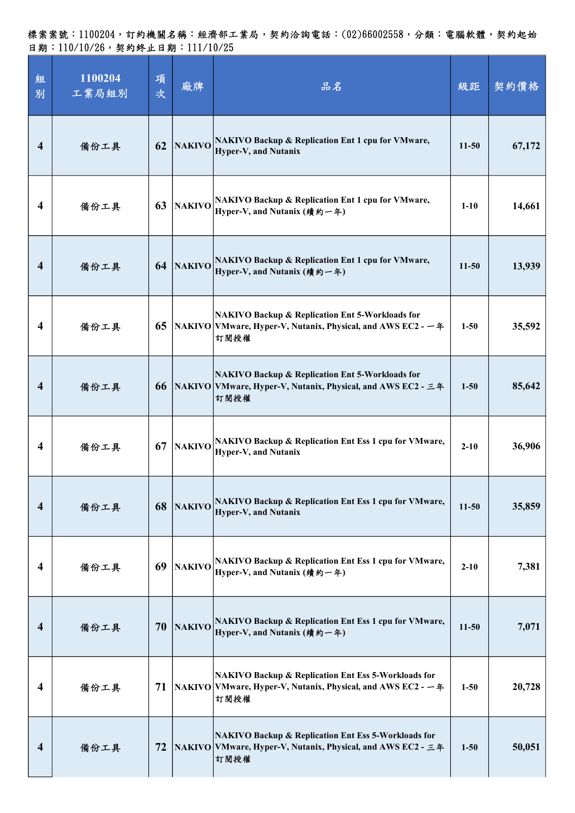| 組<br>別                  | 1100204<br>工業局組別 | 項<br>次 | 廠牌            | 品名                                                                                                                                       | 級距        | 契約價格   |
|-------------------------|------------------|--------|---------------|------------------------------------------------------------------------------------------------------------------------------------------|-----------|--------|
| $\overline{\mathbf{4}}$ | 備份工具             | 62     |               | NAKIVO NAKIVO Backup & Replication Ent 1 cpu for VMware,<br>Hyper-V, and Nutanix                                                         | $11-50$   | 67,172 |
| 4                       | 備份工具             | 63     | <b>NAKIVO</b> | <b>NAKIVO Backup &amp; Replication Ent 1 cpu for VMware,</b><br>Hyper-V, and Nutanix (績約一年)                                              | $1-10$    | 14,661 |
| 4                       | 備份工具             | 64     | <b>NAKIVO</b> | NAKIVO Backup & Replication Ent 1 cpu for VMware,<br>Hyper-V, and Nutanix (績約一年)                                                         | $11-50$   | 13,939 |
| 4                       | 備份工具             | 65     |               | <b>NAKIVO Backup &amp; Replication Ent 5-Workloads for</b><br> NAKIVO   VMware, Hyper-V, Nutanix, Physical, and AWS EC2 - 一年<br>訂閱授權     | $1 - 50$  | 35,592 |
| $\overline{\mathbf{4}}$ | 備份工具             | 66     |               | <b>NAKIVO Backup &amp; Replication Ent 5-Workloads for</b><br> NAKIVO   VMware, Hyper-V, Nutanix, Physical, and AWS EC2 - 三年<br>訂閱授權     | $1 - 50$  | 85,642 |
| 4                       | 備份工具             | 67     | <b>NAKIVO</b> | <b>NAKIVO Backup &amp; Replication Ent Ess 1 cpu for VMware,</b><br>Hyper-V, and Nutanix                                                 | $2 - 10$  | 36,906 |
| 4                       | 備份工具             | 68     | NAKIVO        | NAKIVO Backup & Replication Ent Ess 1 cpu for VMware,<br><b>Hyper-V, and Nutanix</b>                                                     | $11 - 50$ | 35,859 |
| 4                       | 備份工具             | 69     | <b>NAKIVO</b> | NAKIVO Backup & Replication Ent Ess 1 cpu for VMware,<br>Hyper-V, and Nutanix (績約一年)                                                     | $2 - 10$  | 7,381  |
| 4                       | 備份工具             | 70     | <b>NAKIVO</b> | NAKIVO Backup & Replication Ent Ess 1 cpu for VMware,<br>Hyper-V, and Nutanix (績約一年)                                                     | $11 - 50$ | 7,071  |
| 4                       | 備份工具             | 71     |               | <b>NAKIVO Backup &amp; Replication Ent Ess 5-Workloads for</b><br> NAKIVO   VMware, Hyper-V, Nutanix, Physical, and AWS EC2 - 一年<br>訂閱授權 | $1 - 50$  | 20,728 |
| $\overline{4}$          | 備份工具             | 72     |               | <b>NAKIVO Backup &amp; Replication Ent Ess 5-Workloads for</b><br> NAKIVO   VMware, Hyper-V, Nutanix, Physical, and AWS EC2 - 三年<br>訂閱授權 | $1 - 50$  | 50,051 |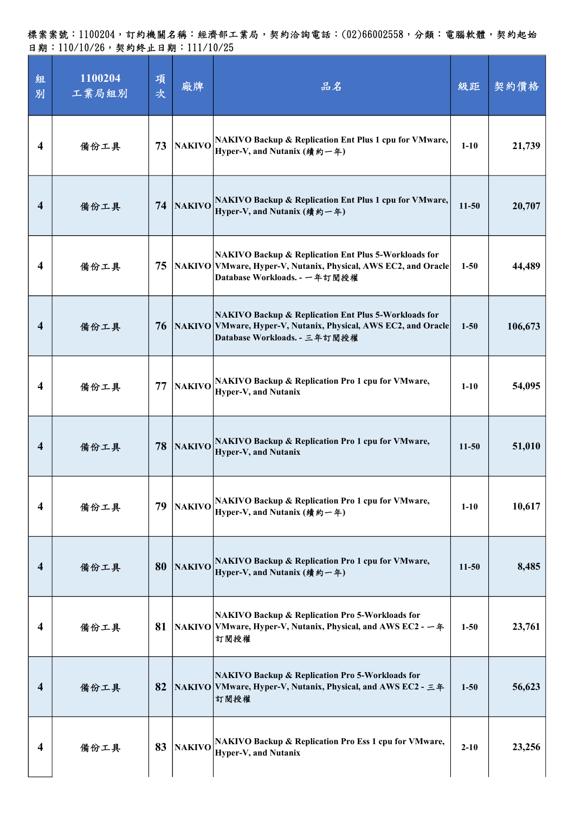| 組<br>別                  | 1100204<br>工業局組別 | 項<br>次 | 廠牌            | 品名                                                                                                                                                                | 級距        | 契約價格    |
|-------------------------|------------------|--------|---------------|-------------------------------------------------------------------------------------------------------------------------------------------------------------------|-----------|---------|
| 4                       | 備份工具             | 73     | <b>NAKIVO</b> | <b>NAKIVO Backup &amp; Replication Ent Plus 1 cpu for VMware,</b><br>Hyper-V, and Nutanix (績約一年)                                                                  | $1-10$    | 21,739  |
| 4                       | 備份工具             | 74     | <b>NAKIVO</b> | NAKIVO Backup & Replication Ent Plus 1 cpu for VMware,<br>Hyper-V, and Nutanix (績約一年)                                                                             | $11-50$   | 20,707  |
| 4                       | 備份工具             | 75     |               | <b>NAKIVO Backup &amp; Replication Ent Plus 5-Workloads for</b><br>NAKIVO VMware, Hyper-V, Nutanix, Physical, AWS EC2, and Oracle<br>Database Workloads. - 一年訂閱授權 | $1 - 50$  | 44,489  |
| 4                       | 備份工具             | 76     |               | <b>NAKIVO Backup &amp; Replication Ent Plus 5-Workloads for</b><br>NAKIVO VMware, Hyper-V, Nutanix, Physical, AWS EC2, and Oracle<br>Database Workloads. - 三年訂閱授權 | $1 - 50$  | 106,673 |
| 4                       | 備份工具             | 77     | <b>NAKIVO</b> | <b>NAKIVO Backup &amp; Replication Pro 1 cpu for VMware,</b><br>Hyper-V, and Nutanix                                                                              | $1-10$    | 54,095  |
| 4                       | 備份工具             | 78     | <b>NAKIVO</b> | <b>NAKIVO Backup &amp; Replication Pro 1 cpu for VMware,</b><br>Hyper-V, and Nutanix                                                                              | $11 - 50$ | 51,010  |
| 4                       | 備份工具             | 79     | <b>NAKIVO</b> | NAKIVO Backup & Replication Pro 1 cpu for VMware,<br>Hyper-V, and Nutanix (績約一年)                                                                                  | $1 - 10$  | 10,617  |
| $\overline{\mathbf{4}}$ | 備份工具             | 80     | <b>NAKIVO</b> | <b>NAKIVO Backup &amp; Replication Pro 1 cpu for VMware,</b><br>Hyper-V, and Nutanix (績約一年)                                                                       | $11-50$   | 8,485   |
| 4                       | 備份工具             | 81     |               | <b>NAKIVO Backup &amp; Replication Pro 5-Workloads for</b><br>NAKIVO VMware, Hyper-V, Nutanix, Physical, and AWS EC2 - 一年<br>訂閱授權                                 | $1 - 50$  | 23,761  |
| 4                       | 備份工具             | 82     |               | <b>NAKIVO Backup &amp; Replication Pro 5-Workloads for</b><br>NAKIVO VMware, Hyper-V, Nutanix, Physical, and AWS EC2 - 三年<br>訂閱授權                                 | $1 - 50$  | 56,623  |
| 4                       | 備份工具             | 83     | <b>NAKIVO</b> | <b>NAKIVO Backup &amp; Replication Pro Ess 1 cpu for VMware,</b><br>Hyper-V, and Nutanix                                                                          | $2 - 10$  | 23,256  |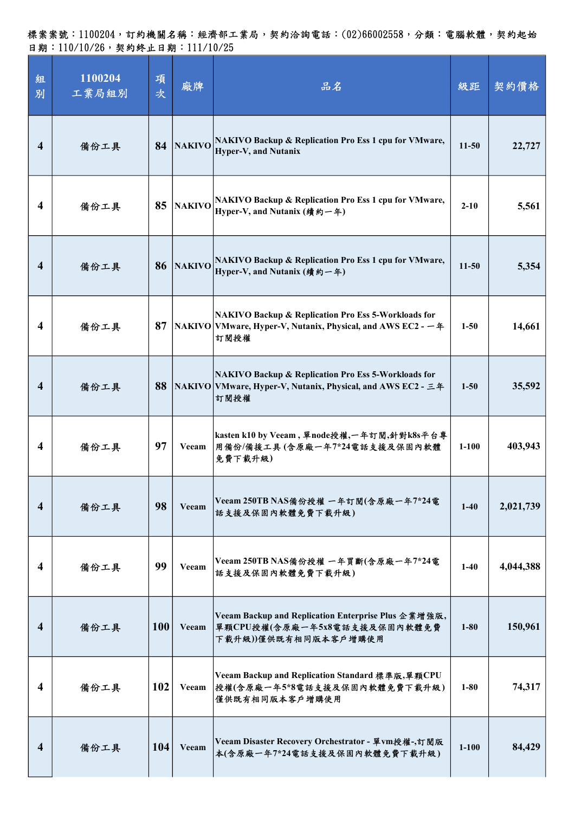| 組<br>別                  | 1100204<br>工業局組別 | 項<br>次     | 廠牌            | 品名                                                                                                                            | 級距        | 契約價格      |
|-------------------------|------------------|------------|---------------|-------------------------------------------------------------------------------------------------------------------------------|-----------|-----------|
| $\overline{\mathbf{4}}$ | 備份工具             | 84         |               | NAKIVO NAKIVO Backup & Replication Pro Ess 1 cpu for VMware,<br><b>Hyper-V, and Nutanix</b>                                   | $11-50$   | 22,727    |
| 4                       | 備份工具             | 85         |               | NAKIVO Rackup & Replication Pro Ess 1 cpu for VMware,<br>Hyper-V, and Nutanix (績約一年)                                          | $2 - 10$  | 5,561     |
| $\overline{\mathbf{4}}$ | 備份工具             | 86         | <b>NAKIVO</b> | NAKIVO Backup & Replication Pro Ess 1 cpu for VMware,<br>Hyper-V, and Nutanix (續約一年)                                          | $11-50$   | 5,354     |
| $\overline{\mathbf{4}}$ | 備份工具             | 87         |               | NAKIVO Backup & Replication Pro Ess 5-Workloads for<br> NAKIVO   VMware, Hyper-V, Nutanix, Physical, and AWS EC2 - 一年<br>訂閱授權 | $1 - 50$  | 14,661    |
| $\overline{\mathbf{4}}$ | 備份工具             | 88         |               | NAKIVO Backup & Replication Pro Ess 5-Workloads for<br> NAKIVO   VMware, Hyper-V, Nutanix, Physical, and AWS EC2 - 三年<br>訂閱授權 | $1 - 50$  | 35,592    |
| 4                       | 備份工具             | 97         | Veeam         | kasten k10 by Veeam, 單node授權,一年訂閱,針對k8s平台專<br>用備份/備援工具(含原廠一年7*24電話支援及保固內軟體<br>免費下載升級)                                         | $1-100$   | 403,943   |
| $\overline{\mathbf{4}}$ | 備份工具             | 98         | Veeam         | Veeam 250TB NAS備份授權 一年訂閱(含原廠一年7*24電<br>話支援及保固內軟體免費下載升級)                                                                       | $1-40$    | 2,021,739 |
| $\overline{\mathbf{4}}$ | 備份工具             | 99         | Veeam         | Veeam 250TB NAS備份授權 一年買斷(含原廠一年7*24電<br>話支援及保固內軟體免費下載升級)                                                                       | $1-40$    | 4,044,388 |
| $\overline{\mathbf{4}}$ | 備份工具             | <b>100</b> | Veeam         | Veeam Backup and Replication Enterprise Plus 企業增強版,<br> 單顆CPU授權(含原廠一年5x8電話支援及保固內軟體免費<br>下载升級))僅供既有相同版本客戶增購使用                  | $1 - 80$  | 150,961   |
| $\overline{\mathbf{4}}$ | 備份工具             | 102        | Veeam         | Veeam Backup and Replication Standard 標準版,單顆CPU<br>授權(含原廠一年5*8電話支援及保固內軟體免費下載升級)<br>僅供既有相同版本客戶增購使用                             | $1 - 80$  | 74,317    |
| $\overline{\mathbf{4}}$ | 備份工具             | <b>104</b> | Veeam         | Veeam Disaster Recovery Orchestrator - 單vm授權-,訂閱版<br>本(含原廠一年7*24電話支援及保固內軟體免費下載升級)                                             | $1 - 100$ | 84,429    |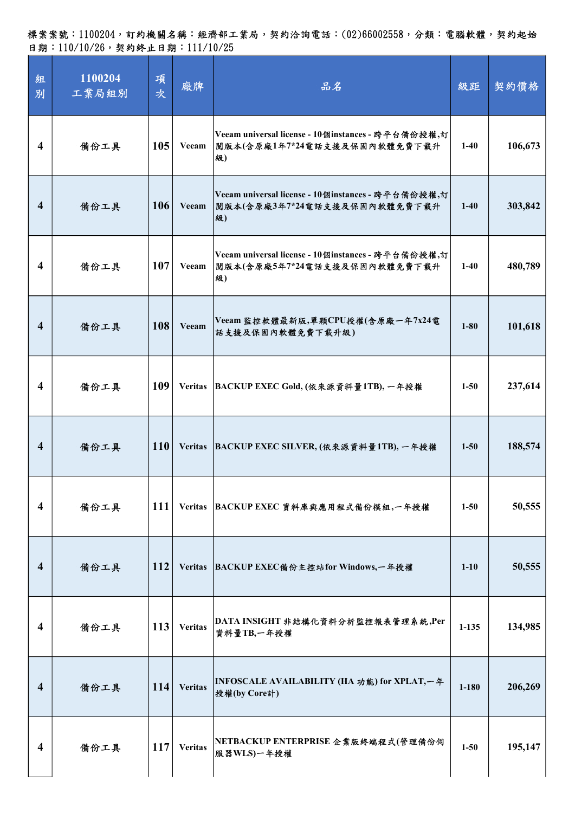| 組<br>別                  | 1100204<br>工業局組別 | 項<br>次 | 廠牌             | 品名                                                                                       | 級距        | 契約價格    |
|-------------------------|------------------|--------|----------------|------------------------------------------------------------------------------------------|-----------|---------|
| $\overline{\mathbf{4}}$ | 備份工具             | 105    | Veeam          | Veeam universal license - 10個instances - 跨平台備份授權,訂<br>閱版本(含原廠1年7*24電話支援及保固內軟體免費下載升<br>级) | $1-40$    | 106,673 |
| $\overline{\mathbf{4}}$ | 備份工具             | 106    | Veeam          | Veeam universal license - 10個instances - 跨平台備份授權,訂<br>閱版本(含原廠3年7*24電話支援及保固內軟體免費下載升<br>级) | $1-40$    | 303,842 |
| $\overline{\mathbf{4}}$ | 備份工具             | 107    | Veeam          | Veeam universal license - 10個instances - 跨平台備份授權,訂<br>閲版本(含原廠5年7*24電話支援及保固內軟體免費下載升<br>級) | $1-40$    | 480,789 |
| $\overline{\mathbf{4}}$ | 備份工具             | 108    | Veeam          | Veeam 監控軟體最新版,單顆CPU授權(含原廠一年7x24電<br>話支援及保固內軟體免費下載升級)                                     | $1 - 80$  | 101,618 |
| 4                       | 備份工具             | 109    |                | Veritas BACKUP EXEC Gold, (依來源資料量1TB), 一年授權                                              | $1 - 50$  | 237,614 |
| $\overline{\mathbf{4}}$ | 備份工具             | 110    |                | Veritas BACKUP EXEC SILVER, (依來源資料量1TB), 一年授權                                            | $1 - 50$  | 188,574 |
| $\overline{\mathbf{4}}$ | 備份工具             | 111    |                | Veritas BACKUP EXEC 資料庫與應用程式備份模組,一年授權                                                    | $1 - 50$  | 50,555  |
| $\overline{\mathbf{4}}$ | 備份工具             | 112    | <b>Veritas</b> | BACKUP EXEC備份主控站for Windows,一年授權                                                         | $1 - 10$  | 50,555  |
| $\overline{\mathbf{4}}$ | 備份工具             | 113    | <b>Veritas</b> | DATA INSIGHT 非結構化資料分析監控報表管理系統,Per<br>資料量TB,一年授權                                          | $1 - 135$ | 134,985 |
| 4                       | 備份工具             | 114    | <b>Veritas</b> | INFOSCALE AVAILABILITY (HA 功能) for XPLAT,一年<br>授權(by Core計)                              | $1 - 180$ | 206,269 |
| $\overline{\mathbf{4}}$ | 備份工具             | 117    | <b>Veritas</b> | NETBACKUP ENTERPRISE 企業版終端程式(管理備份伺<br>服器WLS)一年授權                                         | $1 - 50$  | 195,147 |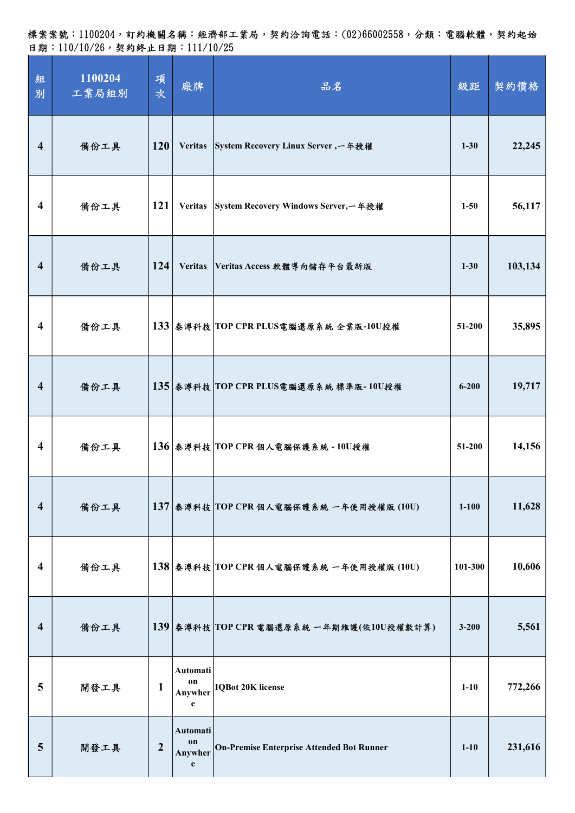標案案號:1100204,訂約機關名稱:經濟部工業局,契約洽詢電話:(02)66002558,分類:電腦軟體,契約起始 日期:110/10/26,契約終止日期:111/10/25

| 組<br>別                  | 1100204<br>工業局組別 | 項<br>次           | 廠牌                             | 品名                                           | 級距        | 契約價格    |
|-------------------------|------------------|------------------|--------------------------------|----------------------------------------------|-----------|---------|
| $\overline{\mathbf{4}}$ | 備份工具             | 120              |                                | Veritas System Recovery Linux Server, 一年授權   | $1 - 30$  | 22,245  |
| 4                       | 備份工具             | 121              |                                | Veritas System Recovery Windows Server, 一年授權 | $1 - 50$  | 56,117  |
| $\overline{\mathbf{4}}$ | 備份工具             | 124              | <b>Veritas</b>                 | Veritas Access 軟體導向儲存平台最新版                   | $1 - 30$  | 103,134 |
| $\boldsymbol{4}$        | 備份工具             |                  |                                | 133 泰溥科技 TOP CPR PLUS電腦還原系統 企業版-10U授權        | 51-200    | 35,895  |
| $\overline{\mathbf{4}}$ | 備份工具             |                  |                                | 135 泰溥科技 TOP CPR PLUS電腦還原系統 標準版-10U授權        | $6 - 200$ | 19,717  |
| $\overline{\mathbf{4}}$ | 備份工具             |                  |                                | $136$ 泰溥科技 TOP CPR 個人電腦保護系統 - 10U授權          | 51-200    | 14,156  |
| $\overline{\mathbf{4}}$ | 備份工具             |                  |                                | 137 泰溥科技 TOP CPR 個人電腦保護系統 一年使用授權版 (10U)      | $1 - 100$ | 11,628  |
| $\boldsymbol{4}$        | 備份工具             |                  |                                | $138$ 泰溥科技 TOP CPR 個人電腦保護系統 一年使用授權版 (10U)    | 101-300   | 10,606  |
| $\overline{\mathbf{4}}$ | 備份工具             |                  |                                | 139 泰溥科技 TOP CPR 電腦還原系統 一年期維護(依10U授權數計算)     | $3 - 200$ | 5,561   |
| 5                       | 開發工具             | $\mathbf{1}$     | Automati<br>on<br>Anywher<br>e | <b>IQBot 20K license</b>                     | $1-10$    | 772,266 |
| 5                       | 開發工具             | $\boldsymbol{2}$ | Automati<br>on<br>Anywher<br>e | On-Premise Enterprise Attended Bot Runner    | $1 - 10$  | 231,616 |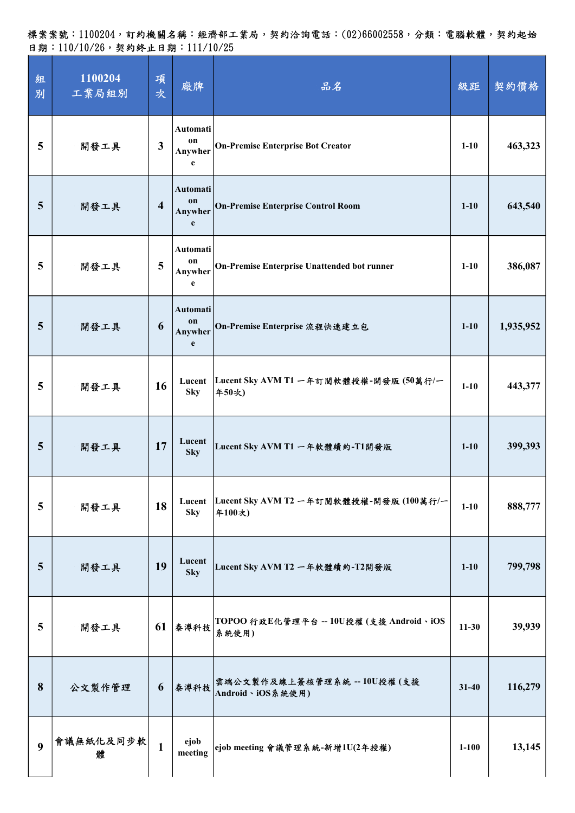| 組<br>別          | 1100204<br>工業局組別 | 項<br>次         | 廠牌                             | 品名                                                        | 級距        | 契約價格      |
|-----------------|------------------|----------------|--------------------------------|-----------------------------------------------------------|-----------|-----------|
| 5               | 開發工具             | $\mathbf{3}$   | Automati<br>on<br>Anywher<br>e | <b>On-Premise Enterprise Bot Creator</b>                  | $1-10$    | 463,323   |
| 5               | 開發工具             | $\overline{4}$ | Automati<br>on<br>Anywher<br>e | <b>On-Premise Enterprise Control Room</b>                 | $1 - 10$  | 643,540   |
| 5               | 開發工具             | 5              | Automati<br>on<br>Anywher<br>e | <b>On-Premise Enterprise Unattended bot runner</b>        | $1-10$    | 386,087   |
| 5               | 開發工具             | 6              | Automati<br>on<br>Anywher<br>e | On-Premise Enterprise 流程快速建立包                             | $1-10$    | 1,935,952 |
| 5               | 開發工具             | 16             | <b>Sky</b>                     | Lucent Lucent Sky AVM T1 一年訂閱軟體授權-開發版 (50萬行/一<br>年50次)    | $1 - 10$  | 443,377   |
| 5               | 開發工具             | 17             | Lucent<br><b>Sky</b>           | Lucent Sky AVM T1 一年軟體續約-T1開發版                            | $1 - 10$  | 399,393   |
| 5               | 開發工具             | 18             | <b>Sky</b>                     | Lucent  Lucent Sky AVM T2 一年訂閱軟體授權-開發版 (100萬行/一<br>年100次) | $1 - 10$  | 888,777   |
| $5\phantom{.0}$ | 開發工具             | 19             | Lucent<br><b>Sky</b>           | Lucent Sky AVM T2 一年軟體續約-T2開發版                            | $1 - 10$  | 799,798   |
| 5               | 開發工具             | 61             | 泰溥科技                           | TOPOO 行政E化管理平台 -- 10U授權 (支援 Android、iOS<br>系統使用)          | $11 - 30$ | 39,939    |
| 8               | 公文製作管理           | 6              | 泰溥科技                           | 雲端公文製作及線上簽核管理系統 -- 10U授權(支援<br>Android、iOS系統使用)           | $31 - 40$ | 116,279   |
| 9               | 會議無紙化及同步軟<br>躄   | $\mathbf{1}$   | ejob<br>meeting                | ejob meeting 會議管理系統-新增1U(2年授權)                            | $1 - 100$ | 13,145    |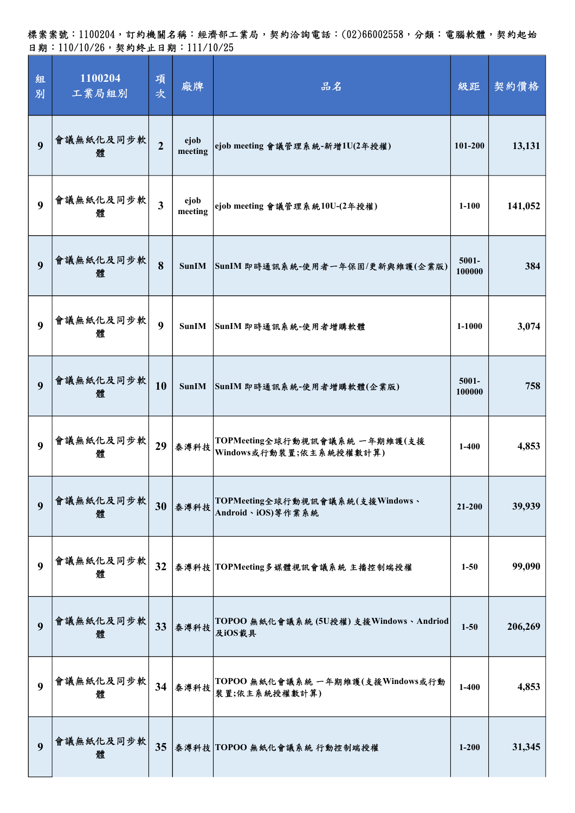| 組<br>別           | 1100204<br>工業局組別 | 項<br>次           | 廠牌              | 品名                                                       | 級距                 | 契約價格    |
|------------------|------------------|------------------|-----------------|----------------------------------------------------------|--------------------|---------|
| 9                | 會議無紙化及同步軟<br>體   | $\overline{2}$   | ejob<br>meeting | ejob meeting 會議管理系統-新增1U(2年授權)                           | 101-200            | 13,131  |
| $\boldsymbol{9}$ | 會議無紙化及同步軟<br>體   | $\overline{3}$   | ejob<br>meeting | ejob meeting 會議管理系統10U-(2年授權)                            | $1 - 100$          | 141,052 |
| 9                | 會議無紙化及同步軟<br>體   | 8                | <b>SunIM</b>    | SunIM 即時通訊系統-使用者一年保固/更新與維護(企業版)                          | 5001-<br>100000    | 384     |
| $\boldsymbol{9}$ | 會議無紙化及同步軟<br>體   | $\boldsymbol{9}$ | <b>SunIM</b>    | SunIM 即時通訊系統-使用者增購軟體                                     | $1 - 1000$         | 3,074   |
| 9                | 會議無紙化及同步軟<br>體   | 10               | <b>SunIM</b>    | SunIM 即時通訊系統-使用者增購軟體(企業版)                                | $5001 -$<br>100000 | 758     |
| 9                | 會議無紙化及同步軟<br>體   | 29               | 泰溥科技            | TOPMeeting全球行動視訊會議系統 一年期維護(支援<br>Windows或行動裝置;依主系統授權數計算) | $1-400$            | 4,853   |
| 9                | 會議無紙化及同步軟<br>體   |                  | 30 泰溥科技         | TOPMeeting全球行動視訊會議系統(支援Windows、<br>Android、iOS)等作業系統     | 21-200             | 39,939  |
| 9                | 會議無紙化及同步軟<br>體   | 32               |                 | 泰溥科技 TOPMeeting多媒體視訊會議系統 主播控制端授權                         | $1 - 50$           | 99,090  |
| 9                | 會議無紙化及同步軟<br>體   | 33               | 泰溥科技            | TOPOO 無紙化會議系統 (5U授權) 支援Windows、Andriod<br>及iOS載具         | $1 - 50$           | 206,269 |
| 9                | 會議無紙化及同步軟<br>體   | 34               | 泰溥科技            | TOPOO 無紙化會議系統 一年期維護(支援Windows或行動<br>裝置;依主系統授權數計算)        | $1 - 400$          | 4,853   |
| 9                | 會議無紙化及同步軟<br>躄   | 35               |                 | 泰溥科技 TOPOO 無紙化會議系統 行動控制端授權                               | $1 - 200$          | 31,345  |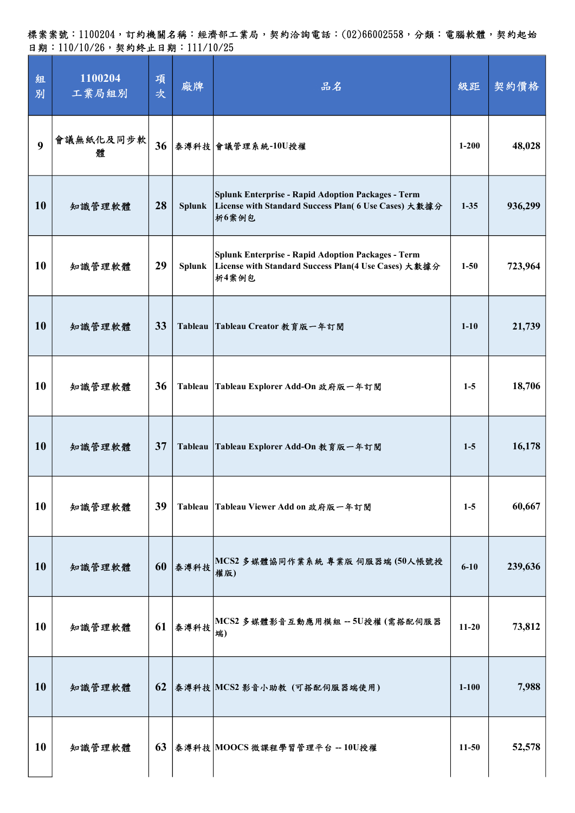| 組<br>別           | 1100204<br>工業局組別 | 項<br>次 | 廠牌            | 品名                                                                                                                         | 級距        | 契約價格    |
|------------------|------------------|--------|---------------|----------------------------------------------------------------------------------------------------------------------------|-----------|---------|
| $\boldsymbol{9}$ | 會議無紙化及同步軟<br>體   | 36     |               | 泰溥科技 會議管理系統-10U授權                                                                                                          | $1 - 200$ | 48,028  |
| 10               | 知識管理軟體           | 28     | <b>Splunk</b> | Splunk Enterprise - Rapid Adoption Packages - Term<br>License with Standard Success Plan( 6 Use Cases) 大敦據分<br>析6案例包       | $1 - 35$  | 936,299 |
| 10               | 知識管理軟體           | 29     | <b>Splunk</b> | <b>Splunk Enterprise - Rapid Adoption Packages - Term</b><br>License with Standard Success Plan(4 Use Cases) 大敦據分<br>析4案例包 | $1 - 50$  | 723,964 |
| <b>10</b>        | 知識管理軟體           | 33     | Tableau       | Tableau Creator 教育版一年訂閱                                                                                                    | $1-10$    | 21,739  |
| 10               | 知識管理軟體           | 36     |               | Tableau Tableau Explorer Add-On 政府版一年訂閲                                                                                    | $1-5$     | 18,706  |
| <b>10</b>        | 知識管理軟體           | 37     | Tableau       | Tableau Explorer Add-On 教育版一年訂閱                                                                                            | $1-5$     | 16,178  |
| <b>10</b>        | 知識管理軟體           | 39     | Tableau       | Tableau Viewer Add on 政府版一年訂閱                                                                                              | $1-5$     | 60,667  |
| <b>10</b>        | 知識管理軟體           | 60     | 泰溥科技          | MCS2 多媒體協同作業系統 專業版 伺服器端 (50人帳號授<br>權版)                                                                                     | $6 - 10$  | 239,636 |
| <b>10</b>        | 知識管理軟體           | 61     | 秦溥科技          | MCS2 多媒體影音互動應用模組 -- 5U授權(需搭配伺服器<br>端)                                                                                      | $11-20$   | 73,812  |
| <b>10</b>        | 知識管理軟體           | 62     |               | 泰溥科技 MCS2 影音小助教 (可搭配伺服器端使用)                                                                                                | $1 - 100$ | 7,988   |
| <b>10</b>        | 知識管理軟體           | 63     |               | 泰溥科技 MOOCS 微課程學習管理平台 -- 10U授權                                                                                              | $11-50$   | 52,578  |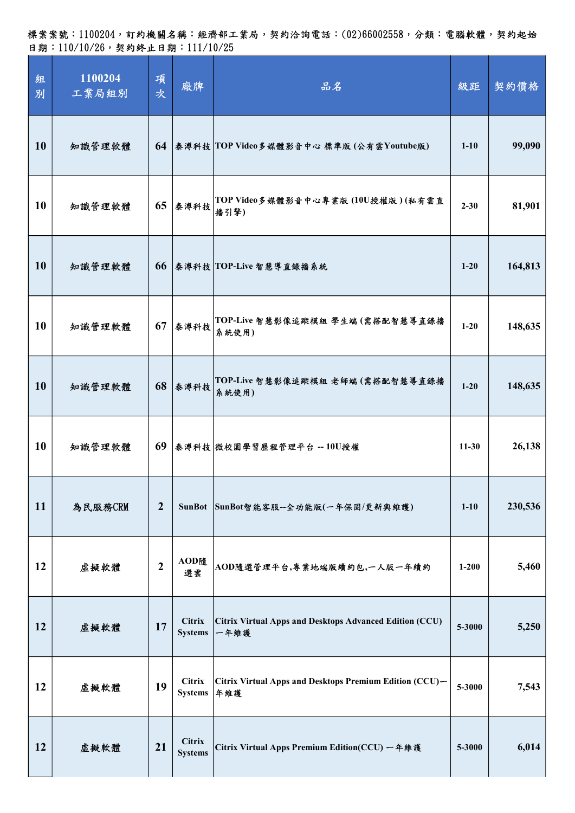標案案號:1100204,訂約機關名稱:經濟部工業局,契約洽詢電話:(02)66002558,分類:電腦軟體,契約起始 日期:110/10/26,契約終止日期:111/10/25

| 組<br>別 | 1100204<br>工業局組別 | 項<br>次           | 廠牌                              | 品名                                                              | 級距        | 契約價格    |
|--------|------------------|------------------|---------------------------------|-----------------------------------------------------------------|-----------|---------|
| 10     | 知識管理軟體           |                  |                                 | 64 泰溥科技 TOP Video多媒體影音中心 標準版 (公有雲Youtube版)                      | $1 - 10$  | 99,090  |
| 10     | 知識管理軟體           |                  | $65$ 泰溥科技                       | TOP Video多媒體影音中心專業版 (10U授權版)(私有雲直<br>播引擎)                       | $2 - 30$  | 81,901  |
| 10     | 知識管理軟體           |                  |                                 | 66 泰溥科技 TOP-Live 智慧導直錄播系統                                       | $1 - 20$  | 164,813 |
| 10     | 知識管理軟體           | 67               | 泰溥科技                            | TOP-Live 智慧影像追蹤模組 學生端 (需搭配智慧導直錄播<br>系統使用)                       | $1-20$    | 148,635 |
| 10     | 知識管理軟體           |                  | 68 泰溥科技                         | TOP-Live 智慧影像追蹤模組 老師端 (需搭配智慧導直錄播<br>系統使用)                       | $1 - 20$  | 148,635 |
| 10     | 知識管理軟體           |                  |                                 | 69 泰溥科技 微校園學習歷程管理平台 -- 10U授權                                    | $11-30$   | 26,138  |
| 11     | 為民服務CRM          | $\boldsymbol{2}$ | <b>SunBot</b>                   | SunBot智能客服--全功能版(一年保固/更新與維護)                                    | $1 - 10$  | 230,536 |
| 12     | 虛擬軟體             | $\boldsymbol{2}$ | AOD随<br>選雲                      | AOD隨選管理平台,專業地端版續約包,一人版一年續約                                      | $1 - 200$ | 5,460   |
| 12     | 虛擬軟體             | 17               | <b>Citrix</b><br><b>Systems</b> | Citrix Virtual Apps and Desktops Advanced Edition (CCU)<br>一年維護 | 5-3000    | 5,250   |
| 12     | 虛擬軟體             | 19               | <b>Citrix</b><br><b>Systems</b> | Citrix Virtual Apps and Desktops Premium Edition (CCU)-<br>年維護  | 5-3000    | 7,543   |
| 12     | 虛擬軟體             | 21               | <b>Citrix</b><br><b>Systems</b> | Citrix Virtual Apps Premium Edition(CCU) 一年維護                   | 5-3000    | 6,014   |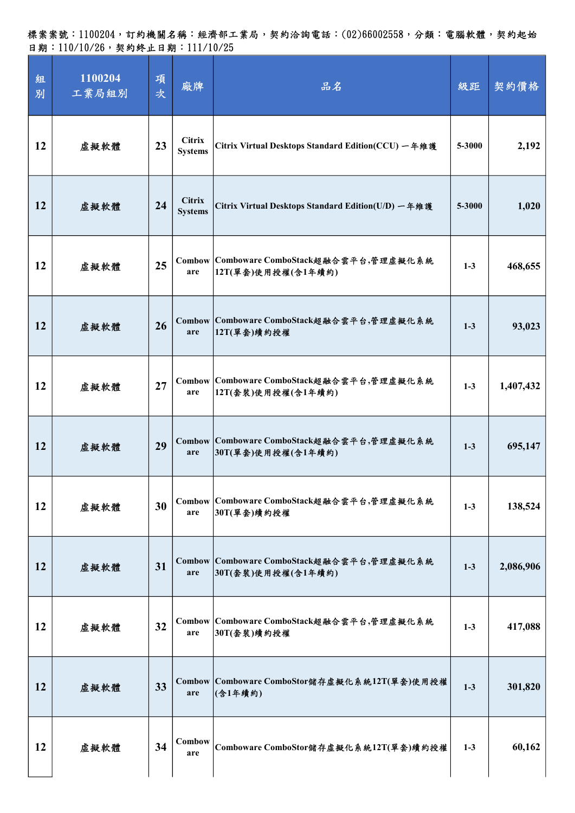| 組<br>別 | 1100204<br>工業局組別 | 項<br>次 | 廠牌                              | 品名                                                              | 級距      | 契約價格      |
|--------|------------------|--------|---------------------------------|-----------------------------------------------------------------|---------|-----------|
| 12     | 虛擬軟體             | 23     | <b>Citrix</b><br><b>Systems</b> | Citrix Virtual Desktops Standard Edition(CCU) 一年維護              | 5-3000  | 2,192     |
| 12     | 虛擬軟體             | 24     | <b>Citrix</b><br><b>Systems</b> | Citrix Virtual Desktops Standard Edition(U/D) 一年維護              | 5-3000  | 1,020     |
| 12     | 虛擬軟體             | 25     | are                             | Combow Comboware ComboStack超融合雲平台,管理虛擬化系統<br>12T(單套)使用授權(含1年續約) | $1-3$   | 468,655   |
| 12     | 虚擬軟體             | 26     | are                             | Combow Comboware ComboStack超融合雲平台,管理虛擬化系統<br>12T(單套)續約授權        | $1-3$   | 93,023    |
| 12     | 虛擬軟體             | 27     | are                             | Combow Comboware ComboStack超融合雲平台,管理虛擬化系統<br>12T(套裝)使用授權(含1年續約) | $1-3$   | 1,407,432 |
| 12     | 虚擬軟體             | 29     | are                             | Combow Comboware ComboStack超融合雲平台,管理虛擬化系統<br>30T(單套)使用授權(含1年續約) | $1-3$   | 695,147   |
| 12     | 虛擬軟體             | 30     | are                             | Combow Comboware ComboStack超融合雲平台,管理虛擬化系統<br>30T(單套)續約授權        | $1-3$   | 138,524   |
| 12     | 虛擬軟體             | 31     | are                             | Combow Comboware ComboStack超融合雲平台,管理虛擬化系統<br>30T(套裝)使用授權(含1年續約) | $1-3$   | 2,086,906 |
| 12     | 虛擬軟體             | 32     | are                             | Combow Comboware ComboStack超融合雲平台,管理虛擬化系統<br>30T(套裝)續約授權        | $1-3$   | 417,088   |
| 12     | 虛擬軟體             | 33     | are                             | Combow Comboware ComboStor儲存虛擬化系統12T(單套)使用授權<br>(含1年續約)         | $1-3$   | 301,820   |
| 12     | 虚擬軟體             | 34     | Combow<br>are                   | Comboware ComboStor儲存虛擬化系統12T(單套)續約授權                           | $1 - 3$ | 60,162    |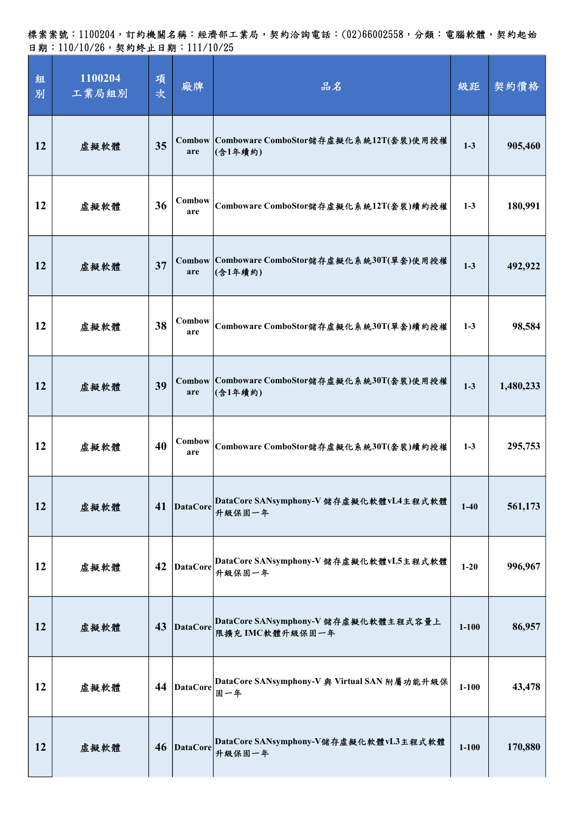| 組<br>別 | 1100204<br>工業局組別 | 項<br>次 | 廠牌              | 品名                                                               | 級距        | 契約價格      |
|--------|------------------|--------|-----------------|------------------------------------------------------------------|-----------|-----------|
| 12     | 虛擬軟體             | 35     | are             | Combow Comboware ComboStor儲存虛擬化系統12T(套裝)使用授權<br>(含1年續約)          | $1-3$     | 905,460   |
| 12     | 虛擬軟體             | 36     | Combow<br>are   | Comboware ComboStor儲存虛擬化系統12T(套裝)續約授權                            | $1-3$     | 180,991   |
| 12     | 虛擬軟體             | 37     | are             | Combow Comboware ComboStor儲存虛擬化系統30T(單套)使用授權<br> (含1年續約)         | $1-3$     | 492,922   |
| 12     | 虛擬軟體             | 38     | Combow<br>are   | Comboware ComboStor儲存虛擬化系統30T(單套)續約授權                            | $1-3$     | 98,584    |
| 12     | 虛擬軟體             | 39     | are             | Combow Comboware ComboStor儲存虛擬化系統30T(套裝)使用授權<br> (含1年續約)         | $1-3$     | 1,480,233 |
| 12     | 虛擬軟體             | 40     | Combow<br>are   | Comboware ComboStor儲存虛擬化系統30T(套裝)續約授權                            | $1-3$     | 295,753   |
| 12     | 虛擬軟體             | 41     | <b>DataCore</b> | DataCore SANsymphony-V 儲存虛擬化軟體vL4主程式軟體<br>升級保固一年                 | $1-40$    | 561,173   |
| 12     | 虛擬軟體             | 42     | <b>DataCore</b> | DataCore SANsymphony-V 儲存虛擬化軟體vL5主程式軟體<br>升級保固一年                 | $1 - 20$  | 996,967   |
| 12     | 虛擬軟體             | 43     |                 | DataCore DataCore SANsymphony-V 儲存虛擬化軟體主程式容量上<br>限擴充 IMC軟體升級保固一年 | $1 - 100$ | 86,957    |
| 12     | 虛擬軟體             | 44     | DataCore        | DataCore SANsymphony-V 與 Virtual SAN 附屬功能升級保<br>固一年              | $1 - 100$ | 43,478    |
| 12     | 虛擬軟體             | 46     |                 | DataCore DataCore SANsymphony-V儲存虛擬化軟體vL3主程式軟體<br>升級保固一年         | $1 - 100$ | 170,880   |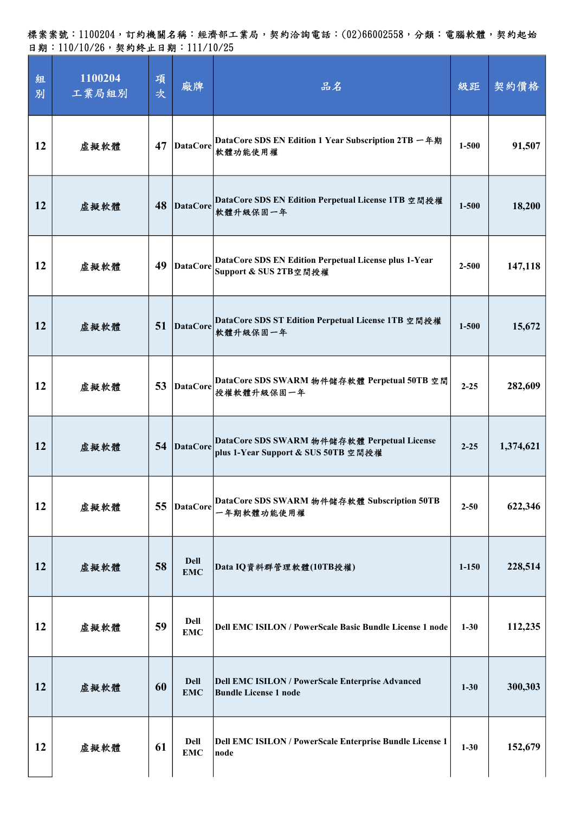| 組<br>別 | 1100204<br>工業局組別 | 項<br>次 | 廠牌                        | 品名                                                                                 | 級距        | 契約價格      |
|--------|------------------|--------|---------------------------|------------------------------------------------------------------------------------|-----------|-----------|
| 12     | 虛擬軟體             | 47     | <b>DataCore</b>           | DataCore SDS EN Edition 1 Year Subscription 2TB 一年期<br>軟體功能使用權                     | $1 - 500$ | 91,507    |
| 12     | 虛擬軟體             | 48     | DataCore                  | DataCore SDS EN Edition Perpetual License 1TB 空間授權<br>軟體升級保固一年                     | $1 - 500$ | 18,200    |
| 12     | 虛擬軟體             | 49     | DataCore                  | DataCore SDS EN Edition Perpetual License plus 1-Year<br>Support & SUS 2TB空間授權     | $2 - 500$ | 147,118   |
| 12     | 虚擬軟體             | 51     | <b>DataCore</b>           | DataCore SDS ST Edition Perpetual License 1TB 空間授權<br>軟體升級保固一年                     | $1 - 500$ | 15,672    |
| 12     | 虛擬軟體             | 53     | DataCore                  | DataCore SDS SWARM 物件储存軟體 Perpetual 50TB 空間<br>授權軟體升級保固一年                          | $2 - 25$  | 282,609   |
| 12     | 虛擬軟體             | 54     | DataCore                  | DataCore SDS SWARM 物件儲存軟體 Perpetual License<br>plus 1-Year Support & SUS 50TB 空間授權 | $2 - 25$  | 1,374,621 |
| 12     | 虛擬軟體             | 55     | <b>DataCore</b>           | DataCore SDS SWARM 物件儲存軟體 Subscription 50TB<br>一年期軟體功能使用權                          | $2 - 50$  | 622,346   |
| 12     | 虛擬軟體             | 58     | <b>Dell</b><br><b>EMC</b> | Data IQ資料群管理軟體(10TB授權)                                                             | $1 - 150$ | 228,514   |
| 12     | 虛擬軟體             | 59     | <b>Dell</b><br><b>EMC</b> | Dell EMC ISILON / PowerScale Basic Bundle License 1 node                           | $1 - 30$  | 112,235   |
| 12     | 虛擬軟體             | 60     | <b>Dell</b><br><b>EMC</b> | Dell EMC ISILON / PowerScale Enterprise Advanced<br><b>Bundle License 1 node</b>   | $1 - 30$  | 300,303   |
| 12     | 虛擬軟體             | 61     | Dell<br><b>EMC</b>        | Dell EMC ISILON / PowerScale Enterprise Bundle License 1<br>node                   | $1 - 30$  | 152,679   |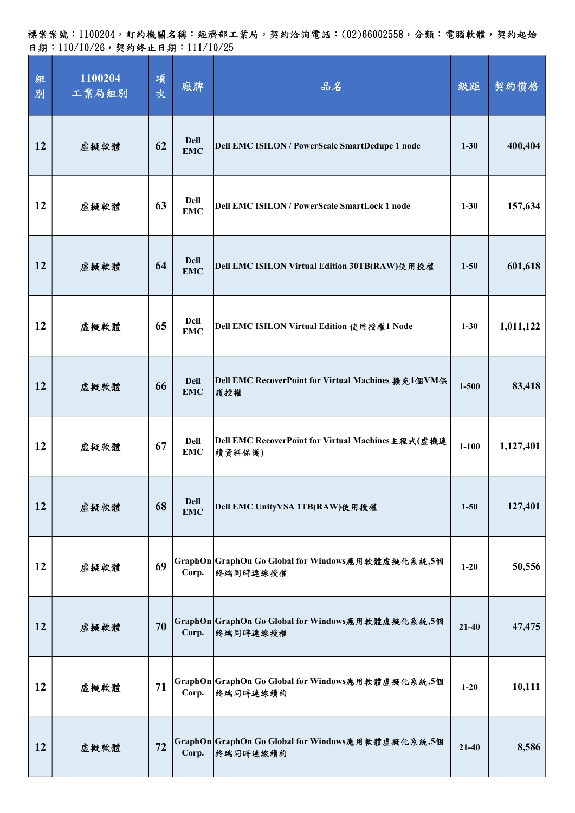標案案號:1100204,訂約機關名稱:經濟部工業局,契約洽詢電話:(02)66002558,分類:電腦軟體,契約起始 日期:110/10/26,契約終止日期:111/10/25

| 組<br>別 | 1100204<br>工業局組別 | 項<br>次 | 廠牌                        | 品名                                                            | 級距        | 契約價格      |
|--------|------------------|--------|---------------------------|---------------------------------------------------------------|-----------|-----------|
| 12     | 虛擬軟體             | 62     | <b>Dell</b><br><b>EMC</b> | Dell EMC ISILON / PowerScale SmartDedupe 1 node               | $1 - 30$  | 400,404   |
| 12     | 虛擬軟體             | 63     | <b>Dell</b><br><b>EMC</b> | <b>Dell EMC ISILON / PowerScale SmartLock 1 node</b>          | $1 - 30$  | 157,634   |
| 12     | 虛擬軟體             | 64     | <b>Dell</b><br><b>EMC</b> | Dell EMC ISILON Virtual Edition 30TB(RAW)使用授權                 | $1 - 50$  | 601,618   |
| 12     | 虛擬軟體             | 65     | <b>Dell</b><br><b>EMC</b> | Dell EMC ISILON Virtual Edition 使用授權1 Node                    | $1 - 30$  | 1,011,122 |
| 12     | 虛擬軟體             | 66     | <b>Dell</b><br><b>EMC</b> | Dell EMC RecoverPoint for Virtual Machines 擴充1個VM保<br>護授權     | $1 - 500$ | 83,418    |
| 12     | 虛擬軟體             | 67     | <b>Dell</b><br><b>EMC</b> | Dell EMC RecoverPoint for Virtual Machines主程式(虚機連<br>續資料保護)   | $1 - 100$ | 1,127,401 |
| 12     | 虛擬軟體             | 68     | <b>Dell</b><br><b>EMC</b> | Dell EMC UnityVSA 1TB(RAW)使用授權                                | $1 - 50$  | 127,401   |
| 12     | 虛擬軟體             | 69     | Corp.                     | GraphOn GraphOn Go Global for Windows應用軟體虛擬化系統,5個<br>終端同時連線授權 | $1 - 20$  | 50,556    |
| 12     | 虛擬軟體             | 70     | Corp.                     | GraphOn GraphOn Go Global for Windows應用軟體虛擬化系統,5個<br>終端同時連線授權 | $21 - 40$ | 47,475    |
| 12     | 虛擬軟體             | 71     | Corp.                     | GraphOn GraphOn Go Global for Windows應用軟體虛擬化系統,5個<br>終端同時連線續約 | $1-20$    | 10,111    |
| 12     | 虛擬軟體             | 72     | Corp.                     | GraphOn GraphOn Go Global for Windows應用軟體虛擬化系統,5個<br>终端同時連線續約 | $21 - 40$ | 8,586     |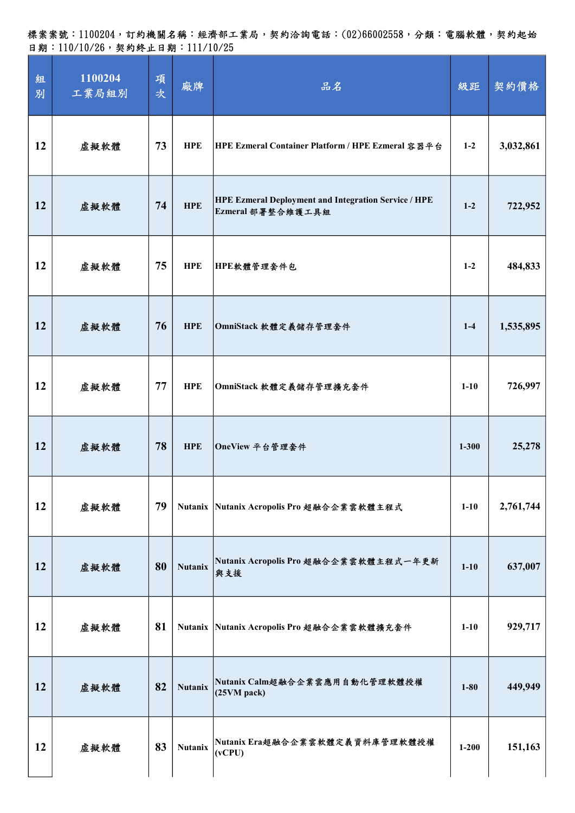| 組<br>別 | 1100204<br>工業局組別 | 項<br>次 | 廠牌             | 品名                                                                              | 級距        | 契約價格      |
|--------|------------------|--------|----------------|---------------------------------------------------------------------------------|-----------|-----------|
| 12     | 虛擬軟體             | 73     | <b>HPE</b>     | HPE Ezmeral Container Platform / HPE Ezmeral 容器平台                               | $1 - 2$   | 3,032,861 |
| 12     | 虛擬軟體             | 74     | <b>HPE</b>     | <b>HPE Ezmeral Deployment and Integration Service / HPE</b><br>Ezmeral部署整合維護工具組 | $1-2$     | 722,952   |
| 12     | 虛擬軟體             | 75     | <b>HPE</b>     | HPE軟體管理套件包                                                                      | $1 - 2$   | 484,833   |
| 12     | 虛擬軟體             | 76     | <b>HPE</b>     | OmniStack 軟體定義儲存管理套件                                                            | $1-4$     | 1,535,895 |
| 12     | 虚擬軟體             | 77     | <b>HPE</b>     | OmniStack 軟體定義儲存管理擴充套件                                                          | $1-10$    | 726,997   |
| 12     | 虚擬軟體             | 78     | <b>HPE</b>     | OneView 平台管理套件                                                                  | $1 - 300$ | 25,278    |
| 12     | 虛擬軟體             | 79     |                | Nutanix Nutanix Acropolis Pro 超融合企業雲軟體主程式                                       | $1-10$    | 2,761,744 |
| 12     | 虛擬軟體             | 80     | <b>Nutanix</b> | Nutanix Acropolis Pro 超融合企業雲軟體主程式一年更新<br>與支援                                    | $1 - 10$  | 637,007   |
| 12     | 虛擬軟體             | 81     |                | Nutanix Nutanix Acropolis Pro 超融合企業雲軟體擴充套件                                      | $1-10$    | 929,717   |
| 12     | 虛擬軟體             | 82     | <b>Nutanix</b> | Nutanix Calm超融合企業雲應用自動化管理軟體授權<br>(25VM pack)                                    | $1 - 80$  | 449,949   |
| 12     | 虚擬軟體             | 83     | <b>Nutanix</b> | Nutanix Era超融合企業雲軟體定義資料庫管理軟體授權<br>(vCPU)                                        | $1 - 200$ | 151,163   |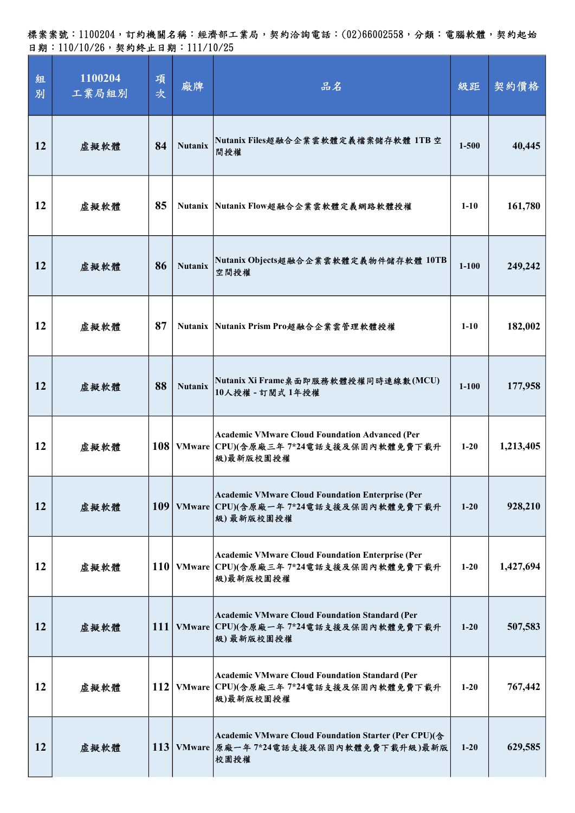標案案號:1100204,訂約機關名稱:經濟部工業局,契約洽詢電話:(02)66002558,分類:電腦軟體,契約起始 日期:110/10/26,契約終止日期:111/10/25

| 組<br>別 | 1100204<br>工業局組別 | 項<br>次 | 廠牌             | 品名                                                                                                                | 級距        | 契約價格      |
|--------|------------------|--------|----------------|-------------------------------------------------------------------------------------------------------------------|-----------|-----------|
| 12     | 虛擬軟體             | 84     | <b>Nutanix</b> | Nutanix Files超融合企業雲軟體定義檔案儲存軟體 1TB 空<br>間授權                                                                        | $1 - 500$ | 40,445    |
| 12     | 虛擬軟體             | 85     |                | Nutanix Nutanix Flow超融合企業雲軟體定義網路軟體授權                                                                              | $1-10$    | 161,780   |
| 12     | 虛擬軟體             | 86     | <b>Nutanix</b> | Nutanix Objects超融合企業雲軟體定義物件儲存軟體 10TB<br>空間授權                                                                      | $1 - 100$ | 249,242   |
| 12     | 虛擬軟體             | 87     |                | Nutanix Nutanix Prism Pro超融合企業雲管理軟體授權                                                                             | $1 - 10$  | 182,002   |
| 12     | 虛擬軟體             | 88     | <b>Nutanix</b> | Nutanix Xi Frame桌面即服務軟體授權同時連線數(MCU)<br>10人授權 - 訂閱式 1年授權                                                           | $1 - 100$ | 177,958   |
| 12     | 虛擬軟體             |        |                | <b>Academic VMware Cloud Foundation Advanced (Per</b><br>108 VMware CPU)(含原廠三年 7*24電話支援及保固內軟體免費下載升<br>級)最新版校園授權   | $1 - 20$  | 1,213,405 |
| 12     | 虛擬軟體             |        |                | <b>Academic VMware Cloud Foundation Enterprise (Per</b><br>109 VMware CPU)(含原廠一年 7*24電話支援及保固內軟體免費下載升<br>級)最新版校園授權 | $1 - 20$  | 928,210   |
| 12     | 虛擬軟體             |        |                | <b>Academic VMware Cloud Foundation Enterprise (Per</b><br>110 VMware CPU)(含原廠三年 7*24電話支援及保固內軟體免費下載升<br>級)最新版校園授權 | $1 - 20$  | 1,427,694 |
| 12     | 虛擬軟體             |        |                | <b>Academic VMware Cloud Foundation Standard (Per</b><br>111 VMware CPU)(含原廠一年 7*24電話支援及保固內軟體免費下載升<br>級)最新版校園授權   | $1 - 20$  | 507,583   |
| 12     | 虛擬軟體             |        |                | <b>Academic VMware Cloud Foundation Standard (Per</b><br>112 VMware CPU)(含原廠三年 7*24電話支援及保固內軟體免費下載升<br>級)最新版校園授權   | $1-20$    | 767,442   |
| 12     | 虛擬軟體             |        |                | Academic VMware Cloud Foundation Starter (Per CPU)(含<br>113 VMware 原廠一年 7*24電話支援及保固內軟體免費下載升級)最新版<br>校園授權          | $1 - 20$  | 629,585   |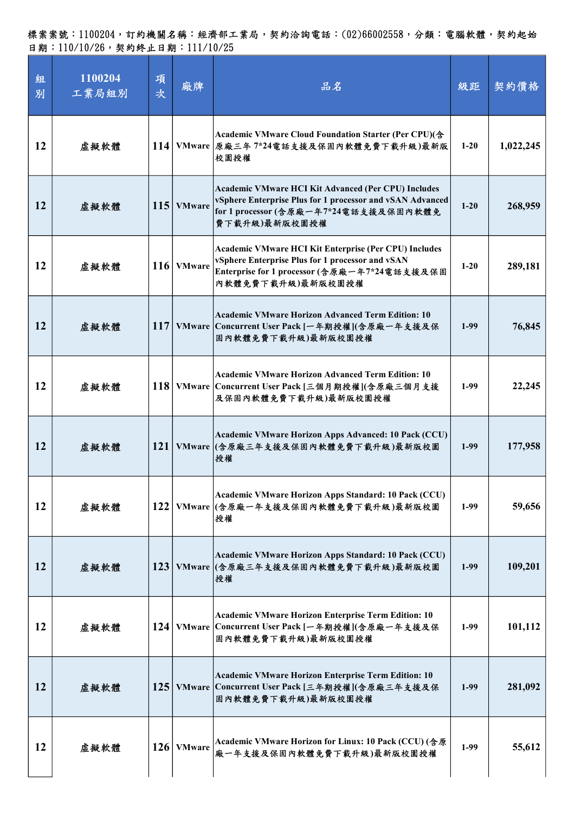| 組<br>別    | 1100204<br>工業局組別 | 項<br>次     | 廠牌            | 品名                                                                                                                                                                                    | 級距       | 契約價格      |
|-----------|------------------|------------|---------------|---------------------------------------------------------------------------------------------------------------------------------------------------------------------------------------|----------|-----------|
| 12        | 虛擬軟體             |            |               | Academic VMware Cloud Foundation Starter (Per CPU)(含<br>114 VMware 原廠三年 7*24電話支援及保固內軟體免費下載升級)最新版<br>校園授權                                                                              | $1-20$   | 1,022,245 |
| 12        | 虛擬軟體             | 115        | <b>VMware</b> | Academic VMware HCI Kit Advanced (Per CPU) Includes<br>vSphere Enterprise Plus for 1 processor and vSAN Advanced<br>for 1 processor (含原廠一年7*24電話支援及保固內軟體免<br>費下載升級)最新版校園授權            | $1 - 20$ | 268,959   |
| 12        | 虛擬軟體             | <b>116</b> | <b>VMware</b> | <b>Academic VMware HCI Kit Enterprise (Per CPU) Includes</b><br>vSphere Enterprise Plus for 1 processor and vSAN<br>Enterprise for 1 processor (含原廠一年7*24電話支援及保固<br>內軟體免費下載升級)最新版校園授權 | $1 - 20$ | 289,181   |
| 12        | 虛擬軟體             | 117        |               | <b>Academic VMware Horizon Advanced Term Edition: 10</b><br>VMware Concurrent User Pack [一年期授權](含原廠一年支援及保<br>固内軟體免費下載升級)最新版校園授權                                                       | $1-99$   | 76,845    |
| 12        | 虛擬軟體             |            |               | Academic VMware Horizon Advanced Term Edition: 10<br>118 VMware Concurrent User Pack [三個月期授權](含原廠三個月支援<br>及保固內軟體免費下載升級)最新版校園授權                                                        | $1-99$   | 22,245    |
| <b>12</b> | 虛擬軟體             | <b>121</b> |               | Academic VMware Horizon Apps Advanced: 10 Pack (CCU)<br>VMware (含原廠三年支援及保固內軟體免費下載升級)最新版校園<br> 授權                                                                                      | $1-99$   | 177,958   |
| 12        | 虛擬軟體             | 122        |               | Academic VMware Horizon Apps Standard: 10 Pack (CCU)<br>VMware (含原廠一年支援及保固內軟體免費下載升級)最新版校園<br> 授權                                                                                      | $1-99$   | 59,656    |
| 12        | 虛擬軟體             | <b>123</b> |               | Academic VMware Horizon Apps Standard: 10 Pack (CCU)<br>VMware (含原廠三年支援及保固內軟體免費下載升級)最新版校園<br>授權                                                                                       | $1-99$   | 109,201   |
| 12        | 虛擬軟體             | 124        | <b>VMware</b> | Academic VMware Horizon Enterprise Term Edition: 10<br> Concurrent User Pack [一年期授權](含原廠一年支援及保<br>固内軟體免費下載升級)最新版校園授權                                                                  | $1-99$   | 101,112   |
| 12        | 虛擬軟體             | 125        |               | Academic VMware Horizon Enterprise Term Edition: 10<br>VMware Concurrent User Pack [三年期授權](含原廠三年支援及保<br>固内軟體免費下載升級)最新版校園授權                                                            | $1-99$   | 281,092   |
| 12        | 虛擬軟體             | <b>126</b> | <b>VMware</b> | Academic VMware Horizon for Linux: 10 Pack (CCU) (含原<br>廠一年支援及保固內軟體免費下載升級)最新版校園授權                                                                                                     | $1-99$   | 55,612    |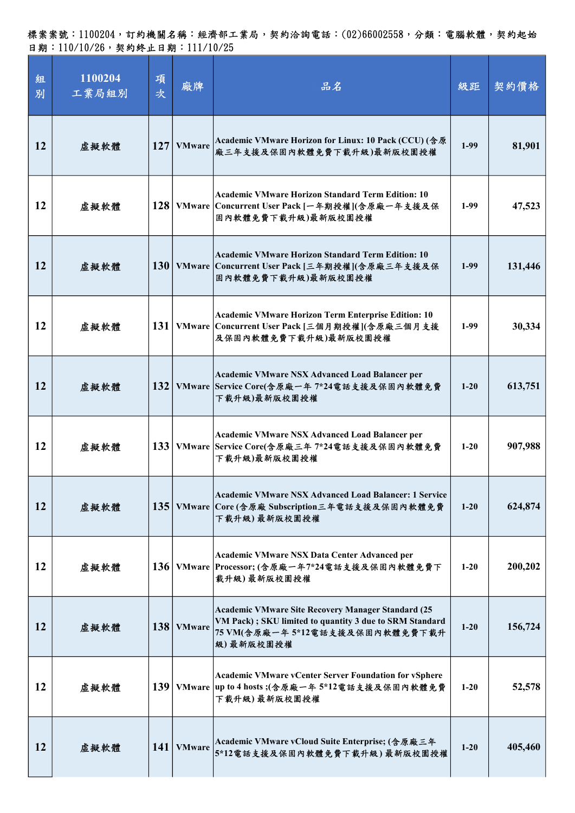| 組<br>別    | 1100204<br>工業局組別 | 項<br>次 | 廠牌            | 品名                                                                                                                                                           | 級距       | 契約價格    |
|-----------|------------------|--------|---------------|--------------------------------------------------------------------------------------------------------------------------------------------------------------|----------|---------|
| <b>12</b> | 虛擬軟體             | 127    | <b>VMware</b> | Academic VMware Horizon for Linux: 10 Pack (CCU) (含原<br>廠三年支援及保固內軟體免費下載升級)最新版校園授權                                                                            | $1-99$   | 81,901  |
| 12        | 虛擬軟體             |        |               | Academic VMware Horizon Standard Term Edition: 10<br>128   VMware   Concurrent User Pack [一年期授權](含原廠一年支援及保<br>固内軟體免費下載升級)最新版校園授權                             | $1-99$   | 47,523  |
| <b>12</b> | 虛擬軟體             |        |               | Academic VMware Horizon Standard Term Edition: 10<br>130   VMware   Concurrent User Pack [三年期授權](含原廠三年支援及保<br>固内軟體免費下載升級)最新版校園授權                             | $1-99$   | 131,446 |
| 12        | 虛擬軟體             |        |               | Academic VMware Horizon Term Enterprise Edition: 10<br>131   VMware   Concurrent User Pack [三個月期授權](含原廠三個月支援<br>及保固內軟體免費下載升級)最新版校園授權                         | $1-99$   | 30,334  |
| <b>12</b> | 虛擬軟體             |        |               | Academic VMware NSX Advanced Load Balancer per<br>132 VMware Service Core(含原廠一年7*24電話支援及保固內軟體免費<br>下载升級)最新版校園授權                                              | $1 - 20$ | 613,751 |
| 12        | 虛擬軟體             |        |               | Academic VMware NSX Advanced Load Balancer per<br>133   VMware   Service Core(含原廠三年 7*24電話支援及保固內軟體免費<br>下载升級)最新版校園授權                                         | $1 - 20$ | 907,988 |
| 12        | 虛擬軟體             |        |               | Academic VMware NSX Advanced Load Balancer: 1 Service<br>135 VMware Core (含原廠 Subscription三年電話支援及保固內軟體免費<br>下载升级)最新版校園授權                                     | $1 - 20$ | 624,874 |
| 12        | 虛擬軟體             |        |               | Academic VMware NSX Data Center Advanced per<br>136 VMware Processor; (含原廠一年7*24電話支援及保固內軟體免費下<br>载升級)最新版校園授權                                                 | $1-20$   | 200,202 |
| 12        | 虛擬軟體             |        | 138   VMware  | Academic VMware Site Recovery Manager Standard (25<br>VM Pack); SKU limited to quantity 3 due to SRM Standard<br>75 VM(含原廠一年5*12電話支援及保固內軟體免費下載升<br>級)最新版校園授權 | $1 - 20$ | 156,724 |
| 12        | 虛擬軟體             | 139    |               | Academic VMware vCenter Server Foundation for vSphere<br>VMware up to 4 hosts;(含原廠一年5*12電話支援及保固內軟體免費<br>下载升級) 最新版校園授權                                        | $1-20$   | 52,578  |
| 12        | 虛擬軟體             | 141    | <b>VMware</b> | Academic VMware vCloud Suite Enterprise; (含原廠三年<br>5*12電話支援及保固內軟體免費下載升級)最新版校園授權                                                                              | $1 - 20$ | 405,460 |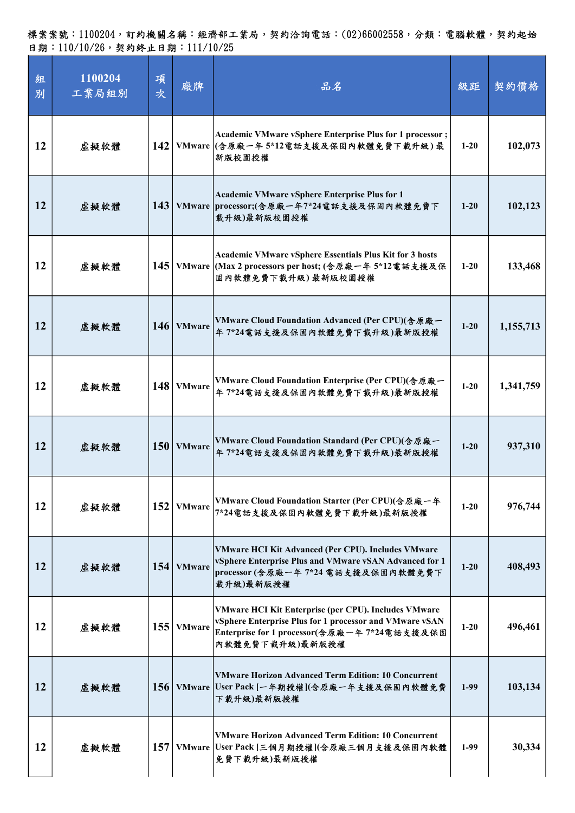| 組<br>別 | 1100204<br>工業局組別 | 項<br>次           | 廠牌             | 品名                                                                                                                                                                                 | 級距       | 契約價格      |
|--------|------------------|------------------|----------------|------------------------------------------------------------------------------------------------------------------------------------------------------------------------------------|----------|-----------|
| 12     | 虛擬軟體             |                  |                | <b>Academic VMware vSphere Enterprise Plus for 1 processor;</b><br>142 VMware (含原廠一年5*12電話支援及保固內軟體免費下載升級)最<br>新版校園授權                                                               | $1-20$   | 102,073   |
| 12     | 虛擬軟體             | 143              |                | Academic VMware vSphere Enterprise Plus for 1<br>VMware processor;(含原廠一年7*24電話支援及保固內軟體免費下<br>載升級)最新版校園授權                                                                           | $1-20$   | 102,123   |
| 12     | 虛擬軟體             | 145              |                | <b>Academic VMware vSphere Essentials Plus Kit for 3 hosts</b><br>VMware (Max 2 processors per host; (含原廠一年 5*12電話支援及保<br>固内軟體免費下載升級)最新版校園授權                                       | $1-20$   | 133,468   |
| 12     | 虛擬軟體             |                  | 146 VMware     | VMware Cloud Foundation Advanced (Per CPU)(含原廠一<br>年7*24電話支援及保固內軟體免費下載升級)最新版授權                                                                                                     | $1-20$   | 1,155,713 |
| 12     | 虛擬軟體             |                  | $148$ VMware   | VMware Cloud Foundation Enterprise (Per CPU)(含原廠一<br>年7*24電話支援及保固內軟體免費下載升級)最新版授權                                                                                                   | $1-20$   | 1,341,759 |
| 12     | 虛擬軟體             |                  | $150$   VMware | VMware Cloud Foundation Standard (Per CPU)(含原廠一<br>年7*24電話支援及保固內軟體免費下載升級)最新版授權                                                                                                     | $1-20$   | 937,310   |
| 12     | 虛擬軟體             | 152              | <b>VMware</b>  | VMware Cloud Foundation Starter (Per CPU)(含原廠一年<br>7*24電話支援及保固內軟體免費下載升級)最新版授權                                                                                                      | $1-20$   | 976,744   |
| 12     | 虛擬軟體             |                  | $154$   VMware | VMware HCI Kit Advanced (Per CPU). Includes VMware<br>vSphere Enterprise Plus and VMware vSAN Advanced for 1<br>processor (含原廠一年 7*24 電話支援及保固內軟體免費下<br>载升級)最新版授權                   | $1-20$   | 408,493   |
| 12     | 虛擬軟體             |                  | $155$ VMware   | VMware HCI Kit Enterprise (per CPU). Includes VMware<br>vSphere Enterprise Plus for 1 processor and VMware vSAN<br>Enterprise for 1 processor(含原廠一年 7*24電話支援及保固<br>內軟體免費下載升級)最新版授權 | $1 - 20$ | 496,461   |
| 12     | 虛擬軟體             |                  |                | <b>VMware Horizon Advanced Term Edition: 10 Concurrent</b><br>156 VMware User Pack [一年期授權](含原廠一年支援及保固內軟體免費<br>下载升級)最新版授權                                                           | $1-99$   | 103,134   |
| 12     | 虛擬軟體             | 157 <sup>1</sup> |                | <b>VMware Horizon Advanced Term Edition: 10 Concurrent</b><br>VMware User Pack [三個月期授權](含原廠三個月支援及保固內軟體<br>免費下載升級)最新版授權                                                             | $1-99$   | 30,334    |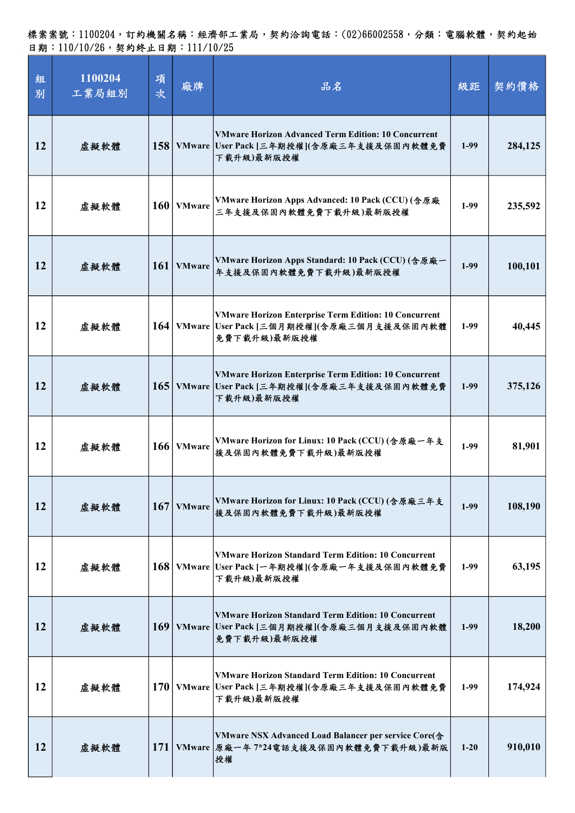| 組<br>別 | 1100204<br>工業局組別 | 項<br>次     | 廠牌           | 品名                                                                                                                           | 級距     | 契約價格    |
|--------|------------------|------------|--------------|------------------------------------------------------------------------------------------------------------------------------|--------|---------|
| 12     | 虛擬軟體             |            |              | <b>VMware Horizon Advanced Term Edition: 10 Concurrent</b><br>158 VMware User Pack [三年期授權](含原廠三年支援及保固內軟體免費<br>下载升級)最新版授權     | $1-99$ | 284,125 |
| 12     | 虛擬軟體             |            | $160$ VMware | VMware Horizon Apps Advanced: 10 Pack (CCU) (含原廠<br>三年支援及保固內軟體免費下載升級)最新版授權                                                   | $1-99$ | 235,592 |
| 12     | 虛擬軟體             |            | 161   VMware | VMware Horizon Apps Standard: 10 Pack (CCU) (含原廠一<br>年支援及保固內軟體免費下載升級)最新版授權                                                   | $1-99$ | 100,101 |
| 12     | 虛擬軟體             |            |              | <b>VMware Horizon Enterprise Term Edition: 10 Concurrent</b><br>164 VMware User Pack [三個月期授權](含原廠三個月支援及保固內軟體<br>免費下載升級)最新版授權 | $1-99$ | 40,445  |
| 12     | 虛擬軟體             |            |              | <b>VMware Horizon Enterprise Term Edition: 10 Concurrent</b><br>165 VMware User Pack [三年期授權](含原廠三年支援及保固內軟體免費<br>下载升級)最新版授權   | $1-99$ | 375,126 |
| 12     | 虛擬軟體             |            | $166$ VMware | VMware Horizon for Linux: 10 Pack (CCU) (含原廠一年支<br>援及保固內軟體免費下載升級)最新版授權                                                       | $1-99$ | 81,901  |
| 12     | 虛擬軟體             |            | $167$ VMware | VMware Horizon for Linux: 10 Pack (CCU) (含原廠三年支<br>接及保固內軟體免費下載升級)最新版授權                                                       | $1-99$ | 108,190 |
| 12     | 虛擬軟體             |            |              | <b>VMware Horizon Standard Term Edition: 10 Concurrent</b><br>168 VMware User Pack [一年期授權](含原廠一年支援及保固內軟體免費<br>下载升級)最新版授權     | $1-99$ | 63,195  |
| 12     | 虛擬軟體             | 169        |              | <b>VMware Horizon Standard Term Edition: 10 Concurrent</b><br>VMware User Pack [三個月期授權](含原廠三個月支援及保固內軟體<br>免費下載升級)最新版授權       | $1-99$ | 18,200  |
| 12     | 虛擬軟體             |            |              | <b>VMware Horizon Standard Term Edition: 10 Concurrent</b><br>170 VMware User Pack [三年期授權](含原廠三年支援及保固內軟體免費<br>下載升級)最新版授權     | $1-99$ | 174,924 |
| 12     | 虛擬軟體             | <b>171</b> |              | VMware NSX Advanced Load Balancer per service Core(含<br>VMware 原廠一年 7*24電話支援及保固內軟體免費下載升級)最新版<br>授權                           | $1-20$ | 910,010 |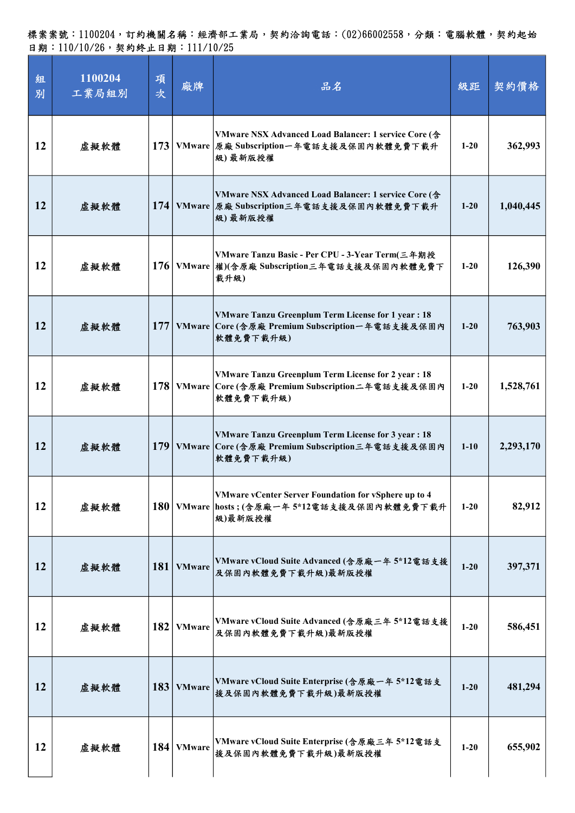| 組<br>別    | 1100204<br>工業局組別 | 項<br>次           | 廠牌            | 品名                                                                                                                             | 級距       | 契約價格      |
|-----------|------------------|------------------|---------------|--------------------------------------------------------------------------------------------------------------------------------|----------|-----------|
| 12        | 虛擬軟體             |                  |               | VMware NSX Advanced Load Balancer: 1 service Core (含<br>173 VMware 原廠 Subscription一年電話支援及保固內軟體免費下載升<br>級)最新版授權                 | $1 - 20$ | 362,993   |
| 12        | 虛擬軟體             | 174              |               | VMware NSX Advanced Load Balancer: 1 service Core (含<br>VMware 原廠 Subscription三年電話支援及保固內軟體免費下載升<br>級)最新版授權                     | $1 - 20$ | 1,040,445 |
| 12        | 虛擬軟體             | <b>176</b>       |               | VMware Tanzu Basic - Per CPU - 3-Year Term(三年期授<br>VMware 權)(含原廠 Subscription三年電話支援及保固內軟體免費下<br>载升级)                           | $1-20$   | 126,390   |
| 12        | 虛擬軟體             | 177 <sup>1</sup> |               | <b>VMware Tanzu Greenplum Term License for 1 year: 18</b><br>VMware Core (含原廠 Premium Subscription一年電話支援及保固內<br>軟體免費下載升級)      | $1 - 20$ | 763,903   |
| 12        | 虛擬軟體             |                  |               | <b>VMware Tanzu Greenplum Term License for 2 year : 18</b><br>178 VMware Core (含原廠 Premium Subscription二年電話支援及保固內<br>軟體免費下載升級) | $1-20$   | 1,528,761 |
| <b>12</b> | 虚擬軟體             | 179              |               | <b>VMware Tanzu Greenplum Term License for 3 year : 18</b><br>VMware Core (含原廠 Premium Subscription三年電話支援及保固內<br>軟體免費下載升級)     | $1-10$   | 2,293,170 |
| 12        | 虚擬軟體             |                  |               | VMware vCenter Server Foundation for vSphere up to 4<br>180 VMware hosts; (含原廠一年5*12電話支援及保固內軟體免費下載升<br>級)最新版授權                 | $1 - 20$ | 82,912    |
| 12        | 虛擬軟體             | 181              | <b>VMware</b> | VMware vCloud Suite Advanced (含原廠一年 5*12電話支援<br>及保固內軟體免費下載升級)最新版授權                                                             | $1 - 20$ | 397,371   |
| 12        | 虛擬軟體             | 182              | <b>VMware</b> | VMware vCloud Suite Advanced (含原廠三年 5*12電話支援<br>及保固內軟體免費下載升級)最新版授權                                                             | $1 - 20$ | 586,451   |
| 12        | 虛擬軟體             | 183              | <b>VMware</b> | VMware vCloud Suite Enterprise (含原廠一年 5*12電話支<br>援及保固內軟體免費下載升級)最新版授權                                                           | $1 - 20$ | 481,294   |
| 12        | 虛擬軟體             | 184              | <b>VMware</b> | VMware vCloud Suite Enterprise (含原廠三年 5*12電話支<br>接及保固內軟體免費下載升級)最新版授權                                                           | $1 - 20$ | 655,902   |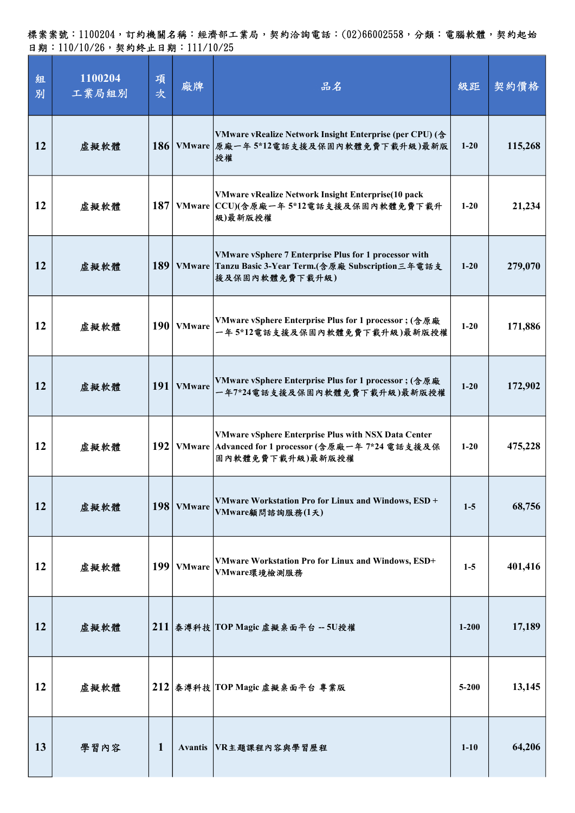| 組<br>別 | 1100204<br>工業局組別 | 項<br>次           | 廠牌             | 品名                                                                                                                                   | 級距        | 契約價格    |
|--------|------------------|------------------|----------------|--------------------------------------------------------------------------------------------------------------------------------------|-----------|---------|
| 12     | 虛擬軟體             | 186              |                | VMware vRealize Network Insight Enterprise (per CPU) (含<br>VMware 原廠一年5*12電話支援及保固內軟體免費下載升級)最新版<br>授權                                 | $1 - 20$  | 115,268 |
| 12     | 虛擬軟體             |                  |                | VMware vRealize Network Insight Enterprise(10 pack<br>187 VMware CCU)(含原廠一年5*12電話支援及保固內軟體免費下載升<br>級)最新版授權                            | $1 - 20$  | 21,234  |
| 12     | 虛擬軟體             | 189              |                | VMware vSphere 7 Enterprise Plus for 1 processor with<br>VMware Tanzu Basic 3-Year Term.(含原廠 Subscription三年電話支<br>援及保固內軟體免費下載升級)     | $1-20$    | 279,070 |
| 12     | 虛擬軟體             | 190 <sup>1</sup> | <b>VMware</b>  | VMware vSphere Enterprise Plus for 1 processor; (含原廠<br>一年5*12電話支援及保固內軟體免費下載升級)最新版授權                                                 | $1 - 20$  | 171,886 |
| 12     | 虛擬軟體             |                  | 191   VMware   | VMware vSphere Enterprise Plus for 1 processor; (含原廠<br>一年7*24電話支援及保固內軟體免費下載升級)最新版授權                                                 | $1 - 20$  | 172,902 |
| 12     | 虛擬軟體             | 192              |                | <b>VMware vSphere Enterprise Plus with NSX Data Center</b><br>VMware Advanced for 1 processor (含原廠一年 7*24 電話支援及保<br>固内軟體免費下載升級)最新版授權 | $1-20$    | 475,228 |
| 12     | 虛擬軟體             |                  | 198   VMware   | VMware Workstation Pro for Linux and Windows, ESD +<br>VMware顧問諮詢服務(1天)                                                              | $1-5$     | 68,756  |
| 12     | 虛擬軟體             |                  | $199$ VMware   | VMware Workstation Pro for Linux and Windows, ESD+<br>VMware環境檢測服務                                                                   | $1 - 5$   | 401,416 |
| 12     | 虛擬軟體             |                  |                | $211$ 泰溥科技 TOP Magic 虚擬桌面平台 -- 5U授權                                                                                                  | $1 - 200$ | 17,189  |
| 12     | 虛擬軟體             |                  |                | $212$ 秦溥科技 TOP Magic 虚擬桌面平台 專業版                                                                                                      | $5 - 200$ | 13,145  |
| 13     | 學習內容             | 1                | <b>Avantis</b> | VR主題課程內容與學習歷程                                                                                                                        | $1 - 10$  | 64,206  |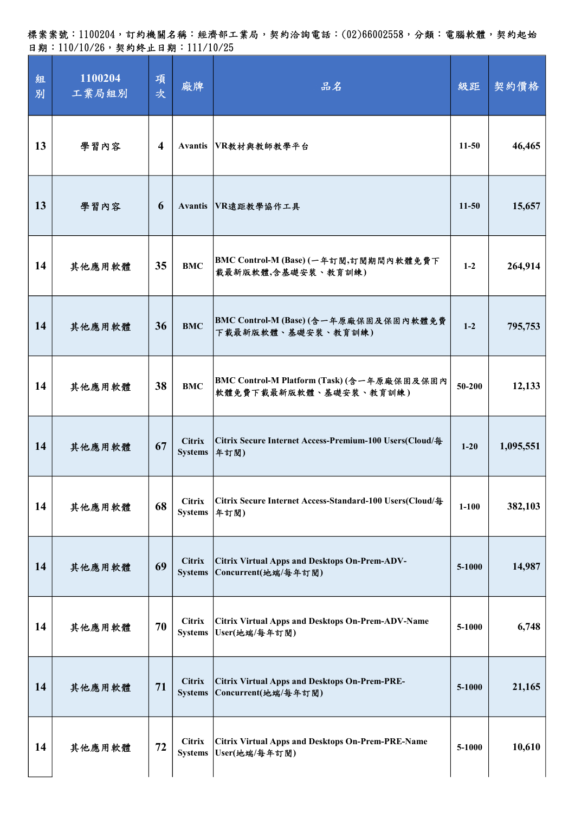標案案號:1100204,訂約機關名稱:經濟部工業局,契約洽詢電話:(02)66002558,分類:電腦軟體,契約起始 日期:110/10/26,契約終止日期:111/10/25

| 組<br>別 | 1100204<br>工業局組別 | 項<br>次                  | 廠牌                              | 品名                                                                          | 級距         | 契約價格      |
|--------|------------------|-------------------------|---------------------------------|-----------------------------------------------------------------------------|------------|-----------|
| 13     | 學習內容             | $\overline{\mathbf{4}}$ |                                 | Avantis VR教材與教師教學平台                                                         | $11-50$    | 46,465    |
| 13     | 學習內容             | 6                       |                                 | Avantis VR遠距教學協作工具                                                          | $11-50$    | 15,657    |
| 14     | 其他應用軟體           | 35                      | <b>BMC</b>                      | BMC Control-M (Base) (一年訂閱,訂閱期間內軟體免費下<br>載最新版軟體,含基礎安裝、教育訓練)                 | $1-2$      | 264,914   |
| 14     | 其他應用軟體           | 36                      | <b>BMC</b>                      | BMC Control-M (Base)(含一年原廠保固及保固內軟體免費<br>下載最新版軟體、基礎安裝、教育訓練)                  | $1-2$      | 795,753   |
| 14     | 其他應用軟體           | 38                      | <b>BMC</b>                      | BMC Control-M Platform (Task) (含一年原廠保固及保固內<br>軟體免費下載最新版軟體、基礎安裝、教育訓練)        | $50 - 200$ | 12,133    |
| 14     | 其他應用軟體           | 67                      | <b>Citrix</b><br><b>Systems</b> | Citrix Secure Internet Access-Premium-100 Users(Cloud/每<br>年訂閱)             | $1-20$     | 1,095,551 |
| 14     | 其他應用軟體           | 68                      | <b>Citrix</b><br><b>Systems</b> | Citrix Secure Internet Access-Standard-100 Users(Cloud/每<br>年訂閱)            | $1 - 100$  | 382,103   |
| 14     | 其他應用軟體           | 69                      | <b>Citrix</b><br><b>Systems</b> | <b>Citrix Virtual Apps and Desktops On-Prem-ADV-</b><br>Concurrent(地端/每年訂閱) | 5-1000     | 14,987    |
| 14     | 其他應用軟體           | 70                      | <b>Citrix</b><br><b>Systems</b> | <b>Citrix Virtual Apps and Desktops On-Prem-ADV-Name</b><br>User(地端/每年訂閱)   | 5-1000     | 6,748     |
| 14     | 其他應用軟體           | 71                      | <b>Citrix</b><br><b>Systems</b> | <b>Citrix Virtual Apps and Desktops On-Prem-PRE-</b><br>Concurrent(地端/每年訂閱) | 5-1000     | 21,165    |
| 14     | 其他應用軟體           | 72                      | <b>Citrix</b><br><b>Systems</b> | <b>Citrix Virtual Apps and Desktops On-Prem-PRE-Name</b><br>User(地端/每年訂閱)   | 5-1000     | 10,610    |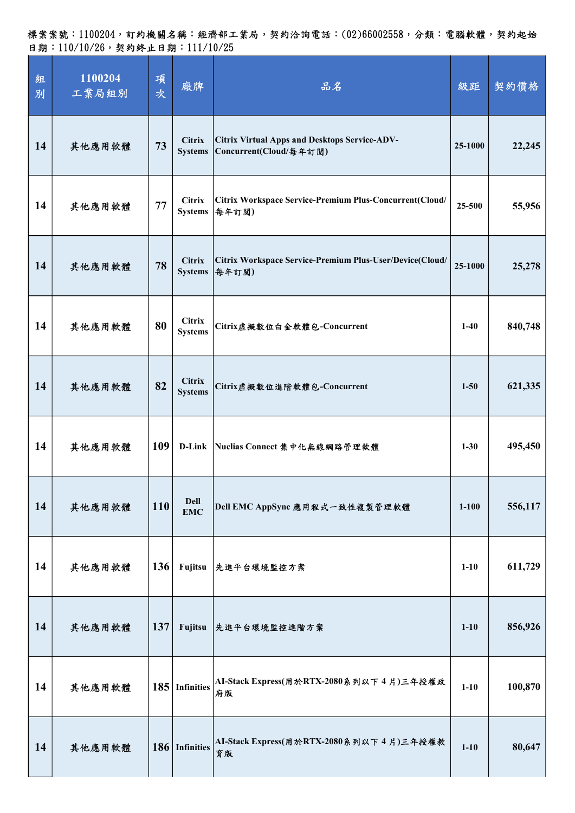| 組<br>別 | 1100204<br>工業局組別 | 項<br>次 | 廠牌                              | 品名                                                                             | 級距        | 契約價格    |
|--------|------------------|--------|---------------------------------|--------------------------------------------------------------------------------|-----------|---------|
| 14     | 其他應用軟體           | 73     | <b>Citrix</b><br><b>Systems</b> | <b>Citrix Virtual Apps and Desktops Service-ADV-</b><br>Concurrent(Cloud/每年訂閱) | 25-1000   | 22,245  |
| 14     | 其他應用軟體           | 77     | <b>Citrix</b><br><b>Systems</b> | Citrix Workspace Service-Premium Plus-Concurrent(Cloud/<br>每年訂閱)               | 25-500    | 55,956  |
| 14     | 其他應用軟體           | 78     | <b>Citrix</b><br><b>Systems</b> | Citrix Workspace Service-Premium Plus-User/Device(Cloud/<br>每年訂閱)              | 25-1000   | 25,278  |
| 14     | 其他應用軟體           | 80     | <b>Citrix</b><br><b>Systems</b> | Citrix虛擬數位白金軟體包-Concurrent                                                     | $1-40$    | 840,748 |
| 14     | 其他應用軟體           | 82     | <b>Citrix</b><br><b>Systems</b> | Citrix虛擬數位進階軟體包-Concurrent                                                     | $1 - 50$  | 621,335 |
| 14     | 其他應用軟體           | 109    | <b>D-Link</b>                   | Nuclias Connect 集中化無線網路管理軟體                                                    | $1 - 30$  | 495,450 |
| 14     | 其他應用軟體           | 110    | <b>Dell</b><br><b>EMC</b>       | Dell EMC AppSync 應用程式一致性複製管理軟體                                                 | $1 - 100$ | 556,117 |
| 14     | 其他應用軟體           | 136    | Fujitsu                         | 先進平台環境監控方案                                                                     | $1-10$    | 611,729 |
| 14     | 其他應用軟體           | 137    | Fujitsu                         | 先進平台環境監控進階方案                                                                   | $1-10$    | 856,926 |
| 14     | 其他應用軟體           |        | 185 Infinities                  | AI-Stack Express(用於RTX-2080系列以下4片)三年授權政<br>府版                                  | $1 - 10$  | 100,870 |
| 14     | 其他應用軟體           |        | 186 Infinities                  | AI-Stack Express(用於RTX-2080系列以下4片)三年授權教<br>育版                                  | $1-10$    | 80,647  |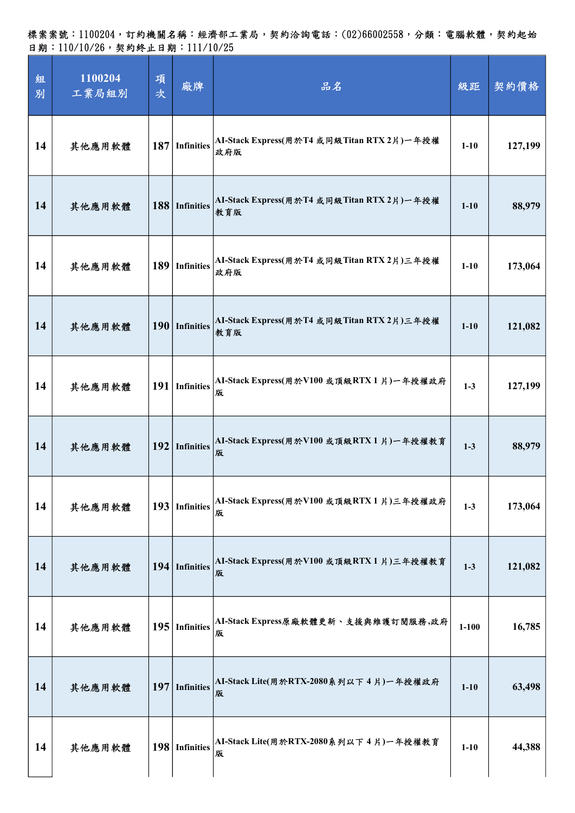| 組<br>別 | 1100204<br>工業局組別 | 項<br>次 | 廠牌                | 品名                                                | 級距        | 契約價格    |
|--------|------------------|--------|-------------------|---------------------------------------------------|-----------|---------|
| 14     | 其他應用軟體           | 187    | <b>Infinities</b> | AI-Stack Express(用於T4 或同級Titan RTX 2片)一年授權<br>政府版 | $1 - 10$  | 127,199 |
| 14     | 其他應用軟體           |        | 188 Infinities    | AI-Stack Express(用於T4 或同級Titan RTX 2片)一年授權<br>教育版 | $1 - 10$  | 88,979  |
| 14     | 其他應用軟體           | 189    | <b>Infinities</b> | AI-Stack Express(用於T4 或同級Titan RTX 2片)三年授權<br>政府版 | $1 - 10$  | 173,064 |
| 14     | 其他應用軟體           |        | 190 Infinities    | AI-Stack Express(用於T4 或同級Titan RTX 2片)三年授權<br>教育版 | $1 - 10$  | 121,082 |
| 14     | 其他應用軟體           |        | 191 Infinities    | AI-Stack Express(用於V100 或頂級RTX1片)一年授權政府<br>版      | $1-3$     | 127,199 |
| 14     | 其他應用軟體           | 192    | <b>Infinities</b> | AI-Stack Express(用於V100 或頂級RTX 1 片)一年授權教育<br>版    | $1-3$     | 88,979  |
| 14     | 其他應用軟體           | 193    | Infinities        | AI-Stack Express(用於V100 或頂級RTX1片)三年授權政府<br>版      | $1-3$     | 173,064 |
| 14     | 其他應用軟體           |        | 194 Infinities    | AI-Stack Express(用於V100 或頂級RTX1片)三年授權教育<br>版      | $1-3$     | 121,082 |
| 14     | 其他應用軟體           | 195    | <b>Infinities</b> | AI-Stack Express原廠軟體更新、支援與維護訂閱服務,政府<br>版          | $1 - 100$ | 16,785  |
| 14     | 其他應用軟體           | 197    | <b>Infinities</b> | AI-Stack Lite(用於RTX-2080系列以下4片)一年授權政府<br>版        | $1 - 10$  | 63,498  |
| 14     | 其他應用軟體           |        | 198 Infinities    | AI-Stack Lite(用於RTX-2080系列以下 4 片)一年授權教育<br>版      | $1 - 10$  | 44,388  |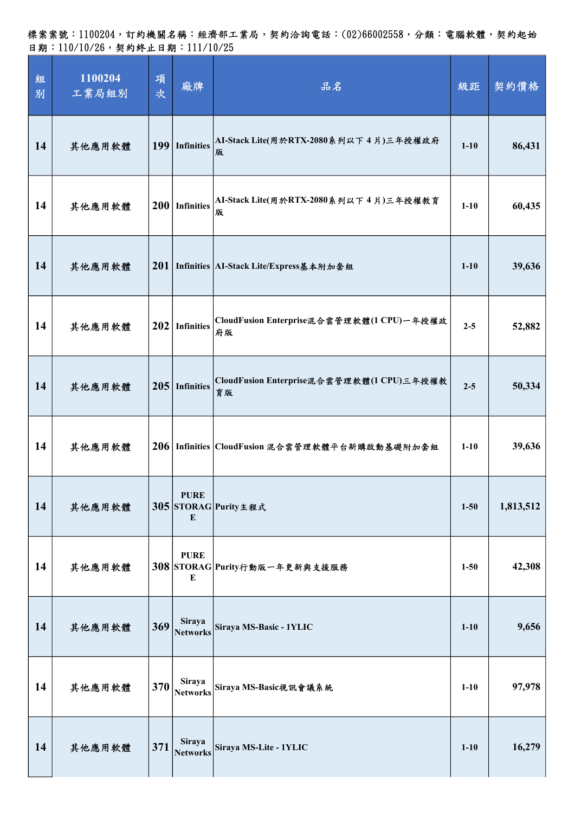標案案號:1100204,訂約機關名稱:經濟部工業局,契約洽詢電話:(02)66002558,分類:電腦軟體,契約起始 日期:110/10/26,契約終止日期:111/10/25

| 組<br>別 | 1100204<br>工業局組別 | 項<br>次 | 廠牌                               | 品名                                                 | 級距       | 契約價格      |
|--------|------------------|--------|----------------------------------|----------------------------------------------------|----------|-----------|
| 14     | 其他應用軟體           |        | 199 Infinities                   | AI-Stack Lite(用於RTX-2080系列以下 4 片)三年授權政府<br>版       | $1 - 10$ | 86,431    |
| 14     | 其他應用軟體           |        | 200 Infinities                   | AI-Stack Lite(用於RTX-2080系列以下 4 片)三年授權教育<br>版       | $1 - 10$ | 60,435    |
| 14     | 其他應用軟體           |        |                                  | 201   Infinities   AI-Stack Lite/Express基本附加套組     | $1 - 10$ | 39,636    |
| 14     | 其他應用軟體           |        | $202$ Infinities                 | CloudFusion Enterprise混合雲管理軟體(1 CPU)一年授權政<br>府版    | $2 - 5$  | 52,882    |
| 14     | 其他應用軟體           |        | $205$ Infinities                 | CloudFusion Enterprise混合雲管理軟體(1 CPU)三年授權教<br>育版    | $2 - 5$  | 50,334    |
| 14     | 其他應用軟體           |        |                                  | 206   Infinities   CloudFusion 混合雲管理軟體平台新購啟動基礎附加套組 | $1 - 10$ | 39,636    |
| 14     | 其他應用軟體           |        | <b>PURE</b><br>E                 | 305 STORAG Purity主程式                               | $1 - 50$ | 1,813,512 |
| 14     | 其他應用軟體           |        | <b>PURE</b><br>E                 | 308 STORAG Purity行動版一年更新與支援服務                      | $1 - 50$ | 42,308    |
| 14     | 其他應用軟體           | 369    | Siraya<br><b>Networks</b>        | Siraya MS-Basic - 1YLIC                            | $1 - 10$ | 9,656     |
| 14     | 其他應用軟體           | 370    | Siraya<br><b>Networks</b>        | Siraya MS-Basic視訊會議系統                              | $1 - 10$ | 97,978    |
| 14     | 其他應用軟體           | 371    | <b>Siraya</b><br><b>Networks</b> | Siraya MS-Lite - 1YLIC                             | $1 - 10$ | 16,279    |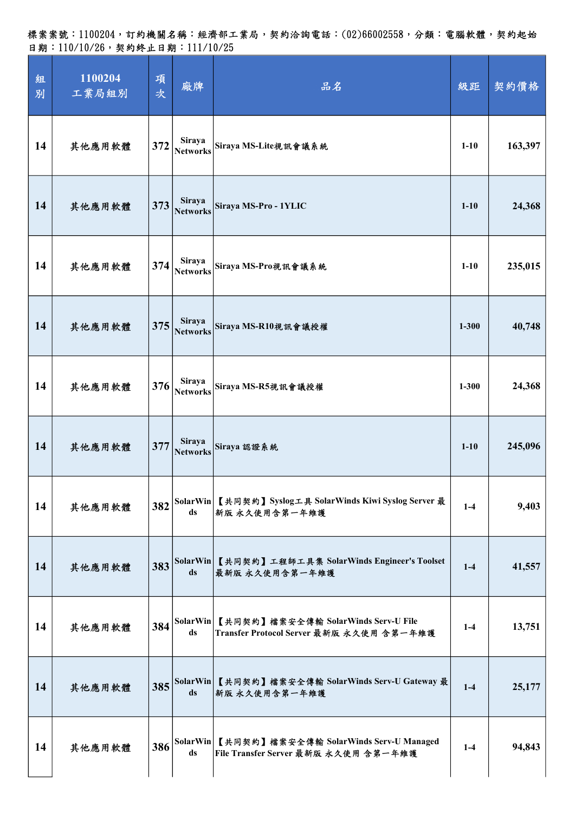| 組<br>別 | 1100204<br>工業局組別 | 項<br>次 | 廠牌                               | 品名                                                                              | 級距        | 契約價格    |
|--------|------------------|--------|----------------------------------|---------------------------------------------------------------------------------|-----------|---------|
| 14     | 其他應用軟體           | 372    | <b>Siraya</b><br><b>Networks</b> | Siraya MS-Lite視訊會議系統                                                            | $1 - 10$  | 163,397 |
| 14     | 其他應用軟體           | 373    | Siraya<br><b>Networks</b>        | Siraya MS-Pro - 1YLIC                                                           | $1-10$    | 24,368  |
| 14     | 其他應用軟體           | 374    | <b>Siraya</b><br><b>Networks</b> | Siraya MS-Pro視訊會議系統                                                             | $1 - 10$  | 235,015 |
| 14     | 其他應用軟體           | 375    | Siraya<br><b>Networks</b>        | Siraya MS-R10視訊會議授權                                                             | $1 - 300$ | 40,748  |
| 14     | 其他應用軟體           | 376    | <b>Siraya</b><br><b>Networks</b> | Siraya MS-R5視訊會議授權                                                              | $1 - 300$ | 24,368  |
| 14     | 其他應用軟體           | 377    | Siraya<br><b>Networks</b>        | Siraya 認證系統                                                                     | $1 - 10$  | 245,096 |
| 14     | 其他應用軟體           | 382    | ds                               | SolarWin 【共同契約】Syslog工具 SolarWinds Kiwi Syslog Server 最<br>新版 永久使用含第一年維護        | $1-4$     | 9,403   |
| 14     | 其他應用軟體           | 383    | ds                               | SolarWin 【共同契約】工程師工具集 SolarWinds Engineer's Toolset<br>最新版 永久使用含第一年維護           | $1-4$     | 41,557  |
| 14     | 其他應用軟體           | 384    | SolarWin<br>ds                   | 【共同契約】檔案安全傳輸 SolarWinds Serv-U File<br>Transfer Protocol Server 最新版 永久使用 含第一年維護 | $1-4$     | 13,751  |
| 14     | 其他應用軟體           | 385    | ds                               | SolarWin 【共同契約】檔案安全傳輸 SolarWinds Serv-U Gateway 最<br>新版 永久使用含第一年維護              | $1-4$     | 25,177  |
| 14     | 其他應用軟體           | 386    | SolarWin<br>ds                   | 【共同契約】檔案安全傳輸 SolarWinds Serv-U Managed<br>File Transfer Server 最新版 永久使用 含第一年維護  | $1-4$     | 94,843  |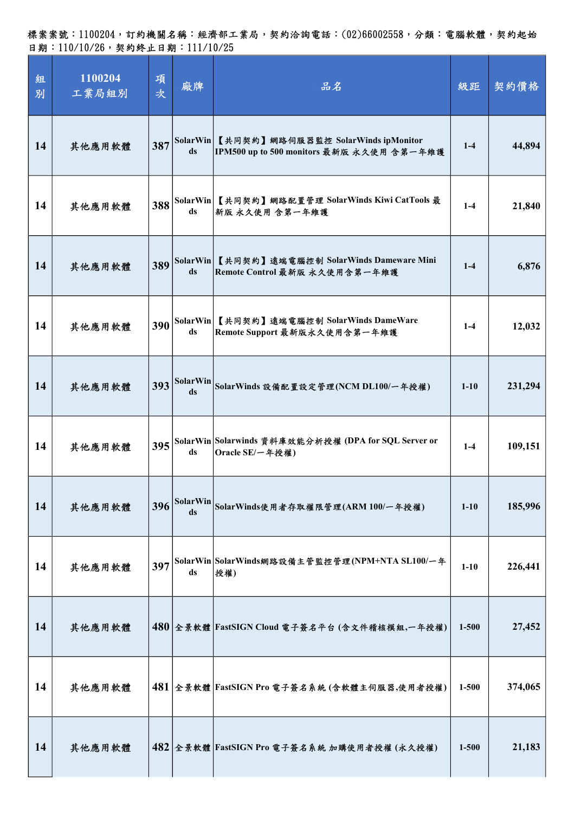| 組<br>別 | 1100204<br>工業局組別 | 項<br>次 | 廠牌                    | 品名                                                                              | 級距        | 契約價格    |
|--------|------------------|--------|-----------------------|---------------------------------------------------------------------------------|-----------|---------|
| 14     | 其他應用軟體           | 387    | SolarWin<br>ds        | 【共同契約】網路伺服器監控 SolarWinds ipMonitor<br>IPM500 up to 500 monitors 最新版 永久使用 含第一年維護 | $1-4$     | 44,894  |
| 14     | 其他應用軟體           | 388    | ds                    | SolarWin 【共同契約】網路配置管理 SolarWinds Kiwi CatTools 最<br>新版 永久使用 含第一年維護              | $1-4$     | 21,840  |
| 14     | 其他應用軟體           | 389    | SolarWin<br>ds        | 【共同契約】遠端電腦控制 SolarWinds Dameware Mini<br>Remote Control 最新版 永久使用含第一年維護          | $1 - 4$   | 6,876   |
| 14     | 其他應用軟體           | 390    | ds                    | SolarWin 【共同契約】遠端電腦控制 SolarWinds DameWare<br>Remote Support 最新版永久使用含第一年維護       | $1-4$     | 12,032  |
| 14     | 其他應用軟體           | 393    | <b>SolarWin</b><br>ds | SolarWinds設備配置設定管理(NCM DL100/一年授權)                                              | $1 - 10$  | 231,294 |
| 14     | 其他應用軟體           | 395    | ds                    | SolarWin Solarwinds 資料庫效能分析授權 (DPA for SQL Server or<br>Oracle SE/一年授權)         | $1-4$     | 109,151 |
| 14     | 其他應用軟體           | 396    | SolarWin<br>ds        | SolarWinds使用者存取權限管理(ARM 100/一年授權)                                               | $1 - 10$  | 185,996 |
| 14     | 其他應用軟體           | 397    | ds                    | SolarWin SolarWinds網路設備主管監控管理(NPM+NTA SL100/一年<br>授權)                           | $1-10$    | 226,441 |
| 14     | 其他應用軟體           |        |                       | 480 全景軟體 FastSIGN Cloud 電子簽名平台 (含文件稽核模組,一年授權)                                   | $1 - 500$ | 27,452  |
| 14     | 其他應用軟體           |        |                       | 481 全景軟體   FastSIGN Pro 電子簽名系統 (含軟體主伺服器,使用者授權)                                  | $1 - 500$ | 374,065 |
| 14     | 其他應用軟體           |        |                       | 482 全景軟體 FastSIGN Pro 電子簽名系統 加購使用者授權 (永久授權)                                     | $1 - 500$ | 21,183  |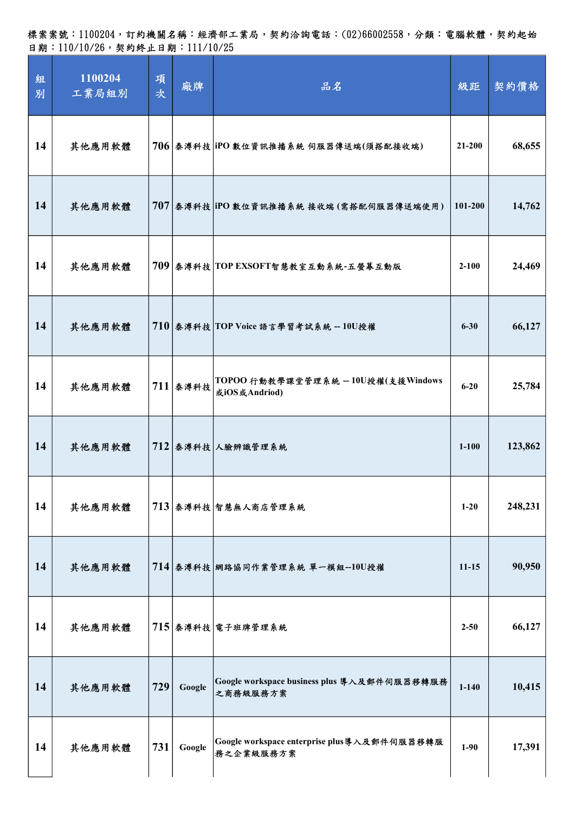標案案號:1100204,訂約機關名稱:經濟部工業局,契約洽詢電話:(02)66002558,分類:電腦軟體,契約起始 日期:110/10/26,契約終止日期:111/10/25

| 組<br>別 | 1100204<br>工業局組別 | 項<br>次 | 廠牌       | 品名                                                        | 級距        | 契約價格    |
|--------|------------------|--------|----------|-----------------------------------------------------------|-----------|---------|
| 14     | 其他應用軟體           |        |          | 706 泰溥科技 iPO 數位資訊推播系統 伺服器傳送端(須搭配接收端)                      | 21-200    | 68,655  |
| 14     | 其他應用軟體           |        |          | 707 泰溥科技 iPO 數位資訊推播系統 接收端 (需搭配伺服器傳送端使用)                   | 101-200   | 14,762  |
| 14     | 其他應用軟體           |        |          | 709 泰溥科技 TOP EXSOFT智慧教室互動系統-五螢幕互動版                        | $2 - 100$ | 24,469  |
| 14     | 其他應用軟體           |        |          | 710 泰溥科技 TOP Voice 語言學習考試系統 -- 10U授權                      | $6 - 30$  | 66,127  |
| 14     | 其他應用軟體           |        | 711 泰溥科技 | TOPOO 行動教學課堂管理系統 -- 10U授權(支援Windows<br>或iOS或Andriod)      | $6 - 20$  | 25,784  |
| 14     | 其他應用軟體           |        |          | 712 泰溥科技 人臉辨識管理系統                                         | $1 - 100$ | 123,862 |
| 14     | 其他應用軟體           |        |          | 713 泰溥科技 智慧無人商店管理系統                                       | $1-20$    | 248,231 |
| 14     | 其他應用軟體           |        |          | 714 泰溥科技 網路協同作業管理系統 單一模組--10U授權                           | $11 - 15$ | 90,950  |
| 14     | 其他應用軟體           |        |          | 715 泰溥科技 電子班牌管理系統                                         | $2 - 50$  | 66,127  |
| 14     | 其他應用軟體           | 729    | Google   | Google workspace business plus 導入及郵件伺服器移轉服務<br>之商務級服務方案   | $1 - 140$ | 10,415  |
| 14     | 其他應用軟體           | 731    | Google   | Google workspace enterprise plus 導入及郵件伺服器移轉服<br>務之企業級服務方案 | $1-90$    | 17,391  |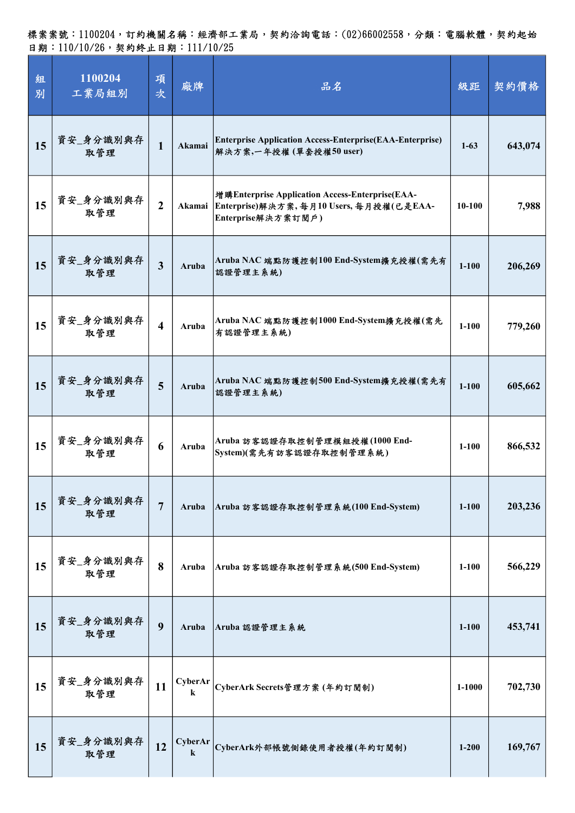| 組<br>別 | 1100204<br>工業局組別 | 項<br>次                  | 廠牌                 | 品名                                                                                                              | 級距         | 契約價格    |
|--------|------------------|-------------------------|--------------------|-----------------------------------------------------------------------------------------------------------------|------------|---------|
| 15     | 資安_身分識別與存<br>取管理 | $\mathbf{1}$            | Akamai             | <b>Enterprise Application Access-Enterprise (EAA-Enterprise)</b><br>解決方案,一年授權(單套授權50 user)                      | $1 - 63$   | 643,074 |
| 15     | 資安_身分識別與存<br>取管理 | $\overline{2}$          | Akamai             | 增購Enterprise Application Access-Enterprise(EAA-<br>Enterprise)解決方案,每月10 Users,每月授權(已是EAA-<br>Enterprise解決方案訂閱戶) | $10 - 100$ | 7,988   |
| 15     | 資安_身分識別與存<br>取管理 | $\overline{\mathbf{3}}$ | Aruba              | Aruba NAC 端點防護控制100 End-System擴充授權(需先有<br>認證管理主系統)                                                              | $1 - 100$  | 206,269 |
| 15     | 資安_身分識別與存<br>取管理 | $\overline{\mathbf{4}}$ | Aruba              | Aruba NAC 端點防護控制1000 End-System擴充授權(需先<br>有認證管理主系統)                                                             | $1-100$    | 779,260 |
| 15     | 資安_身分識別與存<br>取管理 | 5                       | Aruba              | Aruba NAC 端點防護控制500 End-System擴充授權(需先有<br>認證管理主系統)                                                              | $1 - 100$  | 605,662 |
| 15     | 資安_身分識別與存<br>取管理 | 6                       | Aruba              | Aruba 訪客認證存取控制管理模組授權(1000 End-<br>System)(需先有訪客認證存取控制管理系統)                                                      | $1-100$    | 866,532 |
| 15     | 資安_身分識別與存<br>取管理 | 7                       | Aruba              | Aruba 訪客認證存取控制管理系統(100 End-System)                                                                              | $1 - 100$  | 203,236 |
| 15     | 資安_身分識別與存<br>取管理 | 8                       | Aruba              | Aruba 訪客認證存取控制管理系統(500 End-System)                                                                              | $1 - 100$  | 566,229 |
| 15     | 資安_身分識別與存<br>取管理 | 9                       | Aruba              | Aruba 認證管理主系統                                                                                                   | $1 - 100$  | 453,741 |
| 15     | 資安_身分識別與存<br>取管理 | 11                      | CyberAr<br>$\bf k$ | CyberArk Secrets管理方案 (年約訂閱制)                                                                                    | 1-1000     | 702,730 |
| 15     | 資安_身分識別與存<br>取管理 | 12                      | CyberAr<br>$\bf k$ | CyberArk外部帳號側錄使用者授權(年約訂閱制)                                                                                      | $1 - 200$  | 169,767 |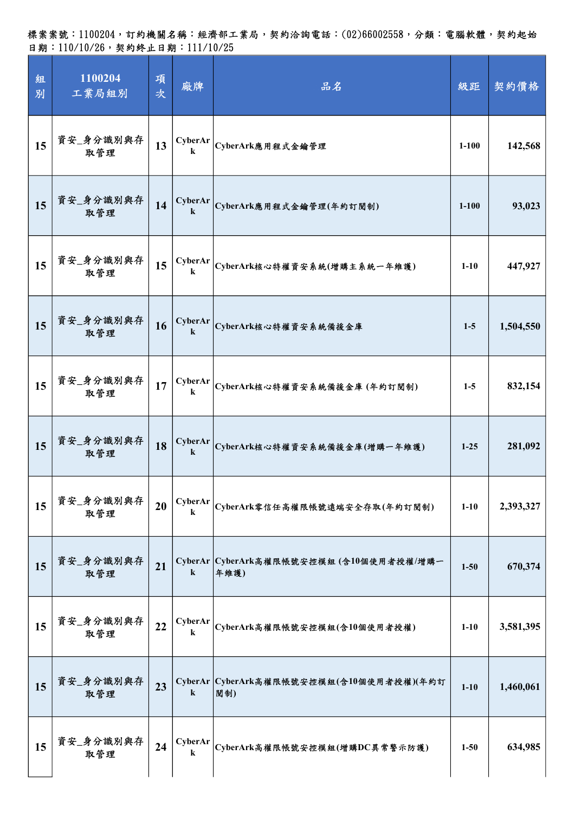| 組<br>別 | 1100204<br>工業局組別 | 項<br>次 | 廠牌                        | 品名                                               | 級距        | 契約價格      |
|--------|------------------|--------|---------------------------|--------------------------------------------------|-----------|-----------|
| 15     | 資安_身分識別與存<br>取管理 | 13     | CyberAr<br>$\bf k$        | CyberArk應用程式金鑰管理                                 | $1 - 100$ | 142,568   |
| 15     | 資安_身分識別與存<br>取管理 | 14     | <b>CyberAr</b><br>$\bf k$ | CyberArk應用程式金鑰管理(年約訂閱制)                          | $1 - 100$ | 93,023    |
| 15     | 資安_身分識別與存<br>取管理 | 15     | CyberAr<br>$\bf k$        | CyberArk核心特權資安系統(增購主系統一年維護)                      | $1 - 10$  | 447,927   |
| 15     | 資安_身分識別與存<br>取管理 | 16     | CyberAr<br>$\bf k$        | CyberArk核心特權資安系統備援金庫                             | $1-5$     | 1,504,550 |
| 15     | 資安_身分識別與存<br>取管理 | 17     | CyberAr<br>$\bf k$        | CyberArk核心特權資安系統備援金庫 (年約訂閱制)                     | $1-5$     | 832,154   |
| 15     | 資安_身分識別與存<br>取管理 | 18     | CyberAr<br>$\bf k$        | CyberArk核心特權資安系統備援金庫(增購一年維護)                     | $1 - 25$  | 281,092   |
| 15     | 資安_身分識別與存<br>取管理 | 20     | CyberAr<br>$\bf k$        | CyberArk零信任高權限帳號遠端安全存取(年約訂閱制)                    | $1 - 10$  | 2,393,327 |
| 15     | 資安_身分識別與存<br>取管理 | 21     | $\bf k$                   | CyberAr CyberArk高權限帳號安控模組 (含10個使用者授權/增購一<br>年維護) | $1 - 50$  | 670,374   |
| 15     | 資安_身分識別與存<br>取管理 | 22     | CyberAr<br>$\bf k$        | CyberArk高權限帳號安控模組(含10個使用者授權)                     | $1 - 10$  | 3,581,395 |
| 15     | 資安_身分識別與存<br>取管理 | 23     | $\bf k$                   | CyberAr CyberArk高權限帳號安控模組(含10個使用者授權)(年約訂<br>閱制)  | $1-10$    | 1,460,061 |
| 15     | 資安_身分識別與存<br>取管理 | 24     | CyberAr<br>$\bf k$        | CyberArk高權限帳號安控模組(增購DC異常警示防護)                    | $1 - 50$  | 634,985   |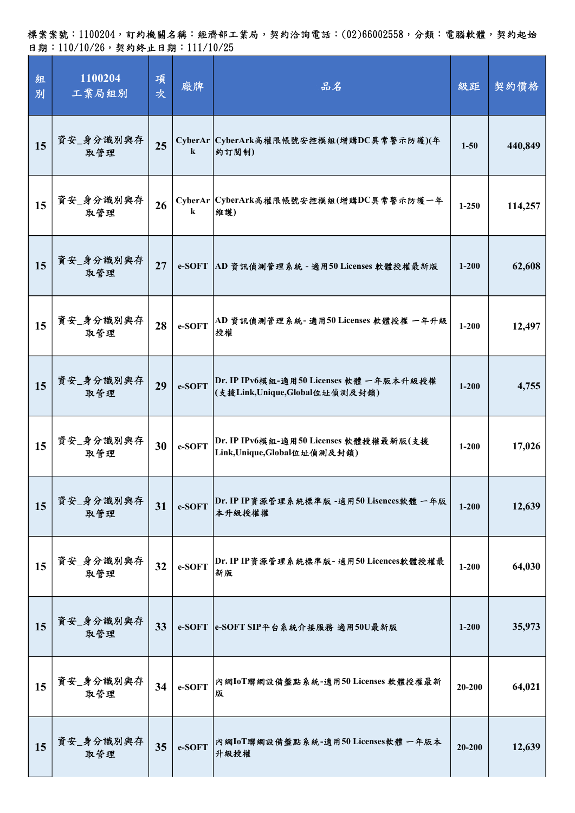標案案號:1100204,訂約機關名稱:經濟部工業局,契約洽詢電話:(02)66002558,分類:電腦軟體,契約起始 日期:110/10/26,契約終止日期:111/10/25

| 組<br>別 | 1100204<br>工業局組別 | 項<br>次 | 廠牌      | 品名                                                                       | 級距         | 契約價格    |
|--------|------------------|--------|---------|--------------------------------------------------------------------------|------------|---------|
| 15     | 資安_身分識別與存<br>取管理 | 25     | $\bf k$ | CyberAr CyberArk高權限帳號安控模組(增購DC異常警示防護)(年<br>約訂閱制)                         | $1 - 50$   | 440,849 |
| 15     | 資安_身分識別與存<br>取管理 | 26     | $\bf k$ | CyberAr   CyberArk高權限帳號安控模組(增購DC異常警示防護一年<br>維護)                          | $1 - 250$  | 114,257 |
| 15     | 資安_身分識別與存<br>取管理 | 27     | e-SOFT  | AD 資訊偵測管理系統 - 適用50 Licenses 軟體授權最新版                                      | $1 - 200$  | 62,608  |
| 15     | 資安_身分識別與存<br>取管理 | 28     | e-SOFT  | AD 資訊偵測管理系統-適用50 Licenses 軟體授權 一年升級<br>授權                                | $1 - 200$  | 12,497  |
| 15     | 資安_身分識別與存<br>取管理 | 29     | e-SOFT  | Dr. IP IPv6模組-適用50 Licenses 軟體 一年版本升級授權<br>(支援Link,Unique,Global位址偵測及封鎖) | $1 - 200$  | 4,755   |
| 15     | 資安_身分識別與存<br>取管理 | 30     | e-SOFT  | Dr. IP IPv6模組-適用50 Licenses 軟體授權最新版(支援<br>Link, Unique, Global位址偵測及封鎖)   | $1 - 200$  | 17,026  |
| 15     | 資安_身分識別與存<br>取管理 | 31     | e-SOFT  | Dr. IP IP資源管理系統標準版 -適用50 Lisences軟體 一年版<br>本升級授權權                        | $1 - 200$  | 12,639  |
| 15     | 資安_身分識別與存<br>取管理 | 32     | e-SOFT  | Dr. IP IP資源管理系統標準版- 適用50 Licences軟體授權最<br>新版                             | $1 - 200$  | 64,030  |
| 15     | 資安_身分識別與存<br>取管理 | 33     | e-SOFT  | e-SOFT SIP平台系統介接服務 適用50U最新版                                              | $1 - 200$  | 35,973  |
| 15     | 資安_身分識別與存<br>取管理 | 34     | e-SOFT  | 內網IoT聯網設備盤點系統-適用50 Licenses 軟體授權最新<br>版                                  | 20-200     | 64,021  |
| 15     | 資安_身分識別與存<br>取管理 | 35     | e-SOFT  | 內網IoT聯網設備盤點系統-適用50 Licenses軟體 一年版本<br>升級授權                               | $20 - 200$ | 12,639  |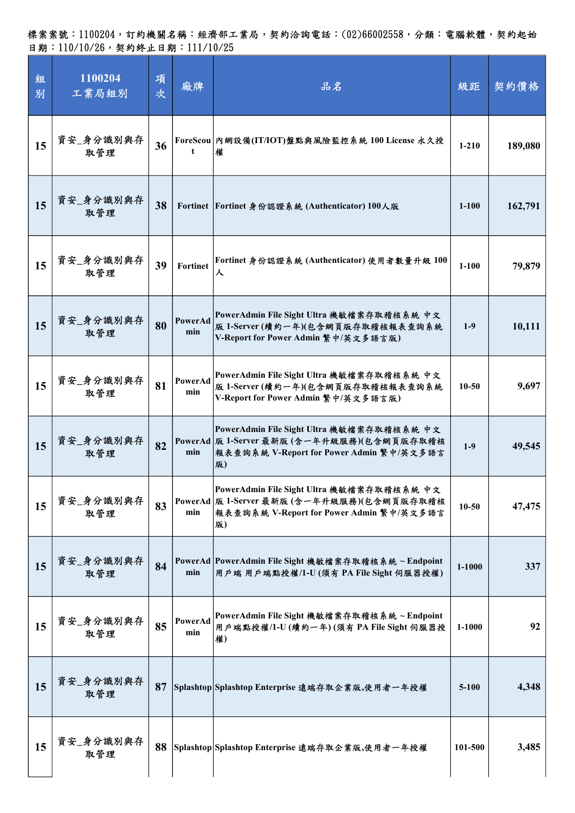| 組<br>別 | 1100204<br>工業局組別 | 項<br>次 | 廠牌              | 品名                                                                                                                                        | 級距        | 契約價格    |
|--------|------------------|--------|-----------------|-------------------------------------------------------------------------------------------------------------------------------------------|-----------|---------|
| 15     | 資安_身分識別與存<br>取管理 | 36     | t               | ForeScou 內網設備(IT/IOT)盤點與風險監控系統 100 License 永久授<br>權                                                                                       | $1 - 210$ | 189,080 |
| 15     | 資安_身分識別與存<br>取管理 | 38     |                 | Fortinet Fortinet 身份認證系統 (Authenticator) 100人版                                                                                            | $1 - 100$ | 162,791 |
| 15     | 資安_身分識別與存<br>取管理 | 39     | <b>Fortinet</b> | Fortinet 身份認證系統 (Authenticator) 使用者數量升級 100<br>ᆺ                                                                                          | $1 - 100$ | 79,879  |
| 15     | 資安_身分識別與存<br>取管理 | 80     | PowerAd<br>min  | PowerAdmin File Sight Ultra 機敏檔案存取稽核系統 中文<br>版 1-Server (續約一年)(包含網頁版存取稽核報表查詢系統<br>V-Report for Power Admin 繁中/英文多語言版)                     | $1-9$     | 10,111  |
| 15     | 資安_身分識別與存<br>取管理 | 81     | PowerAd<br>min  | PowerAdmin File Sight Ultra 機敏檔案存取稽核系統 中文<br>版 1-Server (續約一年)(包含網頁版存取稽核報表查詢系統<br>V-Report for Power Admin 繁中/英文多語言版)                     | $10 - 50$ | 9,697   |
| 15     | 資安_身分識別與存<br>取管理 | 82     | min             | PowerAdmin File Sight Ultra 機敏檔案存取稽核系統 中文<br>PowerAd 版 1-Server 最新版 (含一年升級服務)(包含網頁版存取稽核<br>報表查詢系統 V-Report for Power Admin 繁中/英文多語言<br>版) | $1-9$     | 49,545  |
| 15     | 資安_身分識別與存<br>取管理 | 83     | min             | PowerAdmin File Sight Ultra 機敏檔案存取稽核系統 中文<br>PowerAd 版 1-Server 最新版 (含一年升級服務)(包含網頁版存取稽核<br>報表查詢系統 V-Report for Power Admin 繁中/英文多語言<br>版) | $10 - 50$ | 47,475  |
| 15     | 資安_身分識別與存<br>取管理 | 84     | min             | PowerAd PowerAdmin File Sight 機敏檔案存取稽核系統~Endpoint<br>用戶端 用戶端點授權/1-U(須有 PA File Sight 伺服器授權)                                               | 1-1000    | 337     |
| 15     | 資安_身分識別與存<br>取管理 | 85     | PowerAd<br>min  | PowerAdmin File Sight 機敏檔案存取稽核系統~Endpoint<br>用戶端點授權/1-U(續約一年)(須有 PA File Sight 伺服器授<br>權)                                                 | 1-1000    | 92      |
| 15     | 資安_身分識別與存<br>取管理 | 87     |                 | Splashtop Splashtop Enterprise 遠端存取企業版,使用者一年授權                                                                                            | $5 - 100$ | 4,348   |
| 15     | 資安_身分識別與存<br>取管理 |        |                 | 88 Splashtop Splashtop Enterprise 遠端存取企業版,使用者一年授權                                                                                         | 101-500   | 3,485   |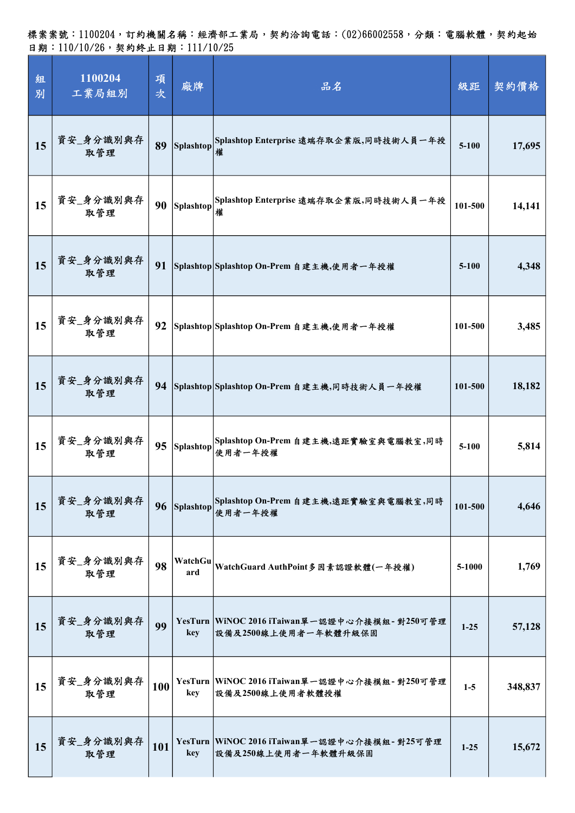| 組<br>別 | 1100204<br>工業局組別 | 項<br>次 | 廠牌             | 品名                                                                   | 級距        | 契約價格    |
|--------|------------------|--------|----------------|----------------------------------------------------------------------|-----------|---------|
| 15     | 資安_身分識別與存<br>取管理 | 89     | Splashtop      | Splashtop Enterprise 遠端存取企業版,同時技術人員一年授                               | $5 - 100$ | 17,695  |
| 15     | 資安_身分識別與存<br>取管理 | 90     | Splashtop      | Splashtop Enterprise 遠端存取企業版,同時技術人員一年授<br>權                          | 101-500   | 14,141  |
| 15     | 資安_身分識別與存<br>取管理 | 91     |                | Splashtop Splashtop On-Prem 自建主機,使用者一年授權                             | $5 - 100$ | 4,348   |
| 15     | 資安_身分識別與存<br>取管理 | 92     |                | Splashtop  Splashtop On-Prem 自建主機,使用者一年授權                            | 101-500   | 3,485   |
| 15     | 資安_身分識別與存<br>取管理 | 94     |                | Splashtop Splashtop On-Prem 自建主機,同時技術人員一年授權                          | 101-500   | 18,182  |
| 15     | 資安_身分識別與存<br>取管理 | 95     | Splashtop      | Splashtop On-Prem 自建主機,遠距實驗室與電腦教室,同時<br>使用者一年授權                      | $5-100$   | 5,814   |
| 15     | 資安_身分識別與存<br>取管理 |        | 96 Splashtop   | Splashtop On-Prem 自建主機,遠距實驗室與電腦教室,同時<br>使用者一年授權                      | 101-500   | 4,646   |
| 15     | 資安_身分識別與存<br>取管理 | 98     | WatchGu<br>ard | WatchGuard AuthPoint多因素認證軟體(一年授權)                                    | 5-1000    | 1,769   |
| 15     | 資安_身分識別與存<br>取管理 | 99     | key            | YesTurn WiNOC 2016 iTaiwan單一認證中心介接模組-對250可管理<br>設備及2500線上使用者一年軟體升級保固 | $1 - 25$  | 57,128  |
| 15     | 資安_身分識別與存<br>取管理 | 100    | key            | YesTurn WiNOC 2016 iTaiwan單一認證中心介接模組-對250可管理<br>設備及2500線上使用者軟體授權     | $1-5$     | 348,837 |
| 15     | 資安_身分識別與存<br>取管理 | 101    | key            | YesTurn WiNOC 2016 iTaiwan單一認證中心介接模組-對25可管理<br>設備及250線上使用者一年軟體升級保固   | $1 - 25$  | 15,672  |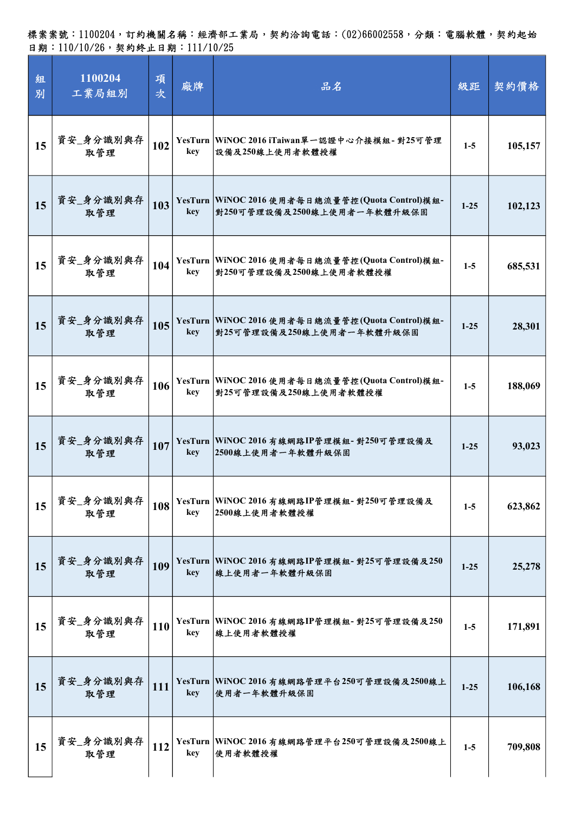| 組<br>別 | 1100204<br>工業局組別 | 項<br>次 | 廠牌  | 品名                                                                             | 級距       | 契約價格    |
|--------|------------------|--------|-----|--------------------------------------------------------------------------------|----------|---------|
| 15     | 資安_身分識別與存<br>取管理 | 102    | key | YesTurn WiNOC 2016 iTaiwan單一認證中心介接模組-對25可管理<br>設備及250線上使用者軟體授權                 | $1-5$    | 105,157 |
| 15     | 資安_身分識別與存<br>取管理 | 103    | key | YesTurn WiNOC 2016 使用者每日總流量管控(Quota Control)模組-<br>對250可管理設備及2500線上使用者一年軟體升級保固 | $1-25$   | 102,123 |
| 15     | 資安_身分識別與存<br>取管理 | 104    | key | YesTurn WiNOC 2016 使用者每日總流量管控(Quota Control)模組-<br>對250可管理設備及2500線上使用者軟體授權     | $1-5$    | 685,531 |
| 15     | 資安_身分識別與存<br>取管理 | 105    | key | YesTurn WiNOC 2016 使用者每日總流量管控(Quota Control)模組-<br>對25可管理設備及250線上使用者一年軟體升級保固   | $1 - 25$ | 28,301  |
| 15     | 資安_身分識別與存<br>取管理 | 106    | key | YesTurn WiNOC 2016 使用者每日總流量管控(Quota Control)模組-<br> 對25可管理設備及250線上使用者軟體授權      | $1-5$    | 188,069 |
| 15     | 資安_身分識別與存<br>取管理 | 107    | key | YesTurn WiNOC 2016 有線網路IP管理模組-對250可管理設備及<br>2500線上使用者一年軟體升級保固                  | $1 - 25$ | 93,023  |
| 15     | 資安_身分識別與存<br>取管理 | 108    | key | YesTurn WiNOC 2016 有線網路IP管理模組- 對250可管理設備及<br>2500線上使用者軟體授權                     | $1-5$    | 623,862 |
| 15     | 資安_身分識別與存<br>取管理 | 109    | key | YesTurn WiNOC 2016 有線網路IP管理模組- 對25可管理設備及250<br>線上使用者一年軟體升級保固                   | $1 - 25$ | 25,278  |
| 15     | 資安_身分識別與存<br>取管理 | 110    | key | YesTurn   WiNOC 2016 有線網路IP管理模組- 對25可管理設備及250<br>線上使用者軟體授權                     | $1-5$    | 171,891 |
| 15     | 資安_身分識別與存<br>取管理 | 111    | key | YesTurn WiNOC 2016 有線網路管理平台250可管理設備及2500線上<br>使用者一年軟體升級保固                      | $1 - 25$ | 106,168 |
| 15     | 資安_身分識別與存<br>取管理 | 112    | key | YesTurn   WiNOC 2016 有線網路管理平台250可管理設備及2500線上<br>使用者軟體授權                        | $1-5$    | 709,808 |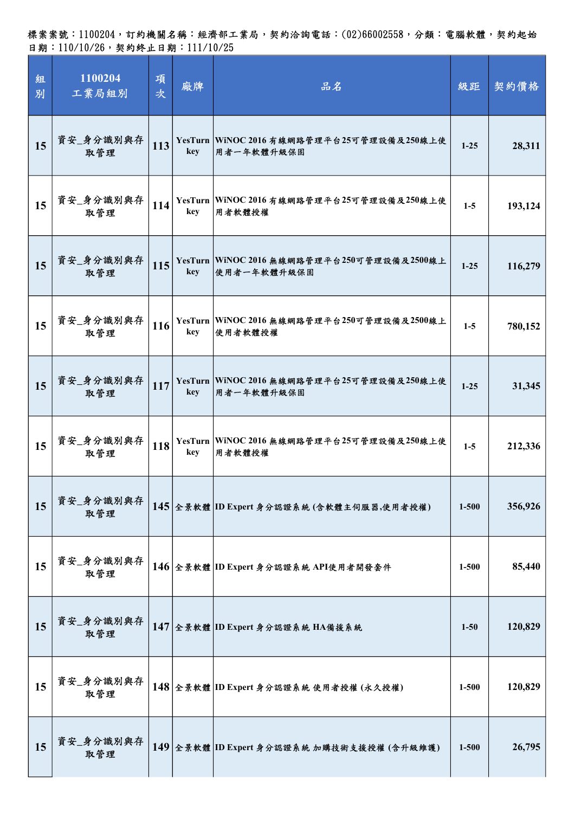| 組<br>別 | 1100204<br>工業局組別 | 項<br>次 | 廠牌  | 品名                                                          | 級距        | 契約價格    |
|--------|------------------|--------|-----|-------------------------------------------------------------|-----------|---------|
| 15     | 資安_身分識別與存<br>取管理 | 113    | key | YesTurn   WiNOC 2016 有線網路管理平台25可管理設備及250線上使<br>用者一年軟體升級保固   | $1-25$    | 28,311  |
| 15     | 資安_身分識別與存<br>取管理 | 114    | key | YesTurn WiNOC 2016 有線網路管理平台25可管理設備及250線上使<br>用者軟體授權         | $1-5$     | 193,124 |
| 15     | 資安_身分識別與存<br>取管理 | 115    | key | YesTurn   WiNOC 2016 無線網路管理平台250可管理設備及2500線上<br>使用者一年軟體升級保固 | $1 - 25$  | 116,279 |
| 15     | 資安_身分識別與存<br>取管理 | 116    | key | YesTurn   WiNOC 2016 無線網路管理平台250可管理設備及2500線上<br>使用者軟體授權     | $1-5$     | 780,152 |
| 15     | 資安_身分識別與存<br>取管理 | 117    | key | YesTurn WiNOC 2016 無線網路管理平台25可管理設備及250線上使<br>用者一年軟體升級保固     | $1 - 25$  | 31,345  |
| 15     | 資安_身分識別與存<br>取管理 | 118    | key | YesTurn WiNOC 2016 無線網路管理平台25可管理設備及250線上使<br>用者軟體授權         | $1-5$     | 212,336 |
| 15     | 資安_身分識別與存<br>取管理 |        |     | 145 全景軟體 ID Expert 身分認證系統 (含軟體主伺服器,使用者授權)                   | $1 - 500$ | 356,926 |
| 15     | 資安_身分識別與存<br>取管理 |        |     | 146 全景軟體 ID Expert 身分認證系統 API使用者開發套件                        | $1 - 500$ | 85,440  |
| 15     | 資安_身分識別與存<br>取管理 |        |     | 147 全景軟體 ID Expert 身分認證系統 HA備援系統                            | $1 - 50$  | 120,829 |
| 15     | 資安_身分識別與存<br>取管理 |        |     | 148 全景軟體 ID Expert 身分認證系統 使用者授權 (永久授權)                      | $1 - 500$ | 120,829 |
| 15     | 資安_身分識別與存<br>取管理 |        |     | 149 全景軟體 ID Expert 身分認證系統 加購技術支援授權 (含升級維護)                  | $1 - 500$ | 26,795  |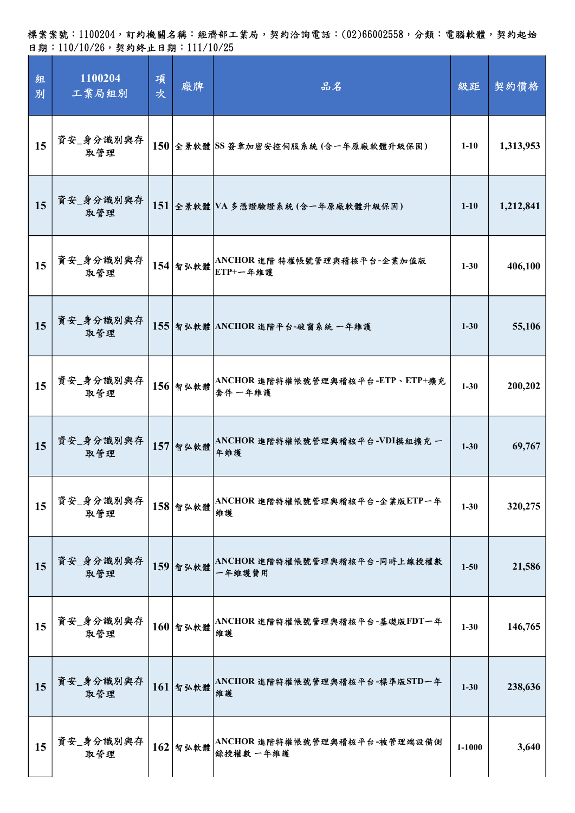| 組<br>別 | 1100204<br>工業局組別 | 項<br>次 | 廠牌         | 品名                                         | 級距       | 契約價格      |
|--------|------------------|--------|------------|--------------------------------------------|----------|-----------|
| 15     | 資安_身分識別與存<br>取管理 |        |            | 150 全景軟體 SS 簽章加密安控伺服系統 (含一年原廠軟體升級保固)       | $1 - 10$ | 1,313,953 |
| 15     | 資安_身分識別與存<br>取管理 |        |            | 151 全景軟體 VA 多憑證驗證系統(含一年原廠軟體升級保固)           | $1 - 10$ | 1,212,841 |
| 15     | 資安_身分識別與存<br>取管理 |        | 154 智弘軟體   | ANCHOR 進階 特權帳號管理與稽核平台-企業加值版<br>ETP+一年維護    | $1 - 30$ | 406,100   |
| 15     | 資安_身分識別與存<br>取管理 |        |            | 155 智弘軟體 ANCHOR 進階平台-破窗系統 一年維護             | $1 - 30$ | 55,106    |
| 15     | 資安_身分識別與存<br>取管理 |        | 156 智弘軟體   | ANCHOR 進階特權帳號管理與稽核平台-ETP、ETP+擴充<br>套件 一年維護 | $1 - 30$ | 200,202   |
| 15     | 資安_身分識別與存<br>取管理 |        | 157 智弘軟體   | ANCHOR 進階特權帳號管理與稽核平台-VDI模組擴充 一<br>年維護      | $1 - 30$ | 69,767    |
| 15     | 資安_身分識別與存<br>取管理 |        | $158$ 智弘軟體 | ANCHOR 進階特權帳號管理與稽核平台-企業版ETP一年<br>維護        | $1 - 30$ | 320,275   |
| 15     | 資安_身分識別與存<br>取管理 |        | 159 智弘軟體   | ANCHOR 進階特權帳號管理與稽核平台-同時上線授權數<br>一年維護費用     | $1 - 50$ | 21,586    |
| 15     | 資安_身分識別與存<br>取管理 |        | $160$ 智弘軟體 | ANCHOR 進階特權帳號管理與稽核平台-基礎版FDT一年<br>維護        | $1 - 30$ | 146,765   |
| 15     | 資安_身分識別與存<br>取管理 |        | $161$ 智弘軟體 | ANCHOR 進階特權帳號管理與稽核平台-標準版STD一年<br>維護        | $1 - 30$ | 238,636   |
| 15     | 資安_身分識別與存<br>取管理 |        | $162$ 智弘軟體 | ANCHOR 進階特權帳號管理與稽核平台-被管理端設備側<br>錄授權數 一年維護  | 1-1000   | 3,640     |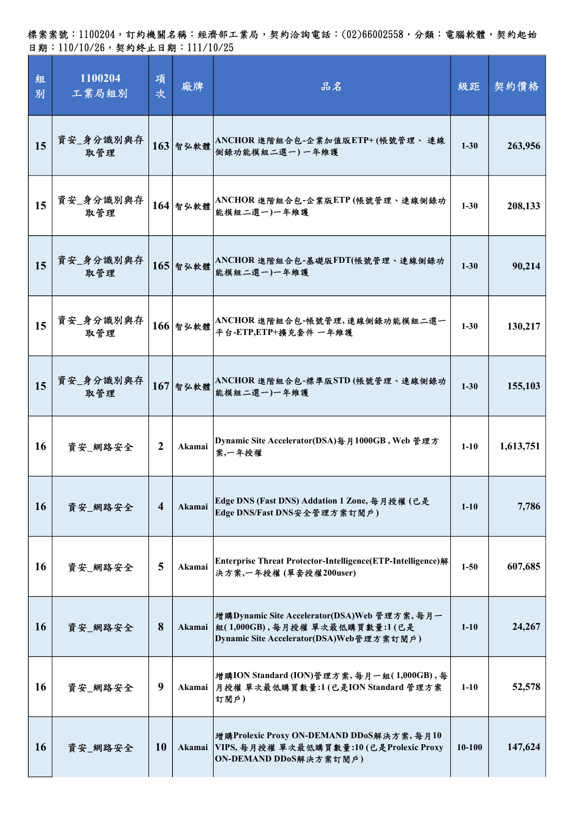| 組<br>別    | 1100204<br>工業局組別 | 項<br>次         | 廠牌         | 品名                                                                                                                        | 級距         | 契約價格      |
|-----------|------------------|----------------|------------|---------------------------------------------------------------------------------------------------------------------------|------------|-----------|
| 15        | 資安_身分識別與存<br>取管理 |                | $163$ 智弘軟體 | ANCHOR 進階組合包-企業加值版ETP+(帳號管理、 連線<br>側錄功能模組二選一)一年維護                                                                         | $1 - 30$   | 263,956   |
| 15        | 資安_身分識別與存<br>取管理 |                | $164$ 智弘軟體 | ANCHOR 進階組合包-企業版ETP (帳號管理、連線側錄功<br>能模組二選一)一年維護                                                                            | $1 - 30$   | 208,133   |
| 15        | 資安_身分識別與存<br>取管理 |                | $165$ 智弘軟體 | ANCHOR 進階組合包-基礎版FDT(帳號管理、連線側錄功<br>能模組二選一)一年維護                                                                             | $1 - 30$   | 90,214    |
| 15        | 資安_身分識別與存<br>取管理 |                | $166$ 智弘軟體 | ANCHOR 進階組合包-帳號管理,連線側錄功能模組二選一<br>平台-ETP,ETP+擴充套件 一年維護                                                                     | $1 - 30$   | 130,217   |
| 15        | 資安_身分識別與存<br>取管理 |                | $167$ 智弘軟體 | ANCHOR 進階組合包-標準版STD(帳號管理、連線側錄功<br>能模組二選一)一年維護                                                                             | $1 - 30$   | 155,103   |
| 16        | 資安_網路安全          | $\mathbf{2}$   | Akamai     | Dynamic Site Accelerator(DSA)每月1000GB, Web 管理方<br>案、一年授權                                                                  | $1-10$     | 1,613,751 |
| <b>16</b> | 資安_網路安全          | $\overline{4}$ | Akamai     | Edge DNS (Fast DNS) Addation 1 Zone, 每月授權 (已是<br>Edge DNS/Fast DNS安全管理方案訂閱戶)                                              | $1-10$     | 7,786     |
| 16        | 資安_網路安全          | 5              | Akamai     | Enterprise Threat Protector-Intelligence(ETP-Intelligence)解<br>決方案,一年授權 (單套授權200user)                                     | $1 - 50$   | 607,685   |
| <b>16</b> | 資安_網路安全          | 8              | Akamai     | 増購Dynamic Site Accelerator(DSA)Web 管理方案,每月一<br> 組(1,000GB),每月授權 單次最低購買數量:1(已是<br>Dynamic Site Accelerator(DSA)Web管理方案訂閱戶) | $1-10$     | 24,267    |
| 16        | 資安_網路安全          | 9              | Akamai     | 增購ION Standard (ION)管理方案,每月一組(1,000GB),每<br> 月授權 單次最低購買數量:1(已是ION Standard 管理方案<br>訂閱戶)                                   | $1 - 10$   | 52,578    |
| <b>16</b> | 資安_網路安全          | <b>10</b>      | Akamai     | 增購Prolexic Proxy ON-DEMAND DDoS解決方案,每月10<br>VIPS, 每月授權 單次最低購買數量:10(已是Prolexic Proxy<br>ON-DEMAND DDoS解決方案訂閱戶)             | $10 - 100$ | 147,624   |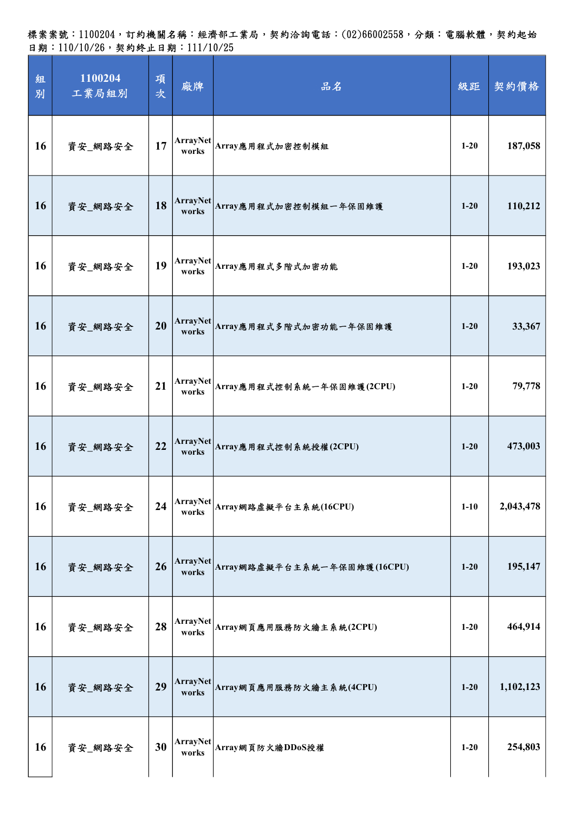| 組<br>別    | 1100204<br>工業局組別 | 項<br>次 | 廠牌                       | 品名                          | 級距       | 契約價格      |
|-----------|------------------|--------|--------------------------|-----------------------------|----------|-----------|
| 16        | 資安_網路安全          | 17     | ArrayNet<br>works        | Array應用程式加密控制模組             | $1-20$   | 187,058   |
| 16        | 資安_網路安全          | 18     | ArrayNet<br>works        | Array應用程式加密控制模組一年保固維護       | $1 - 20$ | 110,212   |
| 16        | 資安_網路安全          | 19     | <b>ArrayNet</b><br>works | Array應用程式多階式加密功能            | $1-20$   | 193,023   |
| 16        | 資安_網路安全          | 20     | <b>ArrayNet</b><br>works | Array應用程式多階式加密功能一年保固維護      | $1 - 20$ | 33,367    |
| 16        | 資安_網路安全          | 21     | ArrayNet<br>works        | Array應用程式控制系統一年保固維護(2CPU)   | $1-20$   | 79,778    |
| <b>16</b> | 資安_網路安全          | 22     | <b>ArrayNet</b><br>works | Array應用程式控制系統授權(2CPU)       | $1 - 20$ | 473,003   |
| 16        | 資安_網路安全          | 24     | <b>ArrayNet</b><br>works | Array網路虛擬平台主系統(16CPU)       | $1 - 10$ | 2,043,478 |
| 16        | 資安_網路安全          | 26     | <b>ArrayNet</b><br>works | Array網路虛擬平台主系統一年保固維護(16CPU) | $1 - 20$ | 195,147   |
| 16        | 資安_網路安全          | 28     | ArrayNet<br>works        | Array網頁應用服務防火牆主系統(2CPU)     | $1 - 20$ | 464,914   |
| 16        | 資安_網路安全          | 29     | ArrayNet<br>works        | Array網頁應用服務防火牆主系統(4CPU)     | $1 - 20$ | 1,102,123 |
| 16        | 資安_網路安全          | 30     | <b>ArrayNet</b><br>works | Array網頁防火牆DDoS授權            | $1 - 20$ | 254,803   |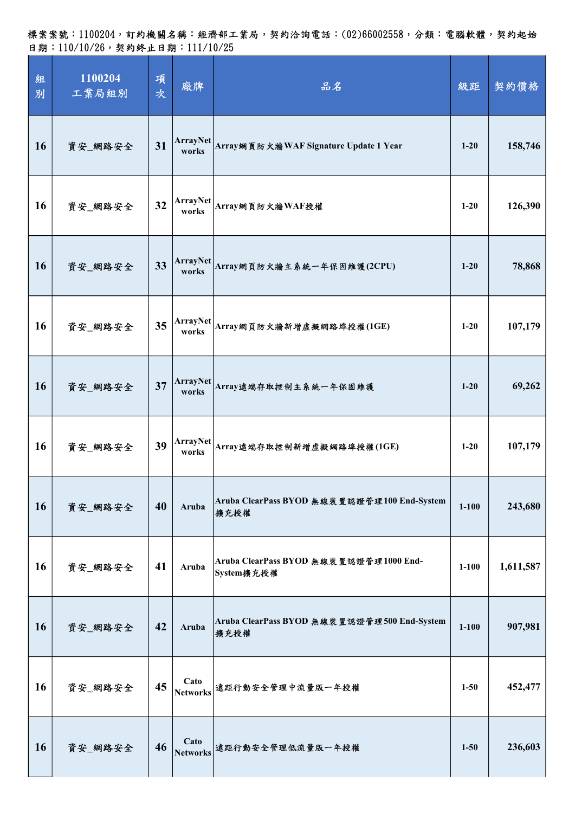標案案號:1100204,訂約機關名稱:經濟部工業局,契約洽詢電話:(02)66002558,分類:電腦軟體,契約起始 日期:110/10/26,契約終止日期:111/10/25

| 組<br>別    | 1100204<br>工業局組別 | 項<br>次 | 廠牌                      | 品名                                                   | 級距        | 契約價格      |
|-----------|------------------|--------|-------------------------|------------------------------------------------------|-----------|-----------|
| 16        | 資安_網路安全          | 31     | ArrayNet<br>works       | Array網頁防火牆WAF Signature Update 1 Year                | $1-20$    | 158,746   |
| 16        | 資安_網路安全          | 32     |                         | ArrayNet Array網頁防火牆WAF授權                             | $1-20$    | 126,390   |
| 16        | 資安_網路安全          | 33     | ArrayNet<br>works       | Array網頁防火牆主系統一年保固維護(2CPU)                            | $1-20$    | 78,868    |
| <b>16</b> | 資安_網路安全          | 35     | ArrayNet<br>works       | Array網頁防火牆新增虛擬網路埠授權(1GE)                             | $1 - 20$  | 107,179   |
| <b>16</b> | 資安_網路安全          | 37     | ArrayNet<br>works       | Array遠端存取控制主系統一年保固維護                                 | $1-20$    | 69,262    |
| 16        | 資安_網路安全          | 39     | ArrayNet<br>works       | Array遠端存取控制新增虛擬網路埠授權(1GE)                            | $1-20$    | 107,179   |
| <b>16</b> | 資安_網路安全          | 40     | Aruba                   | Aruba ClearPass BYOD 無線裝置認證管理100 End-System<br>擴充授權  | $1 - 100$ | 243,680   |
| 16        | 資安_網路安全          | 41     | Aruba                   | Aruba ClearPass BYOD 無線裝置認證管理1000 End-<br>System擴充授權 | $1 - 100$ | 1,611,587 |
| <b>16</b> | 資安_網路安全          | 42     | Aruba                   | Aruba ClearPass BYOD 無線裝置認證管理500 End-System<br>擴充授權  | $1 - 100$ | 907,981   |
| 16        | 資安_網路安全          | 45     | Cato<br><b>Networks</b> | 遠距行動安全管理中流量版一年授權                                     | $1 - 50$  | 452,477   |
| <b>16</b> | 資安_網路安全          | 46     | Cato<br><b>Networks</b> | 遠距行動安全管理低流量版一年授權                                     | $1 - 50$  | 236,603   |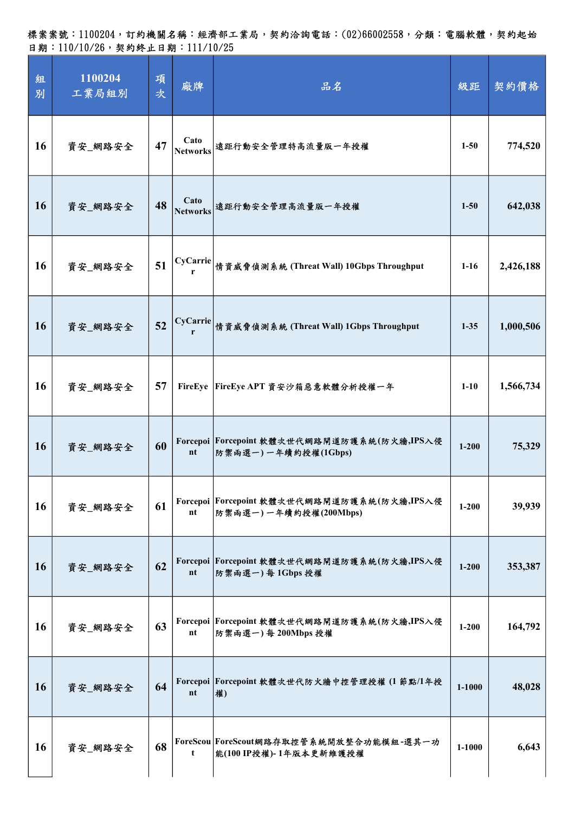| 組<br>別    | 1100204<br>工業局組別 | 項<br>次 | 廠牌                      | 品名                                                                    | 級距         | 契約價格      |
|-----------|------------------|--------|-------------------------|-----------------------------------------------------------------------|------------|-----------|
| 16        | 資安_網路安全          | 47     | Cato<br><b>Networks</b> | 遠距行動安全管理特高流量版一年授權                                                     | $1 - 50$   | 774,520   |
| <b>16</b> | 資安_網路安全          | 48     | Cato<br><b>Networks</b> | 遠距行動安全管理高流量版一年授權                                                      | $1 - 50$   | 642,038   |
| 16        | 資安_網路安全          | 51     | <b>CyCarrie</b><br>r    | 情資威脅偵測系統 (Threat Wall) 10Gbps Throughput                              | $1-16$     | 2,426,188 |
| <b>16</b> | 資安_網路安全          | 52     |                         | CyCarrie 情資威脅偵測系統 (Threat Wall) 1Gbps Throughput                      | $1 - 35$   | 1,000,506 |
| 16        | 資安_網路安全          | 57     |                         | FireEye  FireEye APT 資安沙箱惡意軟體分析授權一年                                   | $1-10$     | 1,566,734 |
| <b>16</b> | 資安 網路安全          | 60     | nt                      | Forcepoi Forcepoint 軟體次世代網路閘道防護系統(防火牆,IPS入侵<br>防禦兩選一)一年續約授權(1Gbps)    | $1 - 200$  | 75,329    |
| 16        | 資安_網路安全          | 61     | nt                      | Forcepoi Forcepoint 軟體次世代網路閘道防護系統(防火牆,IPS入侵<br>防禦兩選一) 一年續約授權(200Mbps) | $1 - 200$  | 39,939    |
| <b>16</b> | 資安_網路安全          | 62     | nt                      | Forcepoi Forcepoint 軟體次世代網路閘道防護系統(防火牆,IPS入侵<br>防禦兩選一)每1Gbps授權         | $1 - 200$  | 353,387   |
| <b>16</b> | 資安_網路安全          | 63     | nt                      | Forcepoi Forcepoint 軟體次世代網路閘道防護系統(防火牆,IPS入侵<br>防禦兩選一)每 200Mbps 授權     | $1 - 200$  | 164,792   |
| 16        | 資安_網路安全          | 64     | nt                      | Forcepoi Forcepoint 軟體次世代防火牆中控管理授權(1節點/1年授<br>權)                      | $1 - 1000$ | 48,028    |
| 16        | 資安_網路安全          | 68     | t                       | ForeScou ForeScout網路存取控管系統開放整合功能模組-選其一功<br>能(100 IP授權)-1年版本更新維護授權     | 1-1000     | 6,643     |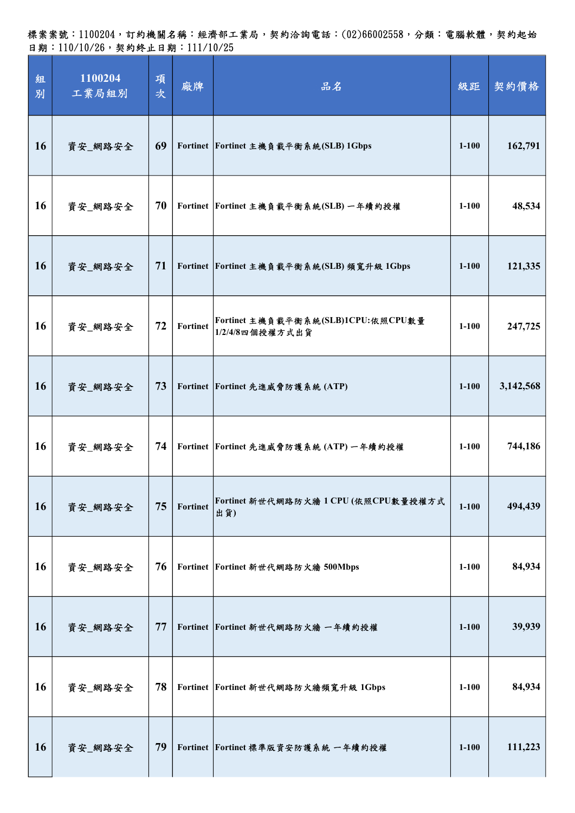標案案號:1100204,訂約機關名稱:經濟部工業局,契約洽詢電話:(02)66002558,分類:電腦軟體,契約起始 日期:110/10/26,契約終止日期:111/10/25

| 組<br>別    | 1100204<br>工業局組別 | 項<br>次 | 廠牌              | 品名                                                    | 級距        | 契約價格      |
|-----------|------------------|--------|-----------------|-------------------------------------------------------|-----------|-----------|
| 16        | 資安_網路安全          | 69     |                 | Fortinet Fortinet 主機負載平衡系統(SLB) 1Gbps                 | $1 - 100$ | 162,791   |
| <b>16</b> | 資安_網路安全          | 70     |                 | Fortinet Fortinet 主機負載平衡系統(SLB) 一年續約授權                | $1-100$   | 48,534    |
| <b>16</b> | 資安_網路安全          | 71     |                 | Fortinet Fortinet 主機負載平衡系統(SLB)頻寬升級 1Gbps             | $1 - 100$ | 121,335   |
| 16        | 資安_網路安全          | 72     | <b>Fortinet</b> | Fortinet 主機負載平衡系統(SLB)1CPU:依照CPU數量<br>1/2/4/8四個授權方式出貨 | $1 - 100$ | 247,725   |
| <b>16</b> | 資安_網路安全          | 73     |                 | Fortinet Fortinet 先進威脅防護系統 (ATP)                      | $1 - 100$ | 3,142,568 |
| <b>16</b> | 資安_網路安全          | 74     |                 | Fortinet Fortinet 先進威脅防護系統 (ATP) 一年續約授權               | $1 - 100$ | 744,186   |
| <b>16</b> | 資安_網路安全          | 75     | <b>Fortinet</b> | Fortinet 新世代網路防火牆 1 CPU(依照CPU數量授權方式<br>出貨)            | $1 - 100$ | 494,439   |
| 16        | 資安_網路安全          | 76     |                 | Fortinet Fortinet 新世代網路防火牆 500Mbps                    | $1 - 100$ | 84,934    |
| <b>16</b> | 資安_網路安全          | 77     |                 | Fortinet Fortinet 新世代網路防火牆 一年續約授權                     | $1 - 100$ | 39,939    |
| <b>16</b> | 資安_網路安全          | 78     |                 | Fortinet Fortinet 新世代網路防火牆頻寬升級 1Gbps                  | $1 - 100$ | 84,934    |
| <b>16</b> | 資安_網路安全          | 79     |                 | Fortinet Fortinet 標準版資安防護系統 一年續約授權                    | $1 - 100$ | 111,223   |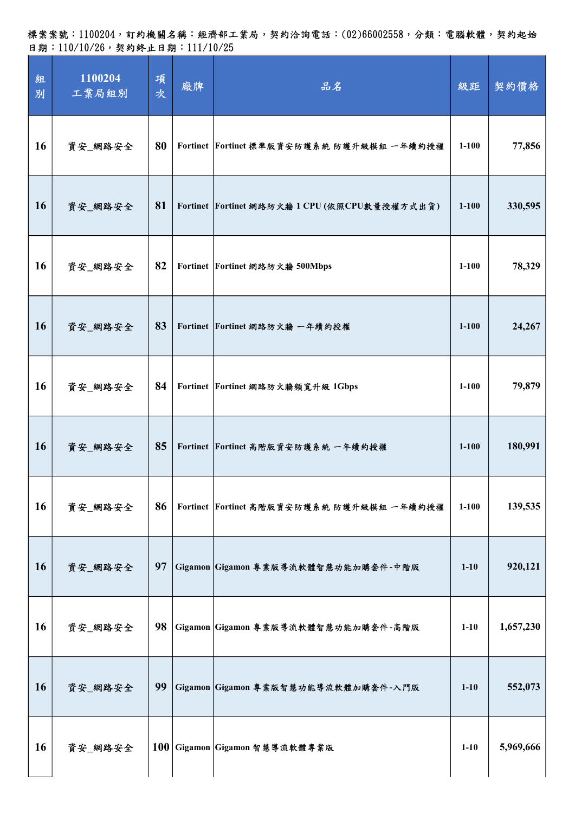| 組<br>別    | 1100204<br>工業局組別 | 項<br>次 | 廠牌 | 品名                                            | 級距        | 契約價格      |
|-----------|------------------|--------|----|-----------------------------------------------|-----------|-----------|
| 16        | 資安_網路安全          | 80     |    | Fortinet Fortinet 標準版資安防護系統 防護升級模組 一年續約授權     | $1 - 100$ | 77,856    |
| <b>16</b> | 資安_網路安全          | 81     |    | Fortinet Fortinet 網路防火牆 1 CPU (依照CPU數量授權方式出貨) | $1 - 100$ | 330,595   |
| 16        | 資安_網路安全          | 82     |    | Fortinet Fortinet 網路防火牆 500Mbps               | $1 - 100$ | 78,329    |
| <b>16</b> | 資安_網路安全          | 83     |    | Fortinet Fortinet 網路防火牆 一年續約授權                | $1 - 100$ | 24,267    |
| 16        | 資安_網路安全          | 84     |    | Fortinet Fortinet 網路防火牆頻寬升級 1Gbps             | $1 - 100$ | 79,879    |
| 16        | 資安_網路安全          | 85     |    | Fortinet Fortinet 高階版資安防護系統 一年續約授權            | $1 - 100$ | 180,991   |
| 16        | 資安_網路安全          | 86     |    | Fortinet Fortinet 高階版資安防護系統 防護升級模組 一年續約授權     | $1 - 100$ | 139,535   |
| 16        | 資安_網路安全          | 97     |    | Gigamon Gigamon 專業版導流軟體智慧功能加購套件-中階版           | $1 - 10$  | 920,121   |
| <b>16</b> | 資安_網路安全          | 98     |    | Gigamon Gigamon 專業版導流軟體智慧功能加購套件-高階版           | $1 - 10$  | 1,657,230 |
| 16        | 資安_網路安全          | 99     |    | Gigamon Gigamon 專業版智慧功能導流軟體加購套件-入門版           | $1-10$    | 552,073   |
| 16        | 資安_網路安全          |        |    | 100 Gigamon Gigamon 智慧導流軟體專業版                 | $1 - 10$  | 5,969,666 |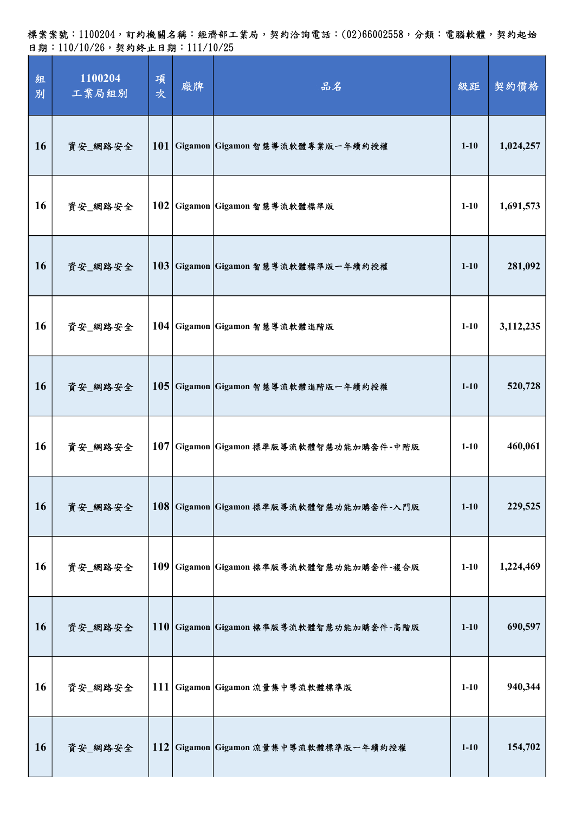標案案號:1100204,訂約機關名稱:經濟部工業局,契約洽詢電話:(02)66002558,分類:電腦軟體,契約起始 日期:110/10/26,契約終止日期:111/10/25

| 組<br>別 | 1100204<br>工業局組別 | 項<br>次 | 廠牌 | 品名                                      | 級距       | 契約價格      |
|--------|------------------|--------|----|-----------------------------------------|----------|-----------|
| 16     | 資安_網路安全          |        |    | 101 Gigamon Gigamon 智慧導流軟體專業版一年續約授權     | $1 - 10$ | 1,024,257 |
| 16     | 資安_網路安全          |        |    | 102 Gigamon Gigamon 智慧導流軟體標準版           | $1 - 10$ | 1,691,573 |
| 16     | 資安_網路安全          |        |    | 103 Gigamon Gigamon 智慧導流軟體標準版一年續約授權     | $1 - 10$ | 281,092   |
| 16     | 資安_網路安全          |        |    | 104 Gigamon Gigamon 智慧導流軟體進階版           | $1 - 10$ | 3,112,235 |
| 16     | 資安_網路安全          |        |    | 105 Gigamon Gigamon 智慧導流軟體進階版一年續約授權     | $1 - 10$ | 520,728   |
| 16     | 資安_網路安全          |        |    | 107 Gigamon Gigamon 標準版導流軟體智慧功能加購套件-中階版 | $1 - 10$ | 460,061   |
| 16     | 資安_網路安全          |        |    | 108 Gigamon Gigamon 標準版導流軟體智慧功能加購套件-入門版 | $1 - 10$ | 229,525   |
| 16     | 資安_網路安全          |        |    | 109 Gigamon Gigamon 標準版導流軟體智慧功能加購套件-複合版 | $1 - 10$ | 1,224,469 |
| 16     | 資安_網路安全          |        |    | 110 Gigamon Gigamon 標準版導流軟體智慧功能加購套件-高階版 | $1 - 10$ | 690,597   |
| 16     | 資安_網路安全          |        |    | 111 Gigamon Gigamon 流量集中導流軟體標準版         | $1 - 10$ | 940,344   |
| 16     | 資安_網路安全          |        |    | 112 Gigamon Gigamon 流量集中導流軟體標準版一年續約授權   | $1 - 10$ | 154,702   |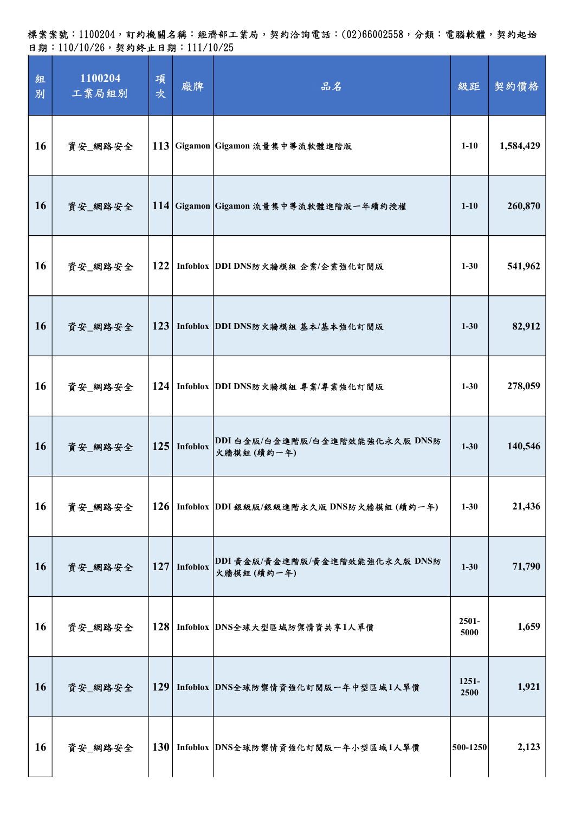| 組<br>別    | 1100204<br>工業局組別 | 項<br>次 | 廠牌             | 品名                                            | 級距               | 契約價格      |
|-----------|------------------|--------|----------------|-----------------------------------------------|------------------|-----------|
| 16        | 資安_網路安全          |        |                | 113 Gigamon Gigamon 流量集中導流軟體進階版               | $1-10$           | 1,584,429 |
| <b>16</b> | 資安_網路安全          |        |                | 114 Gigamon Gigamon 流量集中導流軟體進階版一年續約授權         | $1 - 10$         | 260,870   |
| 16        | 資安_網路安全          | 122    |                | Infoblox DDI DNS防火牆模組 企業/企業強化訂閱版              | $1 - 30$         | 541,962   |
| <b>16</b> | 資安_網路安全          | 123    |                | Infoblox DDI DNS防火牆模組 基本/基本強化訂閱版              | $1 - 30$         | 82,912    |
| 16        | 資安_網路安全          |        |                | 124 Infoblox DDI DNS防火牆模組 專業/專業強化訂閱版          | $1 - 30$         | 278,059   |
| 16        | 資安_網路安全          |        | $125$ Infoblox | DDI 白金版/白金進階版/白金進階效能強化永久版 DNS防<br>火牆模組 (續約一年) | $1 - 30$         | 140,546   |
| <b>16</b> | 資安_網路安全          |        |                | 126 Infoblox DDI銀級版/銀級進階永久版 DNS防火牆模組 (續約一年)   | $1 - 30$         | 21,436    |
| 16        | 資安_網路安全          |        | $127$ Infoblox | DDI 黄金版/黄金進階版/黄金進階效能強化永久版 DNS防<br>火牆模組(續約一年)  | $1 - 30$         | 71,790    |
| 16        | 資安_網路安全          | 128    |                | Infoblox DNS全球大型區域防禦情資共享1人單價                  | $2501 -$<br>5000 | 1,659     |
| <b>16</b> | 資安_網路安全          |        |                | 129 Infoblox DNS全球防禦情資強化訂閱版一年中型區域1人單價         | $1251 -$<br>2500 | 1,921     |
| <b>16</b> | 資安_網路安全          |        |                | 130 Infoblox DNS全球防禦情資強化訂閱版一年小型區域1人單價         | 500-1250         | 2,123     |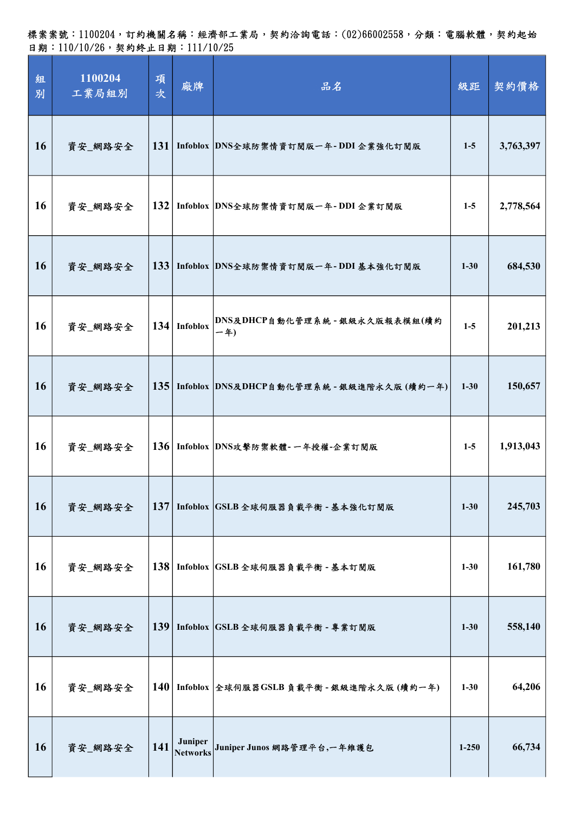標案案號:1100204,訂約機關名稱:經濟部工業局,契約洽詢電話:(02)66002558,分類:電腦軟體,契約起始 日期:110/10/26,契約終止日期:111/10/25

| 組<br>別    | 1100204<br>工業局組別 | 項<br>次           | 廠牌                         | 品名                                            | 級距        | 契約價格      |
|-----------|------------------|------------------|----------------------------|-----------------------------------------------|-----------|-----------|
| 16        | 資安_網路安全          |                  |                            | 131 Infoblox DNS全球防禦情資訂閱版一年-DDI 企業強化訂閱版       | $1-5$     | 3,763,397 |
| <b>16</b> | 資安_網路安全          |                  |                            | 132 Infoblox DNS全球防禦情資訂閱版一年-DDI企業訂閱版          | $1-5$     | 2,778,564 |
| <b>16</b> | 資安_網路安全          |                  |                            | 133 Infoblox DNS全球防禦情資訂閱版一年-DDI 基本強化訂閱版       | $1 - 30$  | 684,530   |
| 16        | 資安_網路安全          |                  | $134$ Infoblox             | DNS及DHCP自動化管理系統 - 銀級永久版報表模組(續約<br>$-4)$       | $1-5$     | 201,213   |
| 16        | 資安_網路安全          |                  |                            | 135 Infoblox DNS及DHCP自動化管理系統 - 銀級進階永久版 (續約一年) | $1 - 30$  | 150,657   |
| <b>16</b> | 資安_網路安全          |                  |                            | 136 Infoblox DNS攻擊防禦軟體-一年授權-企業訂閱版             | $1-5$     | 1,913,043 |
| <b>16</b> | 資安_網路安全          | 137 <sup>1</sup> |                            | Infoblox GSLB 全球伺服器負載平衡 - 基本強化訂閱版             | $1 - 30$  | 245,703   |
| 16        | 資安_網路安全          |                  |                            | 138 Infoblox GSLB 全球伺服器負載平衡 - 基本訂閱版           | $1 - 30$  | 161,780   |
| 16        | 資安_網路安全          | 139              |                            | Infoblox GSLB 全球伺服器負載平衡 - 專業訂閱版               | $1 - 30$  | 558,140   |
| <b>16</b> | 資安_網路安全          |                  |                            | 140 Infoblox 全球伺服器GSLB 負載平衡 - 銀級進階永久版 (續約一年)  | $1 - 30$  | 64,206    |
| <b>16</b> | 資安_網路安全          | 141              | Juniper<br><b>Networks</b> | Juniper Junos 網路管理平台,一年維護包                    | $1 - 250$ | 66,734    |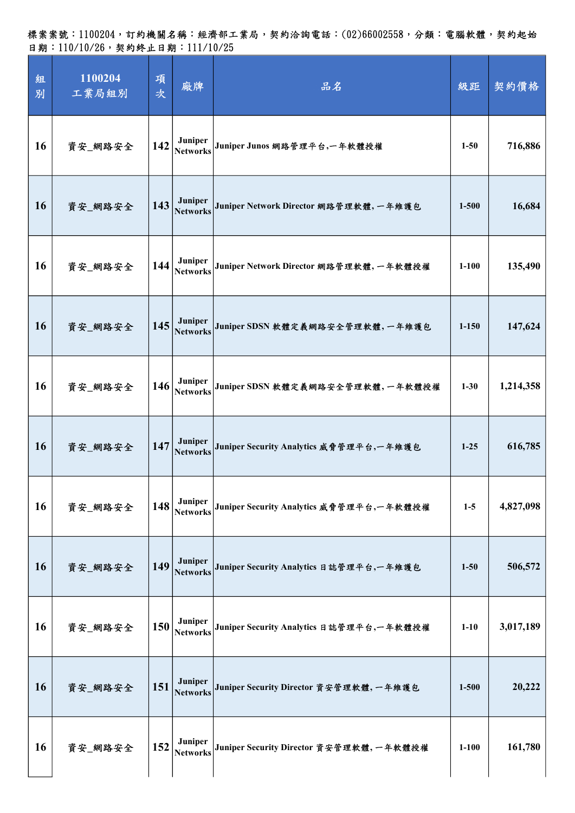| 組<br>別    | 1100204<br>工業局組別 | 項<br>次 | 廠牌                         | 品名                                       | 級距        | 契約價格      |
|-----------|------------------|--------|----------------------------|------------------------------------------|-----------|-----------|
| 16        | 資安_網路安全          | 142    | Juniper<br><b>Networks</b> | Juniper Junos 網路管理平台,一年軟體授權              | $1 - 50$  | 716,886   |
| <b>16</b> | 資安_網路安全          | 143    | Juniper<br><b>Networks</b> | Juniper Network Director 網路管理軟體, 一年維護包   | $1 - 500$ | 16,684    |
| 16        | 資安_網路安全          | 144    | Juniper<br><b>Networks</b> | Juniper Network Director 網路管理軟體, 一年軟體授權  | $1 - 100$ | 135,490   |
| <b>16</b> | 資安_網路安全          | 145    | Juniper<br><b>Networks</b> | Juniper SDSN 軟體定義網路安全管理軟體,一年維護包          | $1 - 150$ | 147,624   |
| 16        | 資安_網路安全          | 146    | Juniper<br><b>Networks</b> | Juniper SDSN 軟體定義網路安全管理軟體,一年軟體授權         | $1 - 30$  | 1,214,358 |
| <b>16</b> | 資安 網路安全          | 147    | Juniper<br><b>Networks</b> | Juniper Security Analytics 威脅管理平台,一年維護包  | $1-25$    | 616,785   |
| 16        | 資安_網路安全          | 148    | Juniper<br><b>Networks</b> | Juniper Security Analytics 威脅管理平台,一年軟體授權 | $1-5$     | 4,827,098 |
| <b>16</b> | 資安_網路安全          | 149    | Juniper<br><b>Networks</b> | Juniper Security Analytics 日誌管理平台,一年維護包  | $1 - 50$  | 506,572   |
| 16        | 資安_網路安全          | 150    | Juniper<br><b>Networks</b> | Juniper Security Analytics 日誌管理平台,一年軟體授權 | $1 - 10$  | 3,017,189 |
| <b>16</b> | 資安_網路安全          | 151    | Juniper<br><b>Networks</b> | Juniper Security Director 資安管理軟體, 一年維護包  | $1 - 500$ | 20,222    |
| <b>16</b> | 資安_網路安全          | 152    | Juniper<br><b>Networks</b> | Juniper Security Director 資安管理軟體, 一年軟體授權 | $1 - 100$ | 161,780   |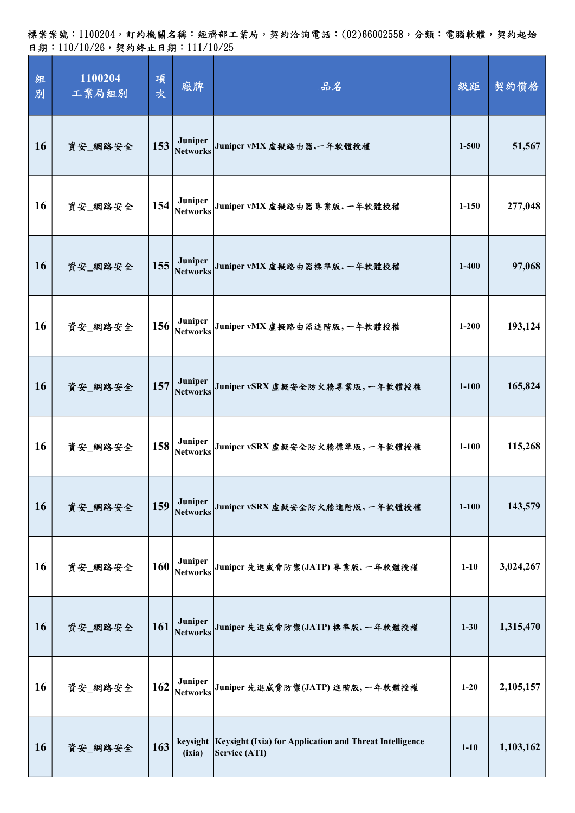| 組<br>別    | 1100204<br>工業局組別 | 項<br>次 | 廠牌                         | 品名                                                                                  | 級距        | 契約價格      |
|-----------|------------------|--------|----------------------------|-------------------------------------------------------------------------------------|-----------|-----------|
| <b>16</b> | 資安_網路安全          | 153    | Juniper<br><b>Networks</b> | Juniper vMX 虚擬路由器,一年軟體授權                                                            | $1 - 500$ | 51,567    |
| 16        | 資安_網路安全          | 154    | Juniper<br><b>Networks</b> | Juniper vMX 虚擬路由器專業版,一年軟體授權                                                         | $1 - 150$ | 277,048   |
| 16        | 資安_網路安全          | 155    | Juniper<br><b>Networks</b> | Juniper vMX 虚擬路由器標準版, 一年軟體授權                                                        | $1 - 400$ | 97,068    |
| 16        | 資安_網路安全          | 156    | Juniper<br><b>Networks</b> | Juniper vMX 虚擬路由器進階版, 一年軟體授權                                                        | $1 - 200$ | 193,124   |
| 16        | 資安_網路安全          | 157    | Juniper<br><b>Networks</b> | Juniper vSRX 虚擬安全防火牆專業版, 一年軟體授權                                                     | $1 - 100$ | 165,824   |
| 16        | 資安_網路安全          | 158    | Juniper<br><b>Networks</b> | Juniper vSRX 虚擬安全防火牆標準版,一年軟體授權                                                      | $1 - 100$ | 115,268   |
| 16        | 資安_網路安全          | 159    | Juniper<br><b>Networks</b> | Juniper vSRX 虚擬安全防火牆進階版,一年軟體授權                                                      | $1 - 100$ | 143,579   |
| <b>16</b> | 資安_網路安全          | 160    | Juniper<br><b>Networks</b> | Juniper 先進威脅防禦(JATP) 專業版, 一年軟體授權                                                    | $1-10$    | 3,024,267 |
| 16        | 資安_網路安全          | 161    | Juniper<br><b>Networks</b> | Juniper 先進威脅防禦(JATP)標準版,一年軟體授權                                                      | $1 - 30$  | 1,315,470 |
| 16        | 資安_網路安全          | 162    | Juniper<br><b>Networks</b> | Juniper 先進威脅防禦(JATP) 進階版, 一年軟體授權                                                    | $1 - 20$  | 2,105,157 |
| <b>16</b> | 資安_網路安全          | 163    | (ixia)                     | keysight   Keysight (Ixia) for Application and Threat Intelligence<br>Service (ATI) | $1 - 10$  | 1,103,162 |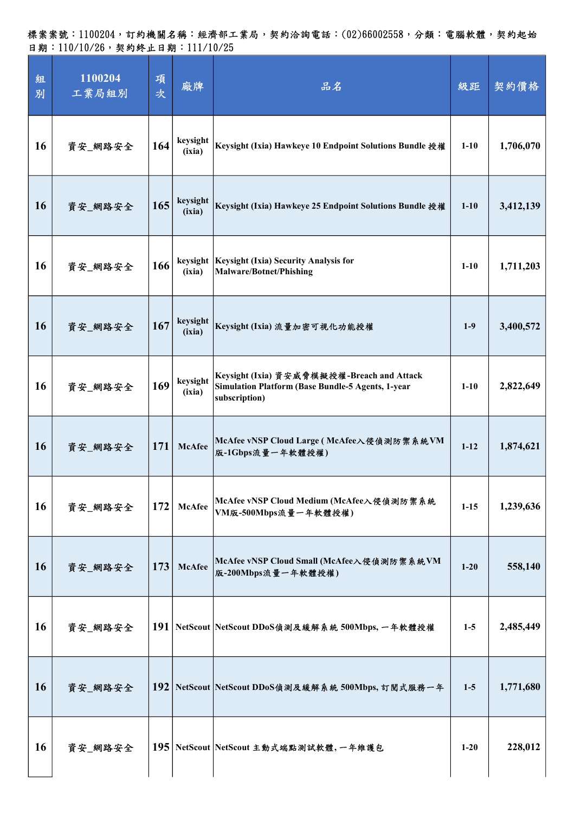| 組<br>別    | 1100204<br>工業局組別 | 項<br>次 | 廠牌                 | 品名                                                                                                               | 級距       | 契約價格      |
|-----------|------------------|--------|--------------------|------------------------------------------------------------------------------------------------------------------|----------|-----------|
| 16        | 資安_網路安全          | 164    | keysight<br>(ixia) | Keysight (Ixia) Hawkeye 10 Endpoint Solutions Bundle 授權                                                          | $1 - 10$ | 1,706,070 |
| <b>16</b> | 資安_網路安全          | 165    | keysight<br>(ixia) | Keysight (Ixia) Hawkeye 25 Endpoint Solutions Bundle 授權                                                          | $1 - 10$ | 3,412,139 |
| 16        | 資安_網路安全          | 166    | keysight<br>(ixia) | <b>Keysight (Ixia) Security Analysis for</b><br><b>Malware/Botnet/Phishing</b>                                   | $1-10$   | 1,711,203 |
| <b>16</b> | 資安_網路安全          | 167    | keysight<br>(ixia) | Keysight (Ixia) 流量加密可視化功能授權                                                                                      | $1-9$    | 3,400,572 |
| 16        | 資安_網路安全          | 169    | keysight<br>(ixia) | Keysight (Ixia) 資安威脅模擬授權-Breach and Attack<br>Simulation Platform (Base Bundle-5 Agents, 1-year<br>subscription) | $1-10$   | 2,822,649 |
| 16        | 資安 網路安全          | 171    | <b>McAfee</b>      | McAfee vNSP Cloud Large (McAfee入侵偵測防禦系統VM<br>版-1Gbps流量一年軟體授權)                                                    | $1-12$   | 1,874,621 |
| 16        | 資安_網路安全          | 172    | <b>McAfee</b>      | McAfee vNSP Cloud Medium (McAfee入侵偵測防禦系統<br>VM版-500Mbps流量一年軟體授權)                                                 | $1 - 15$ | 1,239,636 |
| <b>16</b> | 資安_網路安全          | 173    | <b>McAfee</b>      | McAfee vNSP Cloud Small (McAfee入侵偵測防禦系統VM<br>版-200Mbps流量一年軟體授權)                                                  | $1-20$   | 558,140   |
| <b>16</b> | 資安_網路安全          |        |                    | 191   NetScout   NetScout DDoS偵測及緩解系統 500Mbps, 一年軟體授權                                                            | $1-5$    | 2,485,449 |
| <b>16</b> | 資安_網路安全          |        |                    | 192 NetScout NetScout DDoS偵測及緩解系統 500Mbps, 訂閱式服務一年                                                               | $1-5$    | 1,771,680 |
| 16        | 資安_網路安全          |        |                    | 195 NetScout NetScout 主動式端點測試軟體,一年維護包                                                                            | $1 - 20$ | 228,012   |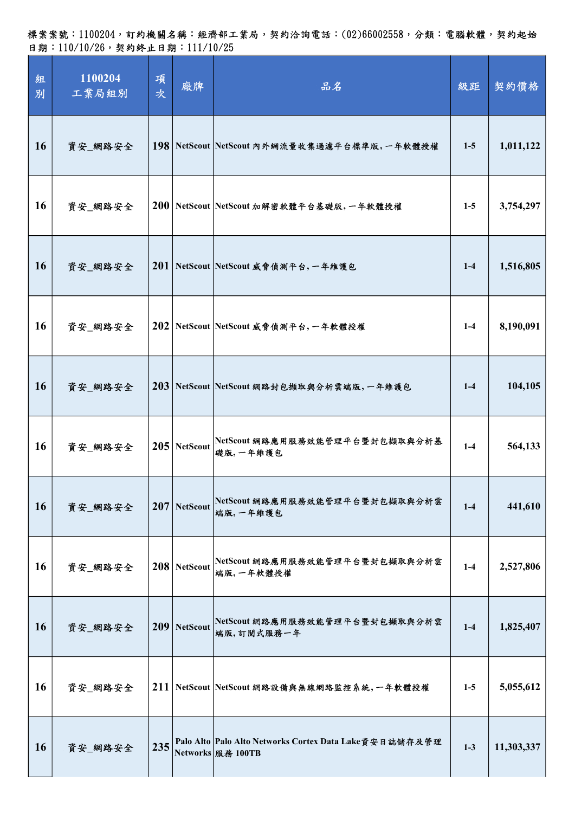標案案號:1100204,訂約機關名稱:經濟部工業局,契約洽詢電話:(02)66002558,分類:電腦軟體,契約起始 日期:110/10/26,契約終止日期:111/10/25

| 組<br>別 | 1100204<br>工業局組別 | 項<br>次 | 廠牌             | 品名                                                                             | 級距      | 契約價格       |
|--------|------------------|--------|----------------|--------------------------------------------------------------------------------|---------|------------|
| 16     | 資安_網路安全          |        |                | 198 NetScout NetScout 内外網流量收集過濾平台標準版,一年軟體授權                                    | $1-5$   | 1,011,122  |
| 16     | 資安_網路安全          |        |                | 200 NetScout NetScout 加解密軟體平台基礎版,一年軟體授權                                        | $1-5$   | 3,754,297  |
| 16     | 資安_網路安全          |        |                | 201 NetScout NetScout 威脅偵測平台, 一年維護包                                            | $1-4$   | 1,516,805  |
| 16     | 資安_網路安全          |        |                | 202 NetScout NetScout 威脅偵測平台, 一年軟體授權                                           | $1 - 4$ | 8,190,091  |
| 16     | 資安_網路安全          |        |                | 203 NetScout NetScout 網路封包撷取與分析雲端版,一年維護包                                       | $1-4$   | 104,105    |
| 16     | 資安_網路安全          |        | $205$ NetScout | NetScout 網路應用服務效能管理平台暨封包擷取與分析基<br>礎版,一年維護包                                     | $1-4$   | 564,133    |
| 16     | 資安_網路安全          |        | $207$ NetScout | NetScout 網路應用服務效能管理平台暨封包撷取與分析雲<br>端版,一年維護包                                     | $1-4$   | 441,610    |
| 16     | 資安_網路安全          |        | $208$ NetScout | NetScout 網路應用服務效能管理平台暨封包擷取與分析雲<br>端版,一年軟體授權                                    | $1-4$   | 2,527,806  |
| 16     | 資安_網路安全          |        | $209$ NetScout | NetScout 網路應用服務效能管理平台暨封包擷取與分析雲<br>端版,訂閱式服務一年                                   | $1-4$   | 1,825,407  |
| 16     | 資安_網路安全          |        |                | 211 NetScout NetScout 網路設備與無線網路監控系統,一年軟體授權                                     | $1-5$   | 5,055,612  |
| 16     | 資安_網路安全          | 235    |                | Palo Alto Palo Alto Networks Cortex Data Lake 資安日誌儲存及管理<br>Networks   服務 100TB | $1-3$   | 11,303,337 |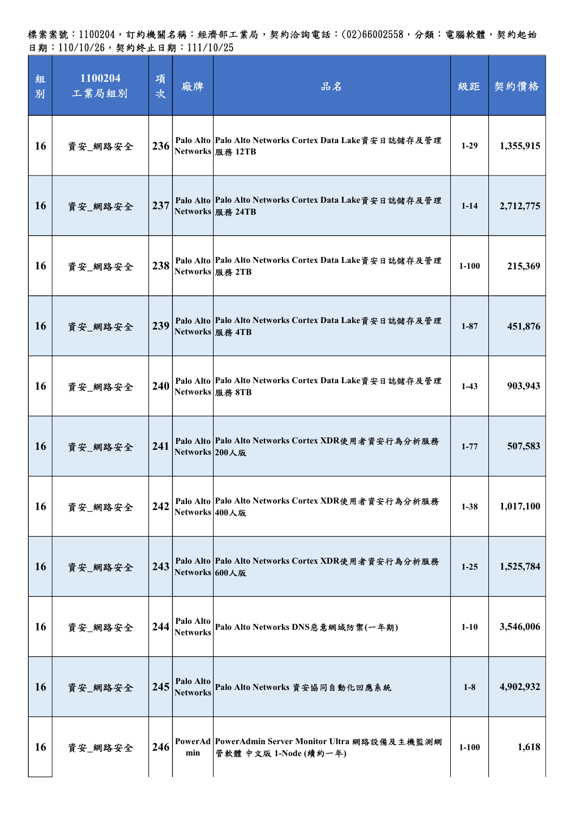| 組<br>別    | 1100204<br>工業局組別 | 項<br>次 | 廠牌                           | 品名                                                                             | 級距        | 契約價格      |
|-----------|------------------|--------|------------------------------|--------------------------------------------------------------------------------|-----------|-----------|
| <b>16</b> | 資安_網路安全          | 236    |                              | Palo Alto   Palo Alto Networks Cortex Data Lake 資安日誌儲存及管理<br>Networks 服務 12TB  | $1-29$    | 1,355,915 |
| <b>16</b> | 資安_網路安全          | 237    |                              | Palo Alto   Palo Alto Networks Cortex Data Lake資安日誌儲存及管理<br>Networks   服務 24TB | $1 - 14$  | 2,712,775 |
| <b>16</b> | 資安_網路安全          | 238    |                              | Palo Alto Palo Alto Networks Cortex Data Lake資安日誌儲存及管理<br>Networks 服務 2TB      | $1 - 100$ | 215,369   |
| <b>16</b> | 資安_網路安全          | 239    |                              | Palo Alto Palo Alto Networks Cortex Data Lake 資安日誌儲存及管理<br>Networks 服務 4TB     | $1 - 87$  | 451,876   |
| 16        | 資安_網路安全          | 240    |                              | Palo Alto Palo Alto Networks Cortex Data Lake資安日誌儲存及管理<br>Networks   服務 8TB    | $1-43$    | 903,943   |
| <b>16</b> | 資安_網路安全          | 241    | Networks 200人版               | Palo Alto Palo Alto Networks Cortex XDR使用者資安行為分析服務                             | $1 - 77$  | 507,583   |
| <b>16</b> | 資安_網路安全          | 242    | Networks 400人版               | Palo Alto Palo Alto Networks Cortex XDR使用者資安行為分析服務                             | $1 - 38$  | 1,017,100 |
| <b>16</b> | 資安_網路安全          | 243    | Networks 600人版               | Palo Alto Palo Alto Networks Cortex XDR使用者資安行為分析服務                             | $1 - 25$  | 1,525,784 |
| <b>16</b> | 資安_網路安全          | 244    | Palo Alto<br><b>Networks</b> | Palo Alto Networks DNS惡意網域防禦(一年期)                                              | $1-10$    | 3,546,006 |
| <b>16</b> | 資安_網路安全          | 245    | Palo Alto<br><b>Networks</b> | Palo Alto Networks 資安協同自動化回應系統                                                 | $1-8$     | 4,902,932 |
| <b>16</b> | 資安_網路安全          | 246    | min                          | PowerAd PowerAdmin Server Monitor Ultra 網路設備及主機監測網<br>管軟體 中文版 1-Node (續約一年)    | $1 - 100$ | 1,618     |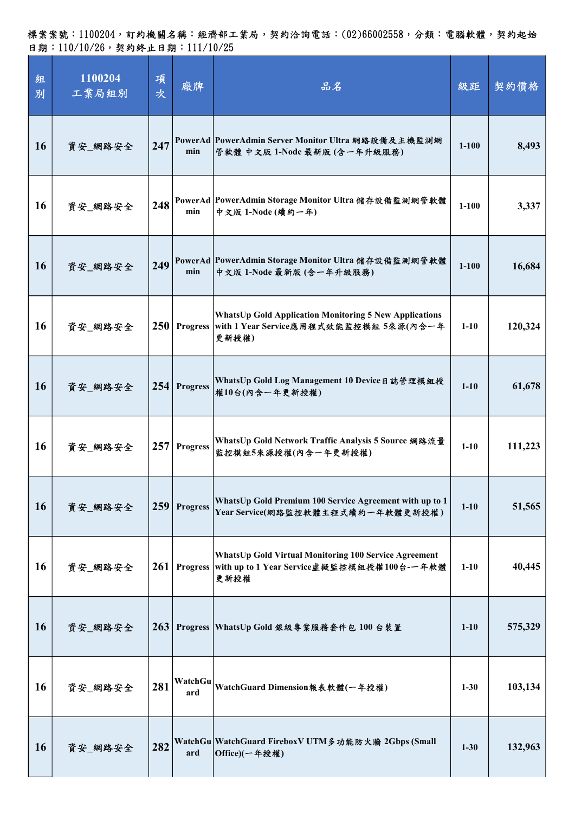| 組<br>別    | 1100204<br>工業局組別 | 項<br>次           | 廠牌              | 品名                                                                                                                        | 級距        | 契約價格    |
|-----------|------------------|------------------|-----------------|---------------------------------------------------------------------------------------------------------------------------|-----------|---------|
| <b>16</b> | 資安_網路安全          | 247              | min             | PowerAd PowerAdmin Server Monitor Ultra 網路設備及主機監測網<br>管軟體 中文版 1-Node 最新版 (含一年升級服務)                                        | $1 - 100$ | 8,493   |
| 16        | 資安_網路安全          | 248              | min             | PowerAd  PowerAdmin Storage Monitor Ultra 儲存設備監測網管軟體<br>中文版 1-Node (續約一年)                                                 | $1-100$   | 3,337   |
| 16        | 資安_網路安全          | 249              | min             | PowerAd PowerAdmin Storage Monitor Ultra 儲存設備監測網管軟體<br>中文版 1-Node 最新版 (含一年升級服務)                                           | $1 - 100$ | 16,684  |
| 16        | 資安_網路安全          | 250 <sup>1</sup> |                 | <b>WhatsUp Gold Application Monitoring 5 New Applications</b><br>Progress with 1 Year Service應用程式效能監控模組 5來源(內含一年<br>更新授權) | $1-10$    | 120,324 |
| <b>16</b> | 資安_網路安全          |                  | 254 Progress    | WhatsUp Gold Log Management 10 Device日誌管理模組授<br>權10台(內含一年更新授權)                                                            | $1 - 10$  | 61,678  |
| 16        | 資安_網路安全          | 257              | <b>Progress</b> | WhatsUp Gold Network Traffic Analysis 5 Source 網路流量<br>監控模組5來源授權(內含一年更新授權)                                                | $1-10$    | 111,223 |
| 16        | 資安_網路安全          | 259              | <b>Progress</b> | WhatsUp Gold Premium 100 Service Agreement with up to 1<br>Year Service(網路監控軟體主程式續約一年軟體更新授權)                              | $1 - 10$  | 51,565  |
| 16        | 資安_網路安全          |                  | $261$ Progress  | <b>WhatsUp Gold Virtual Monitoring 100 Service Agreement</b><br>with up to 1 Year Service虛擬監控模組授權100台-一年軟體<br>更新授權        | $1 - 10$  | 40,445  |
| <b>16</b> | 資安_網路安全          | 263              |                 | Progress WhatsUp Gold 銀級專業服務套件包 100 台裝置                                                                                   | $1 - 10$  | 575,329 |
| 16        | 資安_網路安全          | 281              | WatchGu<br>ard  | WatchGuard Dimension報表軟體(一年授權)                                                                                            | $1 - 30$  | 103,134 |
| 16        | 資安_網路安全          | 282              | ard             | WatchGu   WatchGuard Firebox V UTM 多功能防火牆 2Gbps (Small<br>Office)(一年授權)                                                   | $1 - 30$  | 132,963 |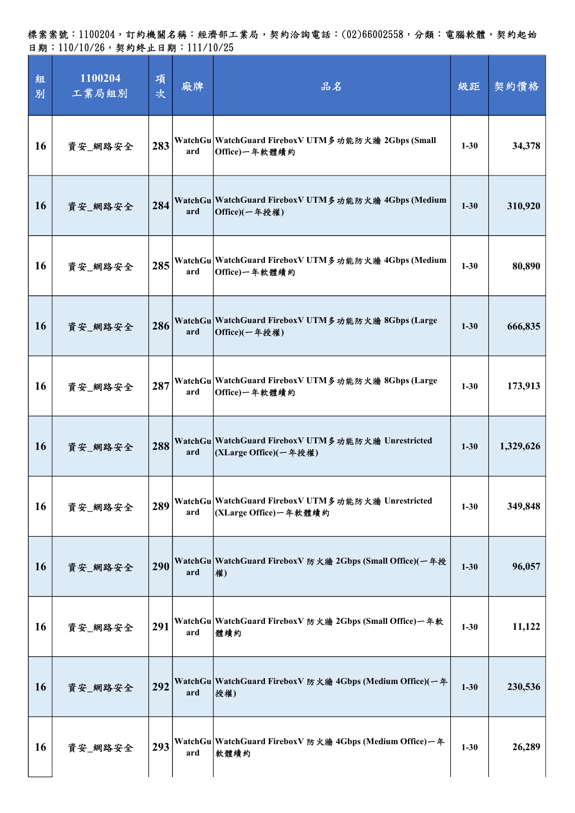| 組<br>別    | 1100204<br>工業局組別 | 項<br>次 | 廠牌  | 品名                                                                           | 級距       | 契約價格      |
|-----------|------------------|--------|-----|------------------------------------------------------------------------------|----------|-----------|
| 16        | 資安_網路安全          | 283    | ard | WatchGu   WatchGuard Firebox V UTM 多功能防火牆 2Gbps (Small<br>Office)一年軟體續約      | $1 - 30$ | 34,378    |
| <b>16</b> | 資安_網路安全          | 284    | ard | WatchGu WatchGuard FireboxV UTM 多功能防火牆 4Gbps (Medium<br>Office)(一年授權)        | $1 - 30$ | 310,920   |
| 16        | 資安_網路安全          | 285    | ard | WatchGu   WatchGuard Firebox V UTM 多功能防火牆 4Gbps (Medium<br>Office)一年軟體續約     | $1 - 30$ | 80,890    |
| <b>16</b> | 資安_網路安全          | 286    | ard | WatchGu WatchGuard FireboxV UTM 多功能防火牆 8Gbps (Large<br>Office)(一年授權)         | $1 - 30$ | 666,835   |
| 16        | 資安_網路安全          | 287    | ard | WatchGu WatchGuard FireboxV UTM 多功能防火牆 8Gbps (Large<br>Office)一年軟體續約         | $1 - 30$ | 173,913   |
| <b>16</b> | 資安_網路安全          | 288    | ard | WatchGu WatchGuard FireboxV UTM 多功能防火牆 Unrestricted<br>(XLarge Office)(一年授權) | $1 - 30$ | 1,329,626 |
| <b>16</b> | 資安_網路安全          | 289    | ard | WatchGu WatchGuard FireboxV UTM 多功能防火牆 Unrestricted<br>(XLarge Office)一年軟體續約 | $1 - 30$ | 349,848   |
| <b>16</b> | 資安_網路安全          | 290    | ard | WatchGu   WatchGuard FireboxV 防火牆 2Gbps (Small Office)(一年授<br>權)             | $1 - 30$ | 96,057    |
| <b>16</b> | 資安_網路安全          | 291    | ard | WatchGu   WatchGuard Firebox V 防火牆 2Gbps (Small Office) 一年軟<br>體續約           | $1 - 30$ | 11,122    |
| <b>16</b> | 資安_網路安全          | 292    | ard | WatchGu WatchGuard FireboxV 防火牆 4Gbps (Medium Office)(一年<br>授權)              | $1 - 30$ | 230,536   |
| <b>16</b> | 資安_網路安全          | 293    | ard | WatchGu   WatchGuard FireboxV 防火牆 4Gbps (Medium Office) 一年<br>軟體續約           | $1 - 30$ | 26,289    |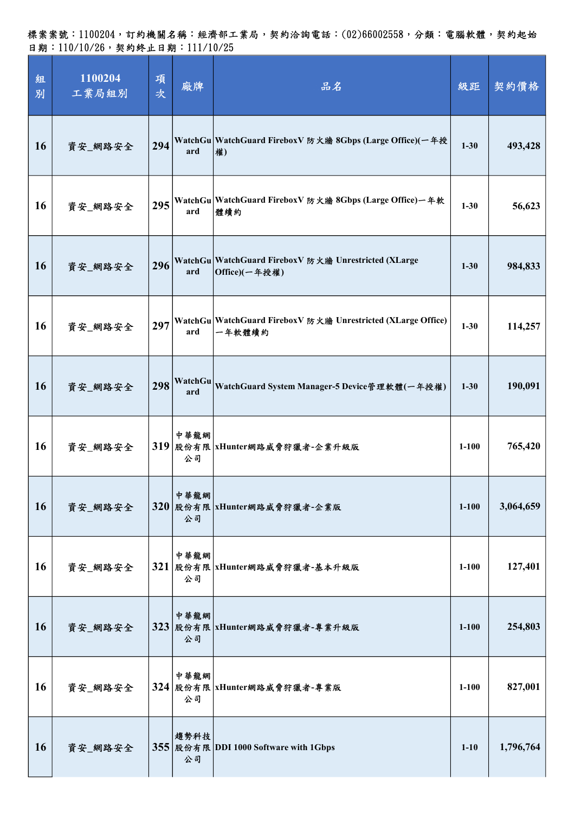| 組<br>別    | 1100204<br>工業局組別 | 項<br>次 | 廠牌             | 品名                                                                     | 級距        | 契約價格      |
|-----------|------------------|--------|----------------|------------------------------------------------------------------------|-----------|-----------|
| <b>16</b> | 資安_網路安全          | 294    | ard            | WatchGu WatchGuard FireboxV 防火牆 8Gbps (Large Office)(一年授<br>權)         | $1 - 30$  | 493,428   |
| 16        | 資安_網路安全          |        | ard            | 295 WatchGu WatchGuard FireboxV 防火牆 8Gbps (Large Office)一年軟<br>體續約     | $1 - 30$  | 56,623    |
| 16        | 資安_網路安全          | 296    | ard            | WatchGu WatchGuard FireboxV 防火牆 Unrestricted (XLarge<br>Office)(一年授權)  | $1 - 30$  | 984,833   |
| 16        | 資安_網路安全          | 297    | ard            | WatchGu WatchGuard FireboxV 防火牆 Unrestricted (XLarge Office)<br>一年軟體續約 | $1 - 30$  | 114,257   |
| 16        | 資安_網路安全          | 298    | WatchGu<br>ard | WatchGuard System Manager-5 Device管理軟體(一年授權)                           | $1 - 30$  | 190,091   |
| 16        | 資安_網路安全          |        | 中華龍網<br>公司     | 319 股份有限   xHunter網路威脅狩獵者-企業升級版                                        | $1 - 100$ | 765,420   |
| 16        | 資安_網路安全          |        | 中華龍網<br>公司     | 320 股份有限 xHunter網路威脅狩獵者-企業版                                            | $1 - 100$ | 3,064,659 |
| 16        | 資安_網路安全          |        | 中華龍網<br>公司     | 321 股份有限 xHunter網路威脅狩獵者-基本升級版                                          | $1 - 100$ | 127,401   |
| 16        | 資安_網路安全          |        | 中華龍網<br>公司     | 323 股份有限 xHunter網路威脅狩獵者-專業升級版                                          | $1 - 100$ | 254,803   |
| 16        | 資安_網路安全          |        | 中華龍網<br>公司     | 324 股份有限 xHunter網路威脅狩獵者-專業版                                            | $1-100$   | 827,001   |
| 16        | 資安_網路安全          |        | 趨勢科技<br>公司     | 355 股份有限 DDI 1000 Software with 1Gbps                                  | $1 - 10$  | 1,796,764 |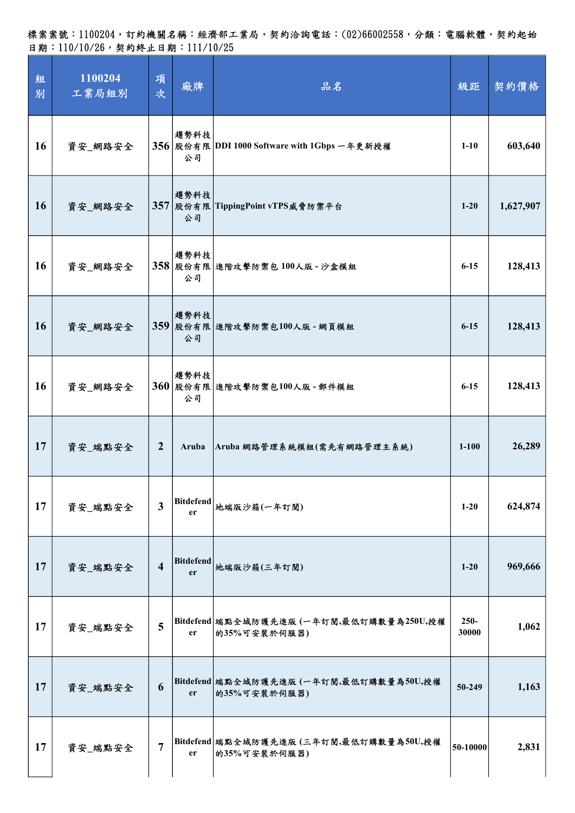| 組<br>別 | 1100204<br>工業局組別 | 項<br>次                  | 廠牌                     | 品名                                                       | 級距               | 契約價格      |
|--------|------------------|-------------------------|------------------------|----------------------------------------------------------|------------------|-----------|
| 16     | 資安_網路安全          |                         | 趨勢科技<br>公司             | 356 股份有限 DDI 1000 Software with 1Gbps 一年更新授權             | $1 - 10$         | 603,640   |
| 16     | 資安_網路安全          |                         | 趨勢科技<br>公司             | 357 股份有限 TippingPoint vTPS威脅防禦平台                         | $1 - 20$         | 1,627,907 |
| 16     | 資安_網路安全          |                         | 趨勢科技<br>公司             | 358 股份有限 進階攻擊防禦包 100人版 - 沙盒模組                            | $6 - 15$         | 128,413   |
| 16     | 資安_網路安全          |                         | 趨勢科技<br>公司             | 359 股份有限 進階攻擊防禦包100人版 - 網頁模組                             | $6 - 15$         | 128,413   |
| 16     | 資安_網路安全          |                         | 趨勢科技<br>公司             | 360 股份有限 進階攻擊防禦包100人版 - 郵件模組                             | $6 - 15$         | 128,413   |
| 17     | 資安_端點安全          | $\overline{2}$          | Aruba                  | Aruba 網路管理系統模組(需先有網路管理主系統)                               | $1 - 100$        | 26,289    |
| 17     | 資安_端點安全          | $\overline{\mathbf{3}}$ | <b>Bitdefend</b><br>er | 地端版沙箱(一年訂閱)                                              | $1-20$           | 624,874   |
| 17     | 資安_端點安全          | $\overline{\mathbf{4}}$ |                        | Bitdefend  <br> 地端版沙箱(三年訂閱)                              | $1 - 20$         | 969,666   |
| 17     | 資安_端點安全          | 5                       | er                     | Bitdefend 端點全域防護先進版 (一年訂閱,最低訂購數量為250U,授權<br>的35%可安装於伺服器) | $250 -$<br>30000 | 1,062     |
| 17     | 資安_端點安全          | 6                       | er                     | Bitdefend 端點全域防護先進版 (一年訂閱,最低訂購數量為50U,授權<br>的35%可安装於伺服器)  | 50-249           | 1,163     |
| 17     | 資安_端點安全          | $\overline{7}$          | er                     | Bitdefend 端點全域防護先進版 (三年訂閱,最低訂購數量為50U,授權<br>的35%可安装於伺服器)  | 50-10000         | 2,831     |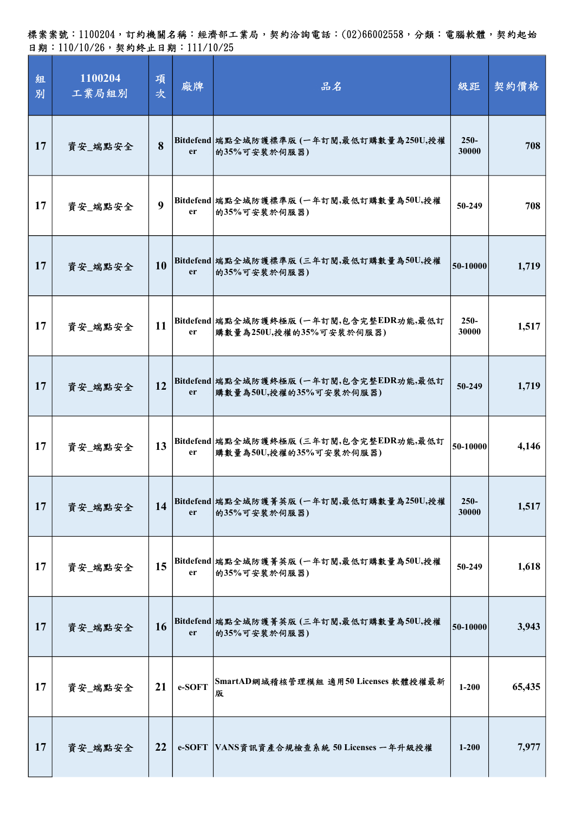標案案號:1100204,訂約機關名稱:經濟部工業局,契約洽詢電話:(02)66002558,分類:電腦軟體,契約起始 日期:110/10/26,契約終止日期:111/10/25

| 組<br>別 | 1100204<br>工業局組別 | 項<br>次           | 廠牌            | 品名                                                                  | 級距               | 契約價格   |
|--------|------------------|------------------|---------------|---------------------------------------------------------------------|------------------|--------|
| 17     | 資安_端點安全          | 8                | er            | Bitdefend 端點全域防護標準版 (一年訂閱,最低訂購數量為250U,授權<br>的35%可安装於伺服器)            | $250 -$<br>30000 | 708    |
| 17     | 資安_端點安全          | $\boldsymbol{9}$ | er            | Bitdefend 端點全域防護標準版 (一年訂閱,最低訂購數量為50U,授權<br>的35%可安装於伺服器)             | 50-249           | 708    |
| 17     | 資安_端點安全          | 10               | <sub>er</sub> | Bitdefend 端點全域防護標準版 (三年訂閱,最低訂購數量為50U,授權<br>的35%可安裝於伺服器)             | 50-10000         | 1,719  |
| 17     | 資安_端點安全          | 11               | er            | Bitdefend 端點全域防護終極版 (一年訂閱,包含完整EDR功能,最低訂<br> 購數量為250U,授權的35%可安裝於伺服器) | $250 -$<br>30000 | 1,517  |
| 17     | 資安_端點安全          | 12               | er            | Bitdefend 端點全域防護終極版(一年訂閱,包含完整EDR功能,最低訂<br> 購數量為50U,授權的35%可安裝於伺服器)   | 50-249           | 1,719  |
| 17     | 資安_端點安全          | 13               | er            | Bitdefend 端點全域防護終極版 (三年訂閱,包含完整EDR功能,最低訂<br>購數量為50U,授權的35%可安裝於伺服器)   | 50-10000         | 4,146  |
| 17     | 資安_端點安全          | 14               | <sub>er</sub> | Bitdefend 端點全域防護菁英版 (一年訂閱,最低訂購數量為250U,授權<br>的35%可安装於伺服器)            | $250 -$<br>30000 | 1,517  |
| 17     | 資安_端點安全          | 15               | er            | Bitdefend 端點全域防護菁英版 (一年訂閱,最低訂購數量為50U,授權<br>的35%可安装於伺服器)             | 50-249           | 1,618  |
| 17     | 資安_端點安全          | 16               | er            | Bitdefend 端點全域防護菁英版 (三年訂閱,最低訂購數量為50U,授權<br>的35%可安装於伺服器)             | 50-10000         | 3,943  |
| 17     | 資安_端點安全          | 21               | e-SOFT        | SmartAD網域稽核管理模組 適用50 Licenses 軟體授權最新<br>版                           | $1 - 200$        | 65,435 |
| 17     | 資安_端點安全          | 22               |               | e-SOFT VANS資訊資產合規檢查系統 50 Licenses 一年升級授權                            | $1 - 200$        | 7,977  |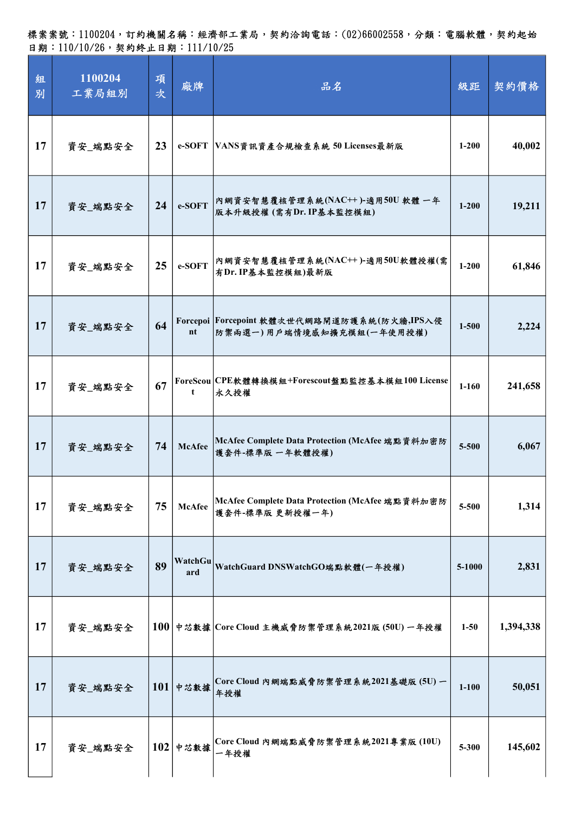| 組<br>別 | 1100204<br>工業局組別 | 項<br>次 | 廠牌             | 品名                                                                        | 級距        | 契約價格      |
|--------|------------------|--------|----------------|---------------------------------------------------------------------------|-----------|-----------|
| 17     | 資安_端點安全          | 23     |                | e-SOFT VANS資訊資產合規檢查系統 50 Licenses最新版                                      | $1 - 200$ | 40,002    |
| 17     | 資安_端點安全          | 24     | e-SOFT         | 内網資安智慧覆核管理系統(NAC++ )-適用50U 軟體 一年 <br> 版本升級授權(需有Dr.IP基本監控模組)               | $1 - 200$ | 19,211    |
| 17     | 資安_端點安全          | 25     | e-SOFT         | 內網資安智慧覆核管理系統(NAC++)-適用50U軟體授權(需<br>有Dr. IP基本監控模組)最新版                      | $1 - 200$ | 61,846    |
| 17     | 資安_端點安全          | 64     | nt             | Forcepoi Forcepoint 軟體次世代網路閘道防護系統(防火牆,IPS入侵<br> 防禦兩選一)用戶端情境感知擴充模組(一年使用授權) | $1 - 500$ | 2,224     |
| 17     | 資安_端點安全          | 67     | t              | ForeScou CPE軟體轉換模組+Forescout盤點監控基本模組100 License<br>永久授權                   | $1-160$   | 241,658   |
| 17     | 資安_端點安全          | 74     | <b>McAfee</b>  | McAfee Complete Data Protection (McAfee 端點資料加密防<br>護套件-標準版 一年軟體授權)        | 5-500     | 6,067     |
| 17     | 資安_端點安全          | 75     | <b>McAfee</b>  | McAfee Complete Data Protection (McAfee 端點資料加密防<br>護套件-標準版更新授權一年)         | 5-500     | 1,314     |
| 17     | 資安_端點安全          | 89     | WatchGu<br>ard | WatchGuard DNSWatchGO端點軟體(一年授權)                                           | 5-1000    | 2,831     |
| 17     | 資安_端點安全          |        |                | $100$ 中芯数據 Core Cloud 主機威脅防禦管理系統2021版(50U) 一年授權                           | $1 - 50$  | 1,394,338 |
| 17     | 資安_端點安全          |        | $101$ 中芯数據     | Core Cloud 內網端點威脅防禦管理系統2021基礎版(5U)一<br>年授權                                | $1 - 100$ | 50,051    |
| 17     | 資安_端點安全          |        | $102$ 中芯数據     | Core Cloud 內網端點威脅防禦管理系統2021專業版(10U)<br>一年授權                               | 5-300     | 145,602   |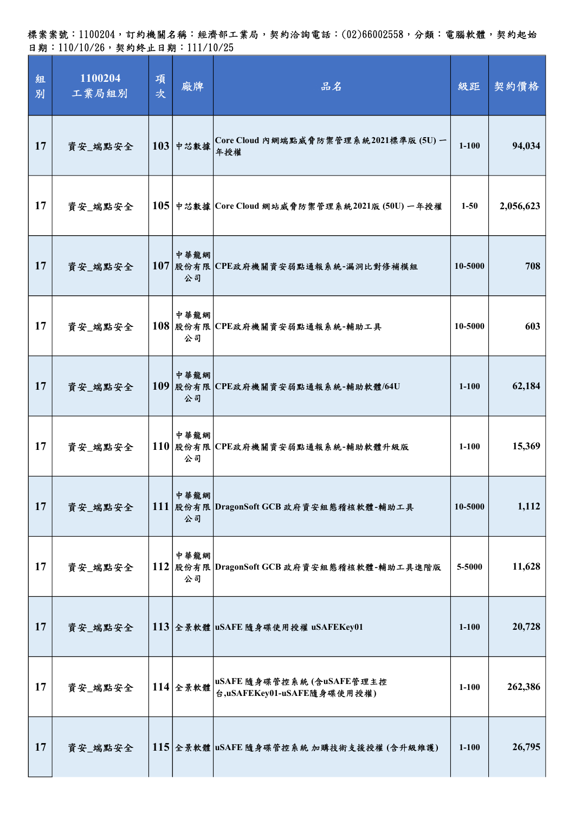標案案號:1100204,訂約機關名稱:經濟部工業局,契約洽詢電話:(02)66002558,分類:電腦軟體,契約起始 日期:110/10/26,契約終止日期:111/10/25

| 組<br>別 | 1100204<br>工業局組別 | 項<br>次 | 廠牌         | 品名                                                     | 級距        | 契約價格      |
|--------|------------------|--------|------------|--------------------------------------------------------|-----------|-----------|
| 17     | 資安_端點安全          |        | $103$ 中芯数據 | Core Cloud 內網端點威脅防禦管理系統2021標準版 (5U) 一<br>年授權           | $1 - 100$ | 94,034    |
| 17     | 資安_端點安全          |        |            | $105$ 中芯数據 Core Cloud 網站威脅防禦管理系統2021版 (50U) 一年授權       | $1 - 50$  | 2,056,623 |
| 17     | 資安_端點安全          |        | 中華龍網<br>公司 | 107 股份有限 CPE政府機關資安弱點通報系統-漏洞比對修補模組                      | 10-5000   | 708       |
| 17     | 資安_端點安全          |        | 中華龍網<br>公司 | 108 股份有限 CPE政府機關資安弱點通報系統-輔助工具                          | 10-5000   | 603       |
| 17     | 資安_端點安全          |        | 中華龍網<br>公司 | 109 股份有限 CPE政府機關資安弱點通報系統-輔助軟體/64U                      | $1 - 100$ | 62,184    |
| 17     | 資安_端點安全          |        | 中華龍網<br>公司 | 110 股份有限 CPE政府機關資安弱點通報系統-輔助軟體升級版                       | $1 - 100$ | 15,369    |
| 17     | 資安_端點安全          |        | 中華龍網<br>公司 | 111 股份有限 DragonSoft GCB 政府資安組態稽核軟體-輔助工具                | 10-5000   | 1,112     |
| 17     | 資安_端點安全          |        | 中華龍網<br>公司 | 112 股份有限 DragonSoft GCB 政府資安組態稽核軟體-輔助工具進階版             | 5-5000    | 11,628    |
| 17     | 資安_端點安全          |        |            | 113 全景軟體 uSAFE 隨身碟使用授權 uSAFEKey01                      | $1 - 100$ | 20,728    |
| 17     | 資安_端點安全          |        | $114$ 全景軟體 | uSAFE 隨身碟管控系統(含uSAFE管理主控<br>台,uSAFEKey01-uSAFE隨身碟使用授權) | $1 - 100$ | 262,386   |
| 17     | 資安_端點安全          |        |            | 115 全景軟體 uSAFE 隨身碟管控系統 加購技術支援授權 (含升級維護)                | $1 - 100$ | 26,795    |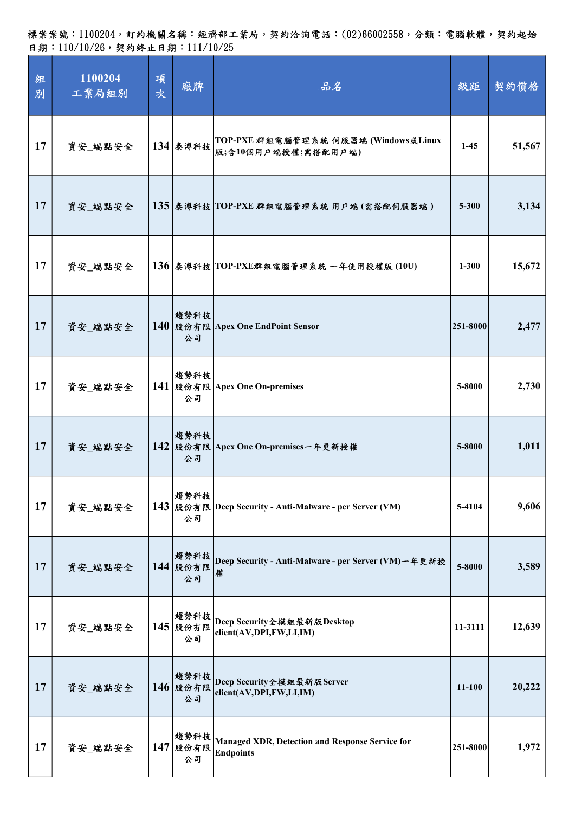標案案號:1100204,訂約機關名稱:經濟部工業局,契約洽詢電話:(02)66002558,分類:電腦軟體,契約起始 日期:110/10/26,契約終止日期:111/10/25

| 組<br>別 | 1100204<br>工業局組別 | 項<br>次 | 廠牌                        | 品名                                                                         | 級距        | 契約價格   |
|--------|------------------|--------|---------------------------|----------------------------------------------------------------------------|-----------|--------|
| 17     | 資安_端點安全          |        | 134 泰溥科技                  | TOP-PXE 群組電腦管理系統 伺服器端 (Windows或Linux<br>版;含10個用戶端授權;需搭配用戶端)                | $1-45$    | 51,567 |
| 17     | 資安_端點安全          |        |                           | 135 泰溥科技 TOP-PXE 群組電腦管理系統 用戶端(需搭配伺服器端)                                     | $5 - 300$ | 3,134  |
| 17     | 資安_端點安全          |        |                           | 136 泰溥科技 TOP-PXE群組電腦管理系統 一年使用授權版 (10U)                                     | $1 - 300$ | 15,672 |
| 17     | 資安_端點安全          |        | 趨勢科技<br>公司                | 140 股份有限 Apex One EndPoint Sensor                                          | 251-8000  | 2,477  |
| 17     | 資安_端點安全          |        | 趨勢科技<br>公司                | 141   股份有限   Apex One On-premises                                          | 5-8000    | 2,730  |
| 17     | 資安 端點安全          |        | 趨勢科技<br>公司                | 142 股份有限 Apex One On-premises一年更新授權                                        | 5-8000    | 1,011  |
| 17     | 資安_端點安全          |        | 趨勢科技<br>公司                | 143 股份有限 Deep Security - Anti-Malware - per Server (VM)                    | 5-4104    | 9,606  |
| 17     | 資安_端點安全          |        | 趨勢科技<br>144 股份有限<br>公司    | Deep Security - Anti-Malware - per Server (VM) 一年更新授<br>權                  | 5-8000    | 3,589  |
| 17     | 資安_端點安全          | 145    | 趨勢科技<br>股份有限<br>公司        | Deep Security全模組最新版Desktop<br>client(AV,DPI,FW,LI,IM)                      | 11-3111   | 12,639 |
| 17     | 資安_端點安全          |        | 趨勢科技<br>$146$  股份有限<br>公司 | Deep Security全模組最新版Server<br>client(AV,DPI,FW,LI,IM)                       | 11-100    | 20,222 |
| 17     | 資安_端點安全          |        | 趨勢科技<br>$147$  股份有限<br>公司 | <b>Managed XDR, Detection and Response Service for</b><br><b>Endpoints</b> | 251-8000  | 1,972  |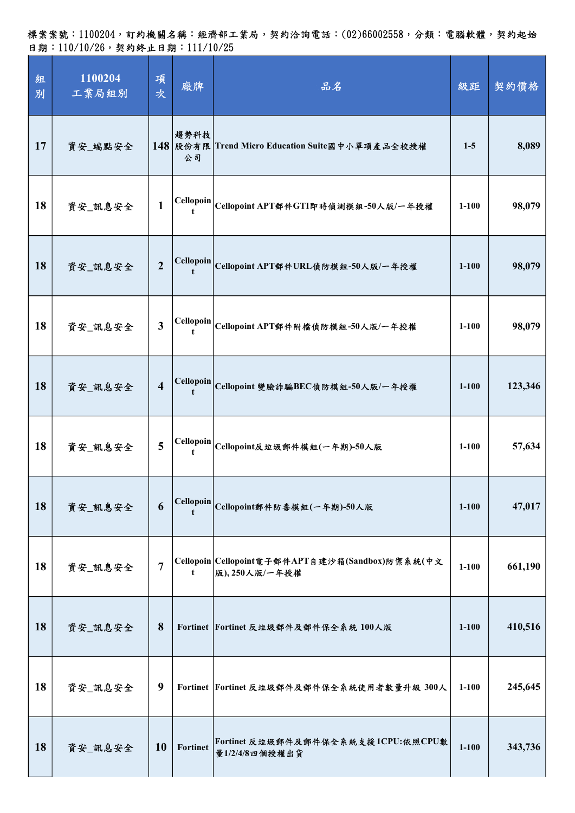| 組<br>別 | 1100204<br>工業局組別 | 項<br>次                  | 廠牌                    | 品名                                                                | 級距        | 契約價格    |
|--------|------------------|-------------------------|-----------------------|-------------------------------------------------------------------|-----------|---------|
| 17     | 資安_端點安全          |                         | 趨勢科技<br>公司            | 148 股份有限 Trend Micro Education Suite國中小單項產品全校授權                   | $1-5$     | 8,089   |
| 18     | 資安_訊息安全          | $\mathbf{1}$            |                       | Cellopoin Cellopoint APT郵件GTI即時偵測模組-50人版/一年授權                     | $1-100$   | 98,079  |
| 18     | 資安_訊息安全          | $\overline{2}$          | <b>Cellopoin</b><br>t | Cellopoint APT郵件URL偵防模組-50人版/一年授權                                 | $1 - 100$ | 98,079  |
| 18     | 資安_訊息安全          | $\mathbf{3}$            | Cellopoin<br>t        | Cellopoint APT郵件附檔偵防模組-50人版/一年授權                                  | $1 - 100$ | 98,079  |
| 18     | 資安_訊息安全          | $\overline{\mathbf{4}}$ |                       | Cellopoin Cellopoint 變臉詐騙BEC偵防模組-50人版/一年授權                        | $1 - 100$ | 123,346 |
| 18     | 資安_訊息安全          | 5                       |                       | Cellopoin Cellopoint反垃圾郵件模組(一年期)-50人版                             | $1 - 100$ | 57,634  |
| 18     | 資安_訊息安全          | 6                       |                       | Cellopoin Cellopoint郵件防毒模組(一年期)-50人版                              | $1 - 100$ | 47,017  |
| 18     | 資安_訊息安全          | 7                       | t                     | Cellopoin Cellopoint電子郵件APT自建沙箱(Sandbox)防禦系統(中文<br>版), 250人版/一年授權 | $1 - 100$ | 661,190 |
| 18     | 資安_訊息安全          | 8                       |                       | Fortinet Fortinet 反垃圾郵件及郵件保全系統 100人版                              | $1 - 100$ | 410,516 |
| 18     | 資安_訊息安全          | 9                       |                       | Fortinet Fortinet 反垃圾郵件及郵件保全系統使用者數量升級 300人                        | $1-100$   | 245,645 |
| 18     | 資安_訊息安全          | <b>10</b>               | Fortinet              | Fortinet 反垃圾郵件及郵件保全系統支援1CPU:依照CPU數<br>量1/2/4/8四個授權出貨              | $1 - 100$ | 343,736 |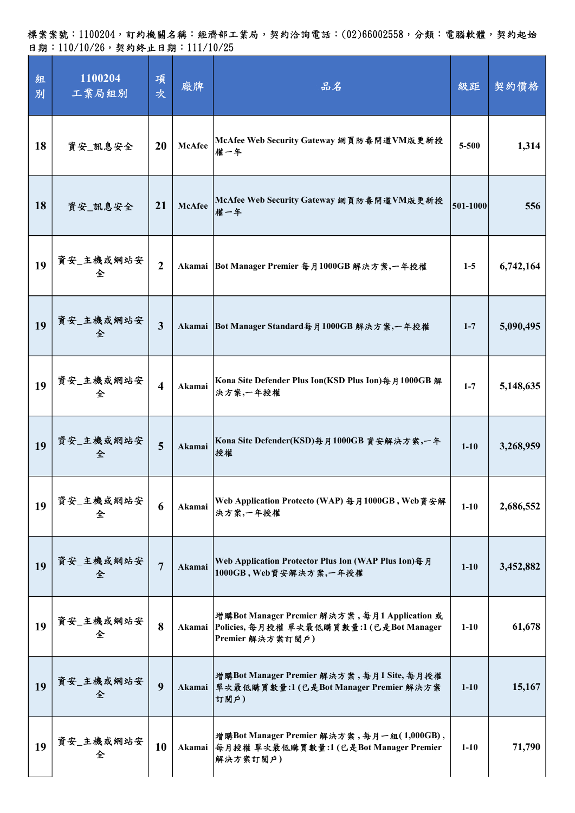| 組<br>別 | 1100204<br>工業局組別 | 項<br>次                  | 廠牌            | 品名                                                                                                          | 級距       | 契約價格      |
|--------|------------------|-------------------------|---------------|-------------------------------------------------------------------------------------------------------------|----------|-----------|
| 18     | 資安_訊息安全          | 20                      | McAfee        | McAfee Web Security Gateway 網頁防毒閘道VM版更新授<br>權一年                                                             | 5-500    | 1,314     |
| 18     | 資安_訊息安全          | 21                      | <b>McAfee</b> | McAfee Web Security Gateway 網頁防毒開道VM版更新授<br>權一年                                                             | 501-1000 | 556       |
| 19     | 資安_主機或網站安<br>全   | $\overline{2}$          |               | Akamai   Bot Manager Premier 每月1000GB 解決方案,一年授權                                                             | $1-5$    | 6,742,164 |
| 19     | 資安_主機或網站安<br>全   | $\overline{3}$          |               | Akamai Bot Manager Standard每月1000GB 解決方案,一年授權                                                               | $1 - 7$  | 5,090,495 |
| 19     | 資安_主機或網站安<br>全   | $\overline{\mathbf{4}}$ | Akamai        | Kona Site Defender Plus Ion(KSD Plus Ion)每月1000GB 解<br>決方案,一年授權                                             | $1 - 7$  | 5,148,635 |
| 19     | 資安_主機或網站安<br>全   | 5                       | Akamai        | Kona Site Defender(KSD)每月1000GB 資安解決方案,一年<br>授權                                                             | $1 - 10$ | 3,268,959 |
| 19     | 資安_主機或網站安<br>全   | 6                       | Akamai        | Web Application Protecto (WAP) 每月1000GB, Web資安解<br>決方案,一年授權                                                 | $1-10$   | 2,686,552 |
| 19     | 資安_主機或網站安<br>全   | $\overline{7}$          | Akamai        | Web Application Protector Plus Ion (WAP Plus Ion)每月<br>1000GB, Web資安解決方案,一年授權                               | $1 - 10$ | 3,452,882 |
| 19     | 資安_主機或網站安<br>全   | 8                       | Akamai        | 增購Bot Manager Premier 解決方案,每月1 Application 或<br>Policies, 每月授權 單次最低購買數量:1(已是Bot Manager<br>Premier 解決方案訂閱戶) | $1-10$   | 61,678    |
| 19     | 資安_主機或網站安<br>全   | 9                       | Akamai        | 增購Bot Manager Premier 解決方案,每月1 Site,每月授權<br>單次最低購買數量:1(已是Bot Manager Premier 解決方案<br>訂閱戶)                   | $1 - 10$ | 15,167    |
| 19     | 資安_主機或網站安<br>全   | 10                      |               | 增購Bot Manager Premier 解決方案,每月一組(1,000GB),<br>Akamai 每月授權 單次最低購買數量:1 (已是Bot Manager Premier<br>解決方案訂閱戶)      | $1 - 10$ | 71,790    |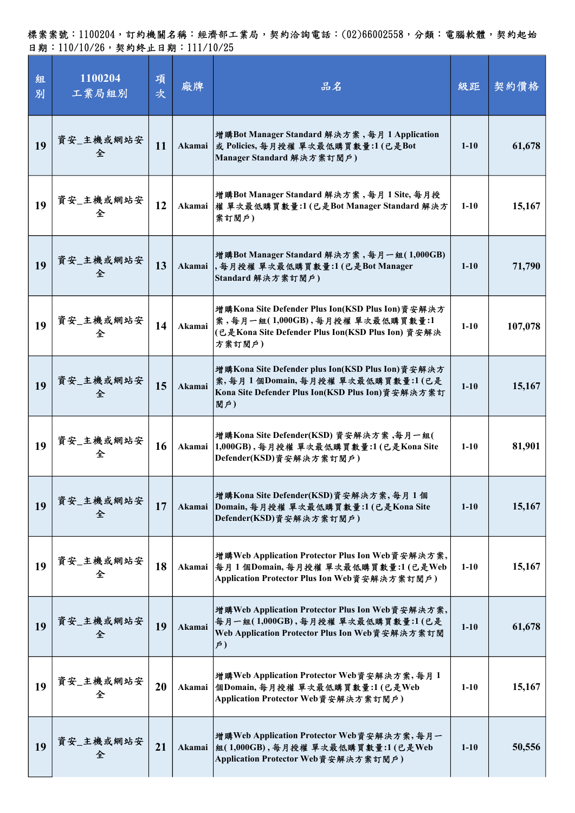| 組<br>別 | 1100204<br>工業局組別 | 項<br>次 | 廠牌     | 品名                                                                                                                                                 | 級距       | 契約價格    |
|--------|------------------|--------|--------|----------------------------------------------------------------------------------------------------------------------------------------------------|----------|---------|
| 19     | 資安_主機或網站安<br>全   | 11     | Akamai | 增購Bot Manager Standard 解決方案, 每月 1 Application<br>或 Policies, 每月授權 單次最低購買數量:1(已是Bot<br>Manager Standard 解決方案訂閱戶)                                    | $1-10$   | 61,678  |
| 19     | 資安_主機或網站安<br>全   | 12     |        | 增購Bot Manager Standard 解決方案,每月1Site,每月授<br>Akamai 權 單次最低購買數量:1 (已是Bot Manager Standard 解決方<br>案訂閱戶)                                                | $1-10$   | 15,167  |
| 19     | 資安_主機或網站安<br>全   | 13     |        | 增購Bot Manager Standard 解決方案,每月一組(1,000GB)<br>Akamai,每月授權單次最低購買數量:1(已是Bot Manager<br>Standard 解決方案訂閱戶)                                              | $1-10$   | 71,790  |
| 19     | 資安_主機或網站安<br>全   | 14     | Akamai | 増購Kona Site Defender Plus Ion(KSD Plus Ion)資安解決方<br>案,每月一組(1,000GB),每月授權 單次最低購買數量:1<br>(已是Kona Site Defender Plus Ion(KSD Plus Ion) 資安解決<br>方案訂閱戶) | $1-10$   | 107,078 |
| 19     | 資安_主機或網站安<br>全   | 15     | Akamai | 増購Kona Site Defender plus Ion(KSD Plus Ion)資安解決方<br>案,每月1個Domain,每月授權 單次最低購買數量:1(已是<br>Kona Site Defender Plus Ion(KSD Plus Ion)資安解決方案訂<br>閲户)     | $1 - 10$ | 15,167  |
| 19     | 資安_主機或網站安<br>全   | 16     |        | 增購Kona Site Defender(KSD)資安解決方案,每月一組(<br>Akamai   1,000GB), 每月授權 單次最低購買數量:1(已是Kona Site<br>Defender(KSD)資安解決方案訂閱戶)                                 | $1-10$   | 81,901  |
| 19     | 資安_主機或網站安<br>全   | 17     | Akamai | 增購Kona Site Defender(KSD)資安解決方案,每月1個<br>Domain, 每月授權 單次最低購買數量:1(已是Kona Site<br>Defender(KSD)資安解決方案訂閱戶)                                             | $1 - 10$ | 15,167  |
| 19     | 資安_主機或網站安<br>全   | 18     |        | 增購Web Application Protector Plus Ion Web資安解決方案,<br>Akamai 每月1個Domain,每月授權 單次最低購買數量:1(已是Web<br>Application Protector Plus Ion Web資安解決方案訂閱戶)         | $1-10$   | 15,167  |
| 19     | 資安_主機或網站安<br>全   | 19     | Akamai | 增購Web Application Protector Plus Ion Web資安解決方案,<br>每月一組(1,000GB),每月授權 單次最低購買數量:1(已是<br>Web Application Protector Plus Ion Web資安解決方案訂閱<br>$\neq$ )  | $1 - 10$ | 61,678  |
| 19     | 資安_主機或網站安<br>全   | 20     | Akamai | 增購Web Application Protector Web資安解決方案,每月1<br> 個Domain,每月授權 單次最低購買數量:1(已是Web<br>Application Protector Web資安解決方案訂閱戶)                                 | $1 - 10$ | 15,167  |
| 19     | 資安_主機或網站安<br>全   | 21     | Akamai | 增購Web Application Protector Web資安解決方案,每月一<br> 組(1,000GB),每月授權 單次最低購買數量:1(已是Web<br>Application Protector Web資安解決方案訂閱戶)                              | $1-10$   | 50,556  |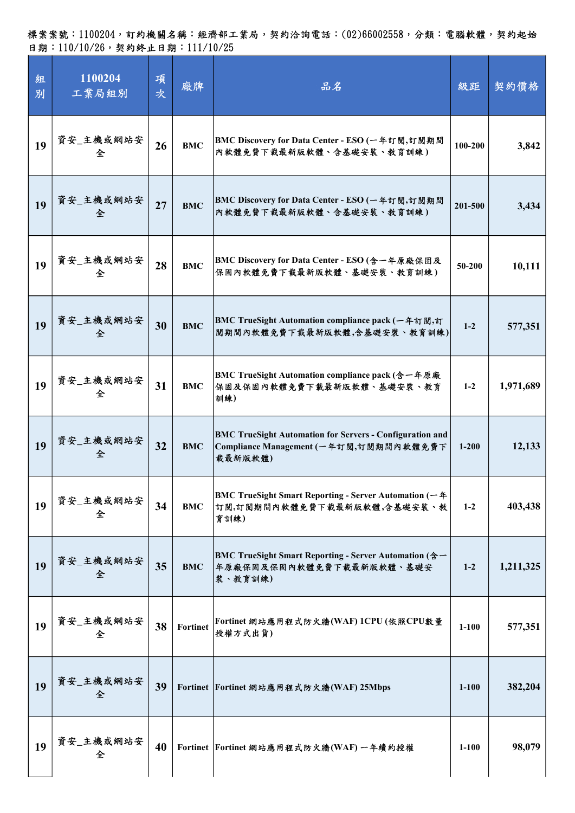| 組<br>別 | 1100204<br>工業局組別 | 項<br>次 | 廠牌         | 品名                                                                                                                   | 級距        | 契約價格      |
|--------|------------------|--------|------------|----------------------------------------------------------------------------------------------------------------------|-----------|-----------|
| 19     | 資安_主機或網站安<br>全   | 26     | <b>BMC</b> | BMC Discovery for Data Center - ESO (一年訂閱,訂閱期間<br>內軟體免費下載最新版軟體、含基礎安裝、教育訓練)                                           | 100-200   | 3,842     |
| 19     | 資安_主機或網站安<br>全   | 27     | <b>BMC</b> | BMC Discovery for Data Center - ESO (一年訂閱,訂閱期間<br>內軟體免費下載最新版軟體、含基礎安裝、教育訓練)                                           | 201-500   | 3,434     |
| 19     | 資安_主機或網站安<br>全   | 28     | <b>BMC</b> | BMC Discovery for Data Center - ESO (含一年原廠保固及<br>保固內軟體免費下載最新版軟體、基礎安裝、教育訓練)                                           | 50-200    | 10,111    |
| 19     | 資安_主機或網站安<br>全   | 30     | <b>BMC</b> | BMC TrueSight Automation compliance pack (一年訂閱,訂<br>閱期間內軟體免費下載最新版軟體,含基礎安裝、教育訓練)                                      | $1-2$     | 577,351   |
| 19     | 資安_主機或網站安<br>全   | 31     | <b>BMC</b> | BMC TrueSight Automation compliance pack (含一年原廠<br>保固及保固內軟體免費下載最新版軟體、基礎安裝、教育<br>訓練)                                  | $1-2$     | 1,971,689 |
| 19     | 資安_主機或網站安<br>全   | 32     | <b>BMC</b> | <b>BMC TrueSight Automation for Servers - Configuration and</b><br>Compliance Management (一年訂閱,訂閱期間內軟體免費下<br>載最新版軟體) | $1 - 200$ | 12,133    |
| 19     | 資安_主機或網站安<br>全   | 34     | <b>BMC</b> | BMC TrueSight Smart Reporting - Server Automation (一年<br>訂閱,訂閱期間內軟體免費下載最新版軟體,含基礎安裝、教<br>育訓練)                         | $1 - 2$   | 403,438   |
| 19     | 資安_主機或網站安<br>全   | 35     | <b>BMC</b> | BMC TrueSight Smart Reporting - Server Automation (含一<br>年原廠保固及保固內軟體免費下載最新版軟體、基礎安<br>裝、教育訓練)                         | $1-2$     | 1,211,325 |
| 19     | 資安_主機或網站安<br>全   | 38     | Fortinet   | Fortinet 網站應用程式防火牆(WAF) 1CPU(依照CPU敦量<br>授權方式出貨)                                                                      | $1-100$   | 577,351   |
| 19     | 資安_主機或網站安<br>全   | 39     |            | Fortinet Fortinet 網站應用程式防火牆(WAF) 25Mbps                                                                              | $1 - 100$ | 382,204   |
| 19     | 資安_主機或網站安<br>全   | 40     |            | Fortinet Fortinet 網站應用程式防火牆(WAF) 一年續約授權                                                                              | $1-100$   | 98,079    |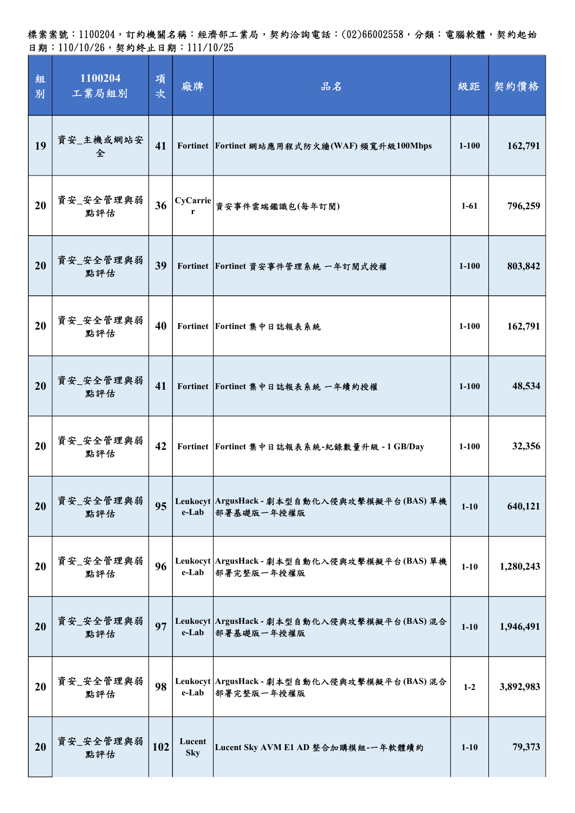標案案號:1100204,訂約機關名稱:經濟部工業局,契約洽詢電話:(02)66002558,分類:電腦軟體,契約起始 日期:110/10/26,契約終止日期:111/10/25

| 組<br>別 | 1100204<br>工業局組別 | 項<br>次 | 廠牌                   | 品名                                                                           | 級距        | 契約價格      |
|--------|------------------|--------|----------------------|------------------------------------------------------------------------------|-----------|-----------|
| 19     | 資安_主機或網站安<br>全   | 41     |                      | Fortinet Fortinet 網站應用程式防火牆(WAF)頻寬升級100Mbps                                  | $1 - 100$ | 162,791   |
| 20     | 資安_安全管理與弱<br>點評估 | 36     |                      | $\left \text{CyCarrie}\right \vphantom{\text{a}}_{\text{f}}$ 資安事件雲端鑑識包(每年訂閱) | $1-61$    | 796,259   |
| 20     | 資安_安全管理與弱<br>點評估 | 39     |                      | Fortinet Fortinet 資安事件管理系統 一年訂閱式授權                                           | $1 - 100$ | 803,842   |
| 20     | 資安_安全管理與弱<br>點評估 | 40     |                      | Fortinet Fortinet 集中日誌報表系統                                                   | $1 - 100$ | 162,791   |
| 20     | 資安_安全管理與弱<br>點評估 | 41     |                      | Fortinet Fortinet 集中日誌報表系統 一年續約授權                                            | $1 - 100$ | 48,534    |
| 20     | 資安_安全管理與弱<br>點評估 | 42     |                      | Fortinet Fortinet 集中日誌報表系統-紀錄數量升級-1GB/Day                                    | $1-100$   | 32,356    |
| 20     | 資安_安全管理與弱<br>點評估 | 95     | e-Lab                | Leukocyt ArgusHack - 劇本型自動化入侵與攻擊模擬平台(BAS) 單機<br>部署基礎版一年授權版                   | $1 - 10$  | 640,121   |
| 20     | 資安_安全管理與弱<br>點評估 | 96     | e-Lab                | Leukocyt ArgusHack - 劇本型自動化入侵與攻擊模擬平台(BAS) 單機<br>部署完整版一年授權版                   | $1 - 10$  | 1,280,243 |
| 20     | 資安_安全管理與弱<br>點評估 | 97     | e-Lab                | Leukocyt ArgusHack - 劇本型自動化入侵與攻擊模擬平台(BAS)混合<br>部署基礎版一年授權版                    | $1 - 10$  | 1,946,491 |
| 20     | 資安_安全管理與弱<br>點評估 | 98     | e-Lab                | Leukocyt ArgusHack - 劇本型自動化入侵與攻擊模擬平台(BAS)混合<br>部署完整版一年授權版                    | $1-2$     | 3,892,983 |
| 20     | 資安_安全管理與弱<br>點評估 | 102    | Lucent<br><b>Sky</b> | Lucent Sky AVM E1 AD 整合加購模組-一年軟體續約                                           | $1 - 10$  | 79,373    |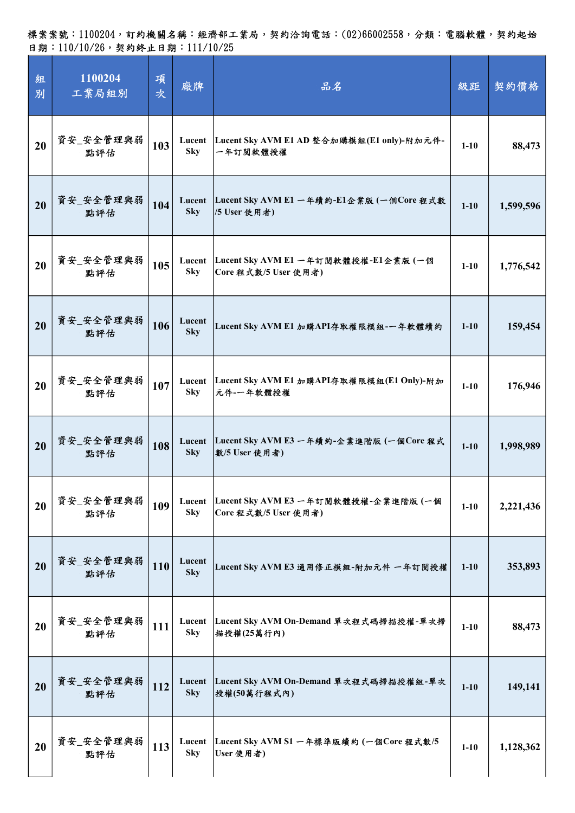| 組<br>別 | 1100204<br>工業局組別 | 項<br>次 | 廠牌                   | 品名                                                            | 級距       | 契約價格      |
|--------|------------------|--------|----------------------|---------------------------------------------------------------|----------|-----------|
| 20     | 資安_安全管理與弱<br>點評估 | 103    | Lucent<br><b>Sky</b> | Lucent Sky AVM E1 AD 整合加購模組(E1 only)-附加元件-<br>一年訂閱軟體授權        | $1-10$   | 88,473    |
| 20     | 資安_安全管理與弱<br>點評估 | 104    | Lucent<br><b>Sky</b> | Lucent Sky AVM E1 一年續約-E1企業版 (一個Core 程式數<br>/5 User 使用者)      | $1 - 10$ | 1,599,596 |
| 20     | 資安_安全管理與弱<br>點評估 | 105    | Lucent<br><b>Sky</b> | Lucent Sky AVM E1 一年訂閱軟體授權-E1企業版 (一個<br>Core 程式數/5 User 使用者)  | $1-10$   | 1,776,542 |
| 20     | 資安_安全管理與弱<br>點評估 | 106    | Lucent<br><b>Sky</b> | Lucent Sky AVM E1 加購API存取權限模組-一年軟體續約                          | $1 - 10$ | 159,454   |
| 20     | 資安_安全管理與弱<br>點評估 | 107    | <b>Sky</b>           | Lucent Lucent Sky AVM E1 加購API存取權限模組(E1 Only)-附加<br>元件-一年軟體授權 | $1 - 10$ | 176,946   |
| 20     | 資安_安全管理與弱<br>點評估 | 108    | Lucent<br><b>Sky</b> | Lucent Sky AVM E3 一年續約-企業進階版 (一個Core 程式<br>數/5 User 使用者)      | $1 - 10$ | 1,998,989 |
| 20     | 資安_安全管理與弱<br>點評估 | 109    | Lucent<br><b>Sky</b> | Lucent Sky AVM E3 一年訂閱軟體授權-企業進階版 (一個<br>Core 程式數/5 User 使用者)  | $1 - 10$ | 2,221,436 |
| 20     | 資安_安全管理與弱<br>點評估 | 110    | Lucent<br><b>Sky</b> | Lucent Sky AVM E3 通用修正模組-附加元件 一年訂閱授權                          | $1 - 10$ | 353,893   |
| 20     | 資安_安全管理與弱<br>點評估 | 111    | Lucent<br><b>Sky</b> | Lucent Sky AVM On-Demand 單次程式碼掃描授權-單次掃<br>描授權(25萬行內)          | $1 - 10$ | 88,473    |
| 20     | 資安_安全管理與弱<br>點評估 | 112    | Lucent<br><b>Sky</b> | Lucent Sky AVM On-Demand 單次程式碼掃描授權組-單次<br>授權(50萬行程式內)         | $1 - 10$ | 149,141   |
| 20     | 資安_安全管理與弱<br>點評估 | 113    | Lucent<br><b>Sky</b> | Lucent Sky AVM S1 一年標準版續約 (一個Core 程式數/5<br>User 使用者)          | $1 - 10$ | 1,128,362 |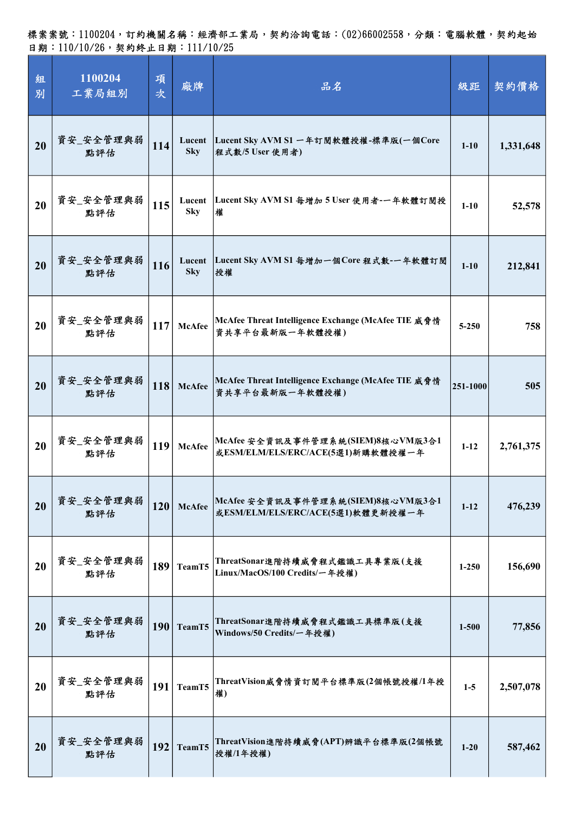| 組<br>別 | 1100204<br>工業局組別 | 項<br>次     | 廠牌                   | 品名                                                                     | 級距        | 契約價格      |
|--------|------------------|------------|----------------------|------------------------------------------------------------------------|-----------|-----------|
| 20     | 資安_安全管理與弱<br>點評估 | 114        | Lucent<br><b>Sky</b> | Lucent Sky AVM S1 一年訂閱軟體授權-標準版(一個Core<br>程式數/5 User 使用者)               | $1 - 10$  | 1,331,648 |
| 20     | 資安_安全管理與弱<br>點評估 | 115        | <b>Sky</b>           | Lucent Lucent Sky AVM S1 每增加 5 User 使用者-一年軟體訂閱授<br>權                   | $1-10$    | 52,578    |
| 20     | 資安_安全管理與弱<br>點評估 | 116        | Lucent<br><b>Sky</b> | Lucent Sky AVM S1 每增加一個Core 程式數-一年軟體訂閱<br> 授權                          | $1 - 10$  | 212,841   |
| 20     | 資安_安全管理與弱<br>點評估 | <b>117</b> | <b>McAfee</b>        | McAfee Threat Intelligence Exchange (McAfee TIE 威脅情<br>資共享平台最新版一年軟體授權) | $5 - 250$ | 758       |
| 20     | 資安_安全管理與弱<br>點評估 | 118        | <b>McAfee</b>        | McAfee Threat Intelligence Exchange (McAfee TIE 威脅情<br>資共享平台最新版一年軟體授權) | 251-1000  | 505       |
| 20     | 資安_安全管理與弱<br>點評估 | 119        | <b>McAfee</b>        | McAfee 安全資訊及事件管理系統(SIEM)8核心VM版3合1<br>或ESM/ELM/ELS/ERC/ACE(5選1)新購軟體授權一年 | $1 - 12$  | 2,761,375 |
| 20     | 資安_安全管理與弱<br>點評估 | 120        | <b>McAfee</b>        | McAfee 安全資訊及事件管理系統(SIEM)8核心VM版3合1<br>或ESM/ELM/ELS/ERC/ACE(5選1)軟體更新授權一年 | $1 - 12$  | 476,239   |
| 20     | 資安_安全管理與弱<br>點評估 | 189        | TeamT5               | ThreatSonar進階持續威脅程式鑑識工具專業版(支援<br>Linux/MacOS/100 Credits/一年授權)         | $1 - 250$ | 156,690   |
| 20     | 資安_安全管理與弱<br>點評估 | 190        | TeamT5               | ThreatSonar進階持續威脅程式鑑識工具標準版(支援<br>Windows/50 Credits/一年授權)              | $1 - 500$ | 77,856    |
| 20     | 資安_安全管理與弱<br>點評估 | 191        | TeamT5               | ThreatVision威脅情資訂閱平台標準版(2個帳號授權/1年授<br>權)                               | $1-5$     | 2,507,078 |
| 20     | 資安_安全管理與弱<br>點評估 | 192        | TeamT5               | ThreatVision進階持續威脅(APT)辨識平台標準版(2個帳號<br> 授權/1年授權)                       | $1 - 20$  | 587,462   |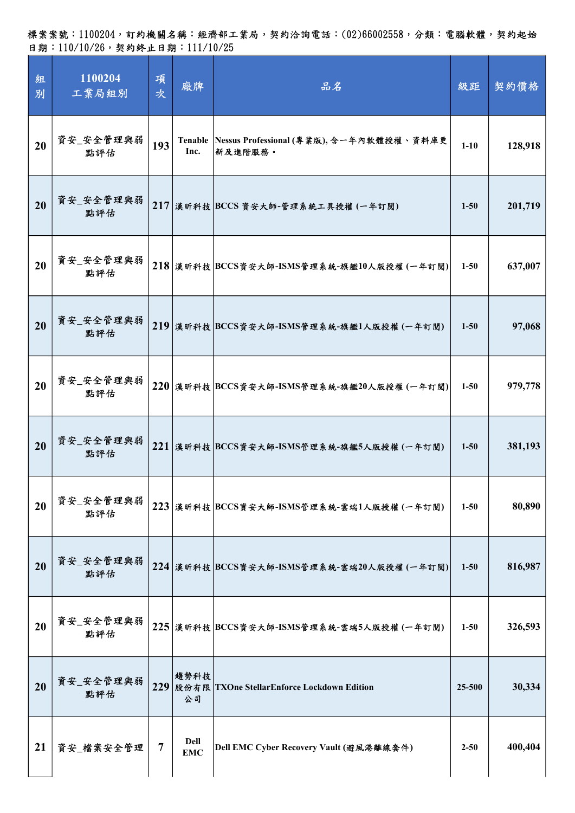| 組<br>別 | 1100204<br>工業局組別 | 項<br>次         | 廠牌                            | 品名                                                          | 級距       | 契約價格    |
|--------|------------------|----------------|-------------------------------|-------------------------------------------------------------|----------|---------|
| 20     | 資安_安全管理與弱<br>點評估 | 193            | Inc.                          | Tenable Nessus Professional (專業版), 含一年內軟體授權、資料庫更<br>新及進階服務。 | $1 - 10$ | 128,918 |
| 20     | 資安_安全管理與弱<br>點評估 |                |                               | 217 漢昕科技 BCCS 資安大師-管理系統工具授權 (一年訂閱)                          | $1 - 50$ | 201,719 |
| 20     | 資安_安全管理與弱<br>點評估 |                |                               | $218$ 漢昕科技 BCCS資安大師-ISMS管理系統-旗艦10人版授權 (一年訂閱)                | $1 - 50$ | 637,007 |
| 20     | 資安_安全管理與弱<br>點評估 |                |                               | 219 漢昕科技 BCCS資安大師-ISMS管理系統-旗艦1人版授權 (一年訂閱)                   | $1 - 50$ | 97,068  |
| 20     | 資安_安全管理與弱<br>點評估 |                |                               | 220 漢昕科技 BCCS資安大師-ISMS管理系統-旗艦20人版授權 (一年訂閱)                  | $1 - 50$ | 979,778 |
| 20     | 資安_安全管理與弱<br>點評估 |                |                               | 221 漢昕科技 BCCS資安大師-ISMS管理系統-旗艦5人版授權 (一年訂閱)                   | $1 - 50$ | 381,193 |
| 20     | 資安_安全管理與弱<br>點評估 |                |                               | 223 漢昕科技 BCCS資安大師-ISMS管理系統-雲端1人版授權 (一年訂閱)                   | $1 - 50$ | 80,890  |
| 20     | 資安_安全管理與弱<br>點評估 |                |                               | 224 漢昕科技 BCCS資安大師-ISMS管理系統-雲端20人版授權 (一年訂閱)                  | $1 - 50$ | 816,987 |
| 20     | 資安_安全管理與弱<br>點評估 |                |                               | 225 漢昕科技 BCCS資安大師-ISMS管理系統-雲端5人版授權(一年訂閱)                    | $1 - 50$ | 326,593 |
| 20     | 資安_安全管理與弱<br>點評估 | 229            | 趨勢科技<br>公司                    | 股份有限   TXOne Stellar Enforce Lockdown Edition               | 25-500   | 30,334  |
| 21     | 資安_檔案安全管理        | $\overline{7}$ | <b>Dell</b><br>$\mathbf{EMC}$ | Dell EMC Cyber Recovery Vault (避風港離線套件)                     | $2 - 50$ | 400,404 |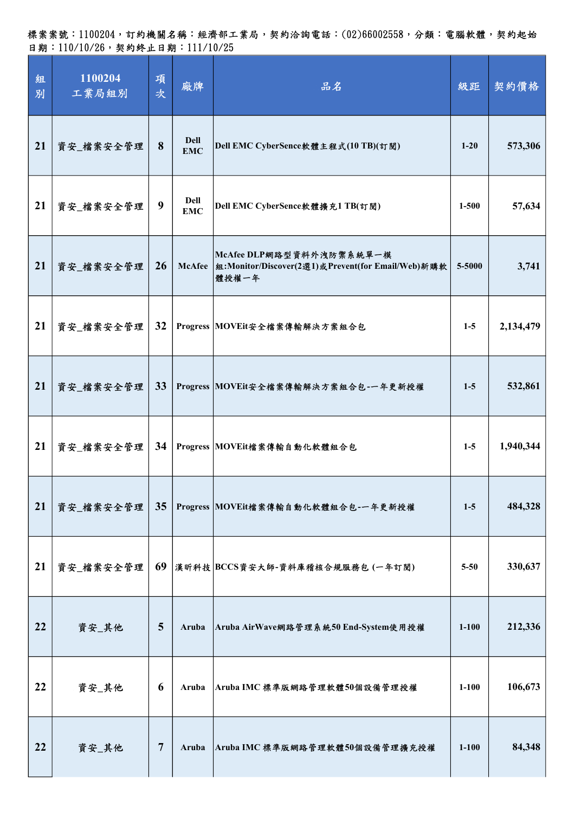標案案號:1100204,訂約機關名稱:經濟部工業局,契約洽詢電話:(02)66002558,分類:電腦軟體,契約起始 日期:110/10/26,契約終止日期:111/10/25

| 組<br>別 | 1100204<br>工業局組別 | 項<br>次 | 廠牌                        | 品名                                                                                               | 級距        | 契約價格      |
|--------|------------------|--------|---------------------------|--------------------------------------------------------------------------------------------------|-----------|-----------|
| 21     | 資安_檔案安全管理        | 8      | <b>Dell</b><br><b>EMC</b> | Dell EMC CyberSence軟體主程式(10 TB)(訂閱)                                                              | $1 - 20$  | 573,306   |
| 21     | 資安_檔案安全管理        | 9      | Dell<br><b>EMC</b>        | Dell EMC CyberSence軟體擴充1 TB(訂閱)                                                                  | $1 - 500$ | 57,634    |
| 21     | 資安_檔案安全管理        | 26     |                           | McAfee DLP網路型資料外洩防禦系統單一模<br>McAfee   组: Monitor/Discover(2選1)或Prevent(for Email/Web)新購軟<br>體授權一年 | 5-5000    | 3,741     |
| 21     | 資安_檔案安全管理        | 32     |                           | Progress MOVEit安全檔案傳輸解決方案組合包                                                                     | $1-5$     | 2,134,479 |
| 21     | 資安_檔案安全管理        | 33     |                           | Progress MOVEit安全檔案傳輸解決方案組合包-一年更新授權                                                              | $1-5$     | 532,861   |
| 21     | 資安_檔案安全管理        | 34     |                           | Progress MOVEit檔案傳輸自動化軟體組合包                                                                      | $1-5$     | 1,940,344 |
| 21     | 資安_檔案安全管理        | 35     |                           | Progress MOVEit檔案傳輸自動化軟體組合包-一年更新授權                                                               | $1-5$     | 484,328   |
| 21     | 資安_檔案安全管理        | 69     |                           | 漢昕科技 BCCS資安大師-資料庫稽核合規服務包 (一年訂閱)                                                                  | $5 - 50$  | 330,637   |
| 22     | 資安_其他            | 5      | Aruba                     | Aruba AirWave網路管理系統50 End-System使用授權                                                             | $1 - 100$ | 212,336   |
| 22     | 資安_其他            | 6      | Aruba                     | Aruba IMC 標準版網路管理軟體50個設備管理授權                                                                     | $1-100$   | 106,673   |
| 22     | 資安_其他            | 7      | Aruba                     | Aruba IMC 標準版網路管理軟體50個設備管理擴充授權                                                                   | $1 - 100$ | 84,348    |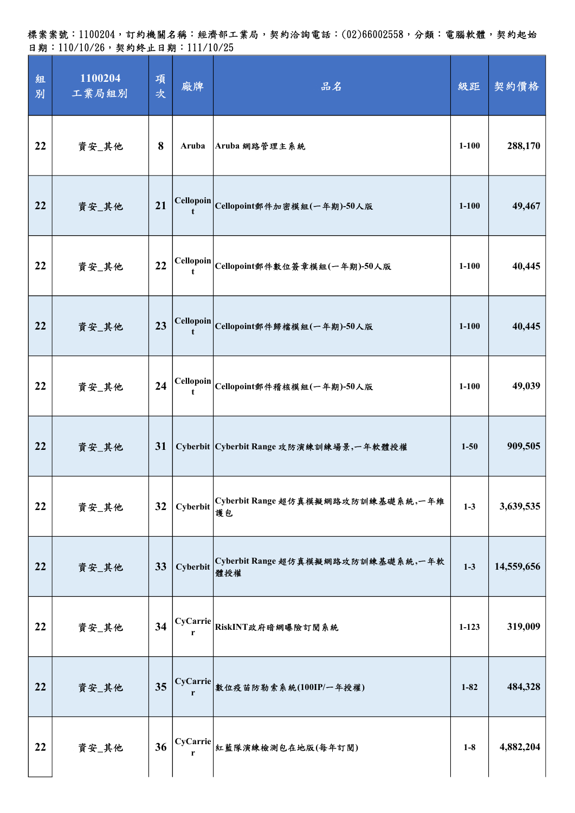標案案號:1100204,訂約機關名稱:經濟部工業局,契約洽詢電話:(02)66002558,分類:電腦軟體,契約起始 日期: 110/10/26, 契約終止日期: 111/10/25

| 組<br>別 | 1100204<br>工業局組別 | 項<br>次 | 廠牌                                | 品名                                        | 級距        | 契約價格       |
|--------|------------------|--------|-----------------------------------|-------------------------------------------|-----------|------------|
| 22     | 資安_其他            | 8      | Aruba                             | Aruba 網路管理主系統                             | $1 - 100$ | 288,170    |
| 22     | 資安_其他            | 21     |                                   | Cellopoin Cellopoint郵件加密模組(一年期)-50人版      | $1 - 100$ | 49,467     |
| 22     | 資安_其他            | 22     |                                   | Cellopoin Cellopoint郵件數位簽章模組(一年期)-50人版    | $1 - 100$ | 40,445     |
| 22     | 資安_其他            | 23     | <b>Cellopoin</b><br>$\mathbf{t}$  | Cellopoint郵件歸檔模組(一年期)-50人版                | $1 - 100$ | 40,445     |
| 22     | 資安_其他            | 24     | Cellopoin<br>$\ddot{\phantom{1}}$ | Cellopoint郵件稽核模組(一年期)-50人版                | $1 - 100$ | 49,039     |
| 22     | 資安_其他            | 31     |                                   | Cyberbit Cyberbit Range 攻防演練訓練場景,一年軟體授權   | $1 - 50$  | 909,505    |
| 22     | 資安_其他            | 32     | Cyberbit                          | Cyberbit Range 超仿真模擬網路攻防訓練基礎系統,一年維<br>镬包  | $1-3$     | 3,639,535  |
| 22     | 資安_其他            | 33     | Cyberbit                          | Cyberbit Range 超仿真模擬網路攻防訓練基礎系統,一年軟<br>體授權 | $1-3$     | 14,559,656 |
| 22     | 資安_其他            | 34     | r                                 | CyCarrie RiskINT政府暗網曝險訂閱系統                | $1 - 123$ | 319,009    |
| 22     | 資安_其他            | 35     |                                   | CyCarrie 敦位疫苗防勒索系統(100IP/一年授權)            | $1 - 82$  | 484,328    |
| 22     | 資安_其他            | 36     | CyCarrie<br>r                     | 紅藍隊演練檢測包在地版(每年訂閱)                         | $1-8$     | 4,882,204  |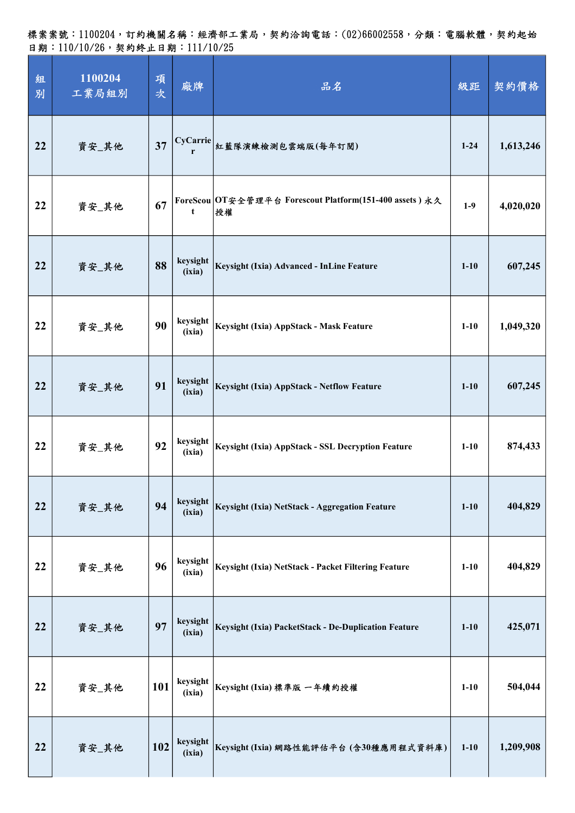標案案號:1100204,訂約機關名稱:經濟部工業局,契約洽詢電話:(02)66002558,分類:電腦軟體,契約起始 日期:110/10/26,契約終止日期:111/10/25

| 組<br>別 | 1100204<br>工業局組別 | 項<br>次 | 廠牌                 | 品名                                                            | 級距       | 契約價格      |
|--------|------------------|--------|--------------------|---------------------------------------------------------------|----------|-----------|
| 22     | 資安_其他            | 37     |                    | CyCarrie 紅藍隊演練檢測包雲端版(每年訂閱)                                    | $1 - 24$ | 1,613,246 |
| 22     | 資安_其他            | 67     | t                  | ForeScou OT安全管理平台 Forescout Platform(151-400 assets) 永久<br>授權 | $1-9$    | 4,020,020 |
| 22     | 資安_其他            | 88     | keysight<br>(ixia) | Keysight (Ixia) Advanced - InLine Feature                     | $1-10$   | 607,245   |
| 22     | 資安_其他            | 90     | keysight<br>(ixia) | Keysight (Ixia) AppStack - Mask Feature                       | $1-10$   | 1,049,320 |
| 22     | 資安_其他            | 91     | keysight<br>(ixia) | Keysight (Ixia) AppStack - Netflow Feature                    | $1 - 10$ | 607,245   |
| 22     | 資安_其他            | 92     | keysight<br>(ixia) | Keysight (Ixia) AppStack - SSL Decryption Feature             | $1-10$   | 874,433   |
| 22     | 資安_其他            | 94     | keysight<br>(ixia) | Keysight (Ixia) NetStack - Aggregation Feature                | $1 - 10$ | 404,829   |
| 22     | 資安_其他            | 96     | keysight<br>(ixia) | Keysight (Ixia) NetStack - Packet Filtering Feature           | $1 - 10$ | 404,829   |
| 22     | 資安_其他            | 97     | keysight<br>(ixia) | Keysight (Ixia) PacketStack - De-Duplication Feature          | $1 - 10$ | 425,071   |
| 22     | 資安_其他            | 101    | keysight<br>(ixia) | Keysight (Ixia) 標準版 一年續約授權                                    | $1 - 10$ | 504,044   |
| 22     | 資安_其他            | 102    | keysight<br>(ixia) | Keysight (Ixia) 網路性能評估平台 (含30種應用程式資料庫)                        | $1-10$   | 1,209,908 |